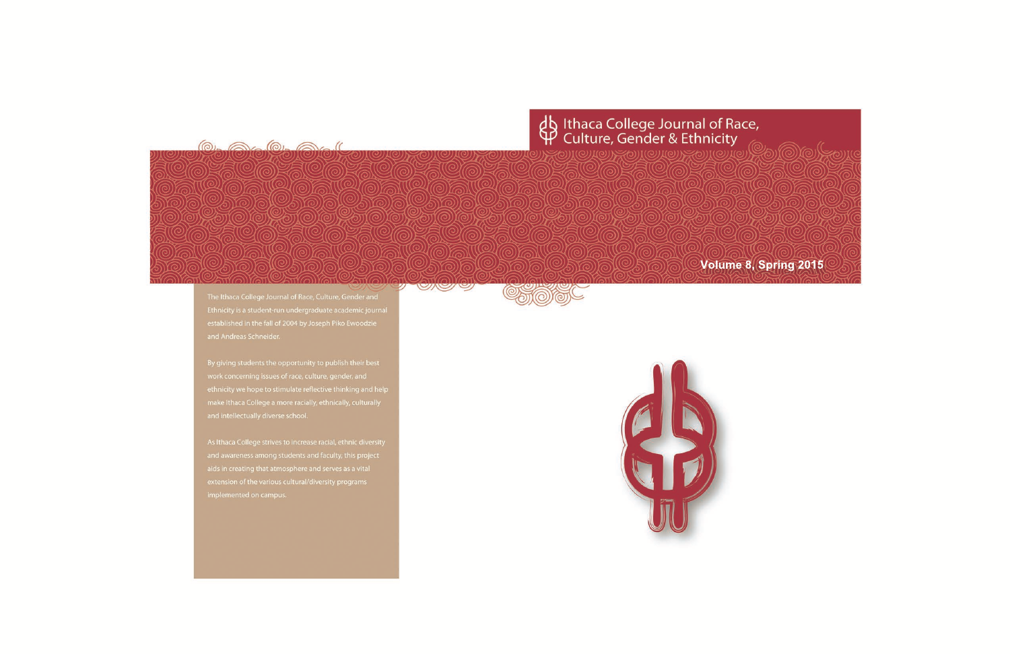# Ithaca College Journal of Race,<br>Culture, Gender & Ethnicity \$

Volume 8, Spring 2015

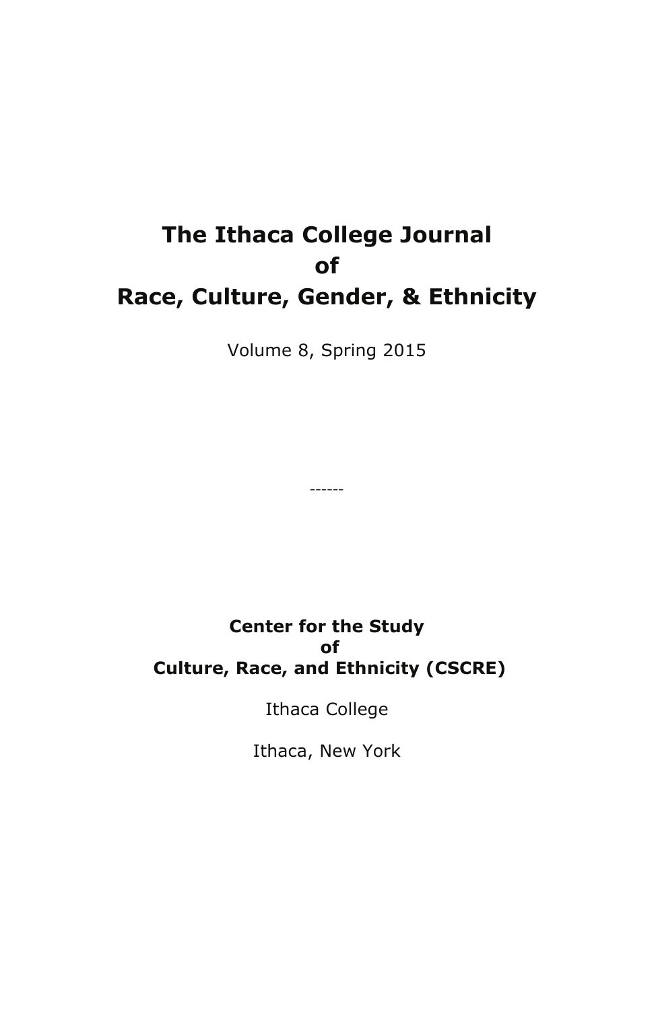# **The Ithaca College Journal of Race, Culture, Gender, & Ethnicity**

Volume 8, Spring 2015

------

# **Center for the Study of Culture, Race, and Ethnicity (CSCRE)**

Ithaca College

Ithaca, New York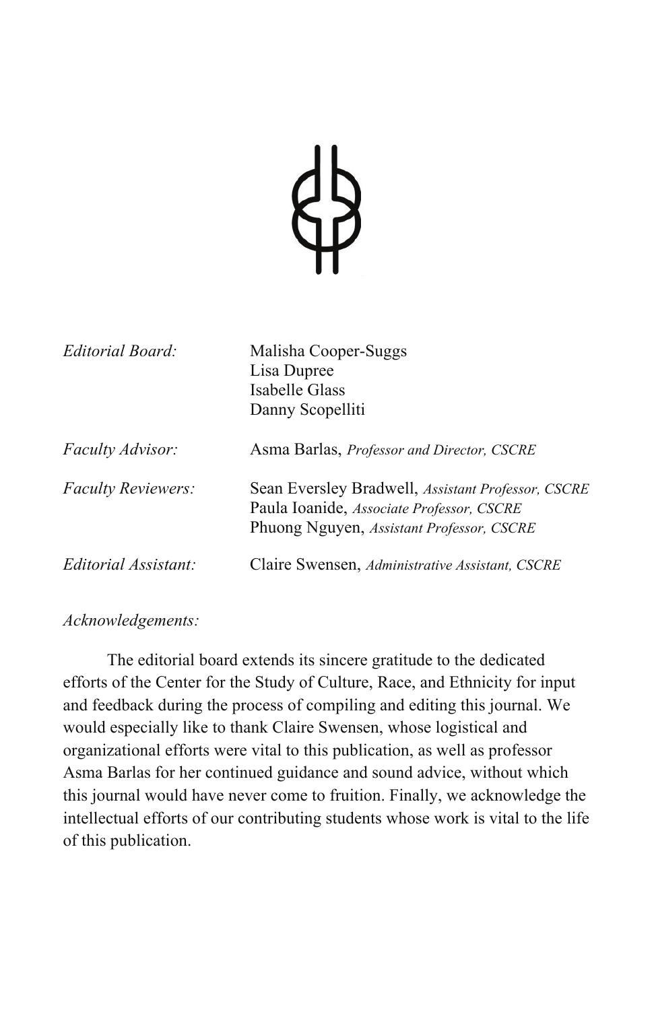| Editorial Board:          | Malisha Cooper-Suggs<br>Lisa Dupree<br>Isabelle Glass<br>Danny Scopelliti                                                                    |
|---------------------------|----------------------------------------------------------------------------------------------------------------------------------------------|
| <i>Faculty Advisor:</i>   | Asma Barlas, <i>Professor and Director</i> , <i>CSCRE</i>                                                                                    |
| <i>Faculty Reviewers:</i> | Sean Eversley Bradwell, Assistant Professor, CSCRE<br>Paula Ioanide, Associate Professor, CSCRE<br>Phuong Nguyen, Assistant Professor, CSCRE |
| Editorial Assistant:      | Claire Swensen, Administrative Assistant, CSCRE                                                                                              |

## *Acknowledgements:*

The editorial board extends its sincere gratitude to the dedicated efforts of the Center for the Study of Culture, Race, and Ethnicity for input and feedback during the process of compiling and editing this journal. We would especially like to thank Claire Swensen, whose logistical and organizational efforts were vital to this publication, as well as professor Asma Barlas for her continued guidance and sound advice, without which this journal would have never come to fruition. Finally, we acknowledge the intellectual efforts of our contributing students whose work is vital to the life of this publication.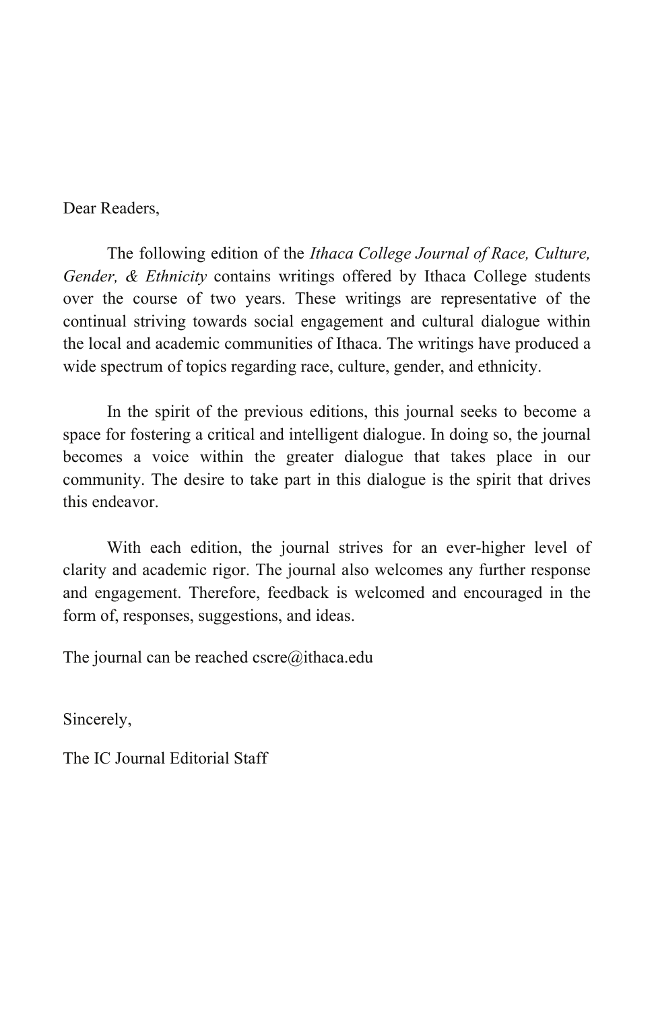Dear Readers,

 The following edition of the *Ithaca College Journal of Race, Culture, Gender, & Ethnicity* contains writings offered by Ithaca College students over the course of two years. These writings are representative of the continual striving towards social engagement and cultural dialogue within the local and academic communities of Ithaca. The writings have produced a wide spectrum of topics regarding race, culture, gender, and ethnicity.

 In the spirit of the previous editions, this journal seeks to become a space for fostering a critical and intelligent dialogue. In doing so, the journal becomes a voice within the greater dialogue that takes place in our community. The desire to take part in this dialogue is the spirit that drives this endeavor.

 With each edition, the journal strives for an ever-higher level of clarity and academic rigor. The journal also welcomes any further response and engagement. Therefore, feedback is welcomed and encouraged in the form of, responses, suggestions, and ideas.

The journal can be reached  $csc(\omega)$ ithaca.edu

Sincerely,

The IC Journal Editorial Staff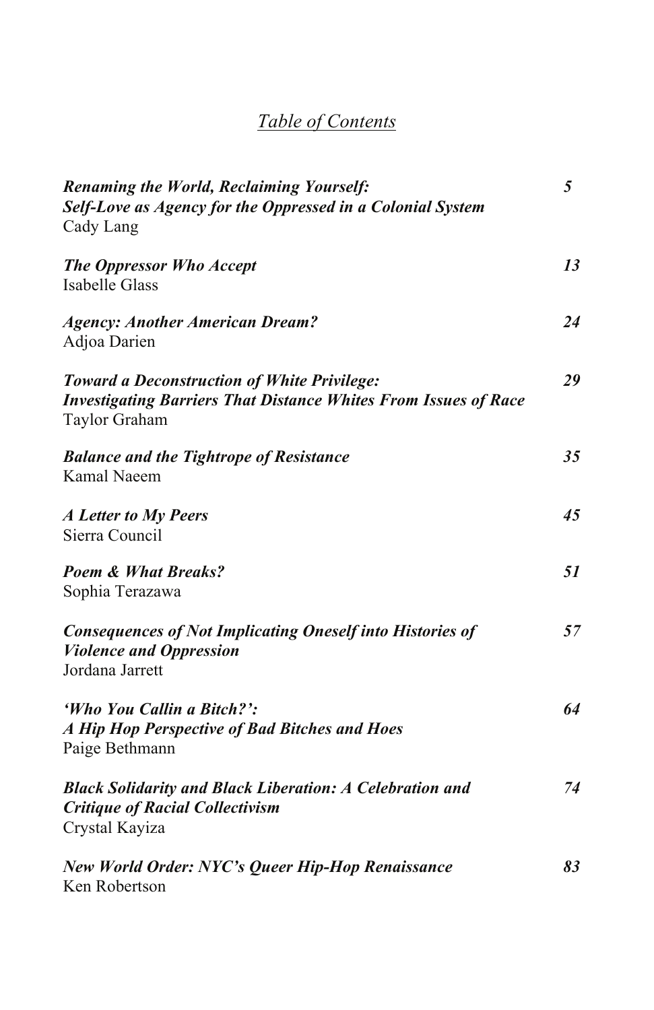# *Table of Contents*

| <b>Renaming the World, Reclaiming Yourself:</b><br>Self-Love as Agency for the Oppressed in a Colonial System<br>Cady Lang                    |    |
|-----------------------------------------------------------------------------------------------------------------------------------------------|----|
| <b>The Oppressor Who Accept</b><br><b>Isabelle Glass</b>                                                                                      | 13 |
| <b>Agency: Another American Dream?</b><br>Adjoa Darien                                                                                        | 24 |
| <b>Toward a Deconstruction of White Privilege:</b><br><b>Investigating Barriers That Distance Whites From Issues of Race</b><br>Taylor Graham | 29 |
| <b>Balance and the Tightrope of Resistance</b><br>Kamal Naeem                                                                                 | 35 |
| A Letter to My Peers<br>Sierra Council                                                                                                        | 45 |
| <b>Poem &amp; What Breaks?</b><br>Sophia Terazawa                                                                                             | 51 |
| <b>Consequences of Not Implicating Oneself into Histories of</b><br><b>Violence and Oppression</b><br>Jordana Jarrett                         | 57 |
| <i>'Who You Callin a Bitch?':</i><br>A Hip Hop Perspective of Bad Bitches and Hoes<br>Paige Bethmann                                          | 64 |
| <b>Black Solidarity and Black Liberation: A Celebration and</b><br><b>Critique of Racial Collectivism</b><br>Crystal Kayiza                   | 74 |
| New World Order: NYC's Queer Hip-Hop Renaissance<br>Ken Robertson                                                                             | 83 |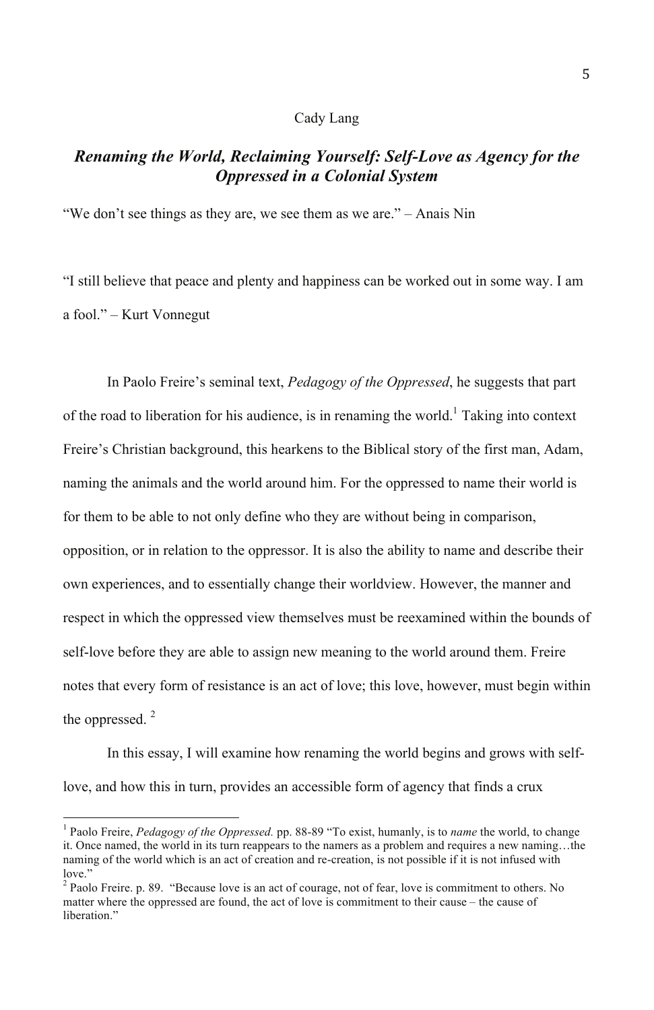#### Cady Lang

### *Renaming the World, Reclaiming Yourself: Self-Love as Agency for the Oppressed in a Colonial System*

"We don't see things as they are, we see them as we are." – Anais Nin

"I still believe that peace and plenty and happiness can be worked out in some way. I am a fool." – Kurt Vonnegut

In Paolo Freire's seminal text, *Pedagogy of the Oppressed*, he suggests that part of the road to liberation for his audience, is in renaming the world.<sup>1</sup> Taking into context Freire's Christian background, this hearkens to the Biblical story of the first man, Adam, naming the animals and the world around him. For the oppressed to name their world is for them to be able to not only define who they are without being in comparison, opposition, or in relation to the oppressor. It is also the ability to name and describe their own experiences, and to essentially change their worldview. However, the manner and respect in which the oppressed view themselves must be reexamined within the bounds of self-love before they are able to assign new meaning to the world around them. Freire notes that every form of resistance is an act of love; this love, however, must begin within the oppressed.  $2$ 

In this essay, I will examine how renaming the world begins and grows with selflove, and how this in turn, provides an accessible form of agency that finds a crux

<sup>1</sup> Paolo Freire, *Pedagogy of the Oppressed.* pp. 88-89 "To exist, humanly, is to *name* the world, to change it. Once named, the world in its turn reappears to the namers as a problem and requires a new naming…the naming of the world which is an act of creation and re-creation, is not possible if it is not infused with love."

<sup>&</sup>lt;sup>2</sup> Paolo Freire. p. 89. "Because love is an act of courage, not of fear, love is commitment to others. No matter where the oppressed are found, the act of love is commitment to their cause – the cause of liberation."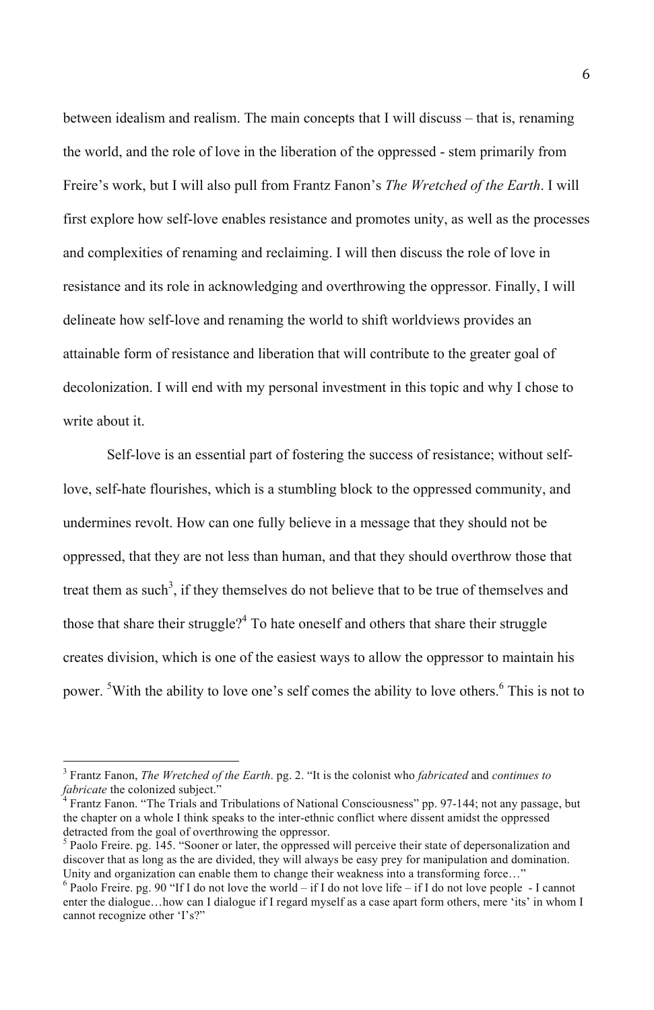between idealism and realism. The main concepts that I will discuss – that is, renaming the world, and the role of love in the liberation of the oppressed - stem primarily from Freire's work, but I will also pull from Frantz Fanon's *The Wretched of the Earth*. I will first explore how self-love enables resistance and promotes unity, as well as the processes and complexities of renaming and reclaiming. I will then discuss the role of love in resistance and its role in acknowledging and overthrowing the oppressor. Finally, I will delineate how self-love and renaming the world to shift worldviews provides an attainable form of resistance and liberation that will contribute to the greater goal of decolonization. I will end with my personal investment in this topic and why I chose to write about it.

 Self-love is an essential part of fostering the success of resistance; without selflove, self-hate flourishes, which is a stumbling block to the oppressed community, and undermines revolt. How can one fully believe in a message that they should not be oppressed, that they are not less than human, and that they should overthrow those that treat them as such<sup>3</sup>, if they themselves do not believe that to be true of themselves and those that share their struggle?<sup>4</sup> To hate oneself and others that share their struggle creates division, which is one of the easiest ways to allow the oppressor to maintain his power. <sup>5</sup>With the ability to love one's self comes the ability to love others.<sup>6</sup> This is not to

<sup>3</sup> Frantz Fanon, *The Wretched of the Earth*. pg. 2. "It is the colonist who *fabricated* and *continues to fabricate* the colonized subject."

<sup>&</sup>lt;sup>4</sup> Frantz Fanon. "The Trials and Tribulations of National Consciousness" pp. 97-144; not any passage, but the chapter on a whole I think speaks to the inter-ethnic conflict where dissent amidst the oppressed detracted from the goal of overthrowing the oppressor.

<sup>&</sup>lt;sup>5</sup> Paolo Freire. pg. 145. "Sooner or later, the oppressed will perceive their state of depersonalization and discover that as long as the are divided, they will always be easy prey for manipulation and domination. Unity and organization can enable them to change their weakness into a transforming force…"

 $6$  Paolo Freire. pg. 90 "If I do not love the world – if I do not love life – if I do not love people - I cannot enter the dialogue...how can I dialogue if I regard myself as a case apart form others, mere 'its' in whom I cannot recognize other 'I's?"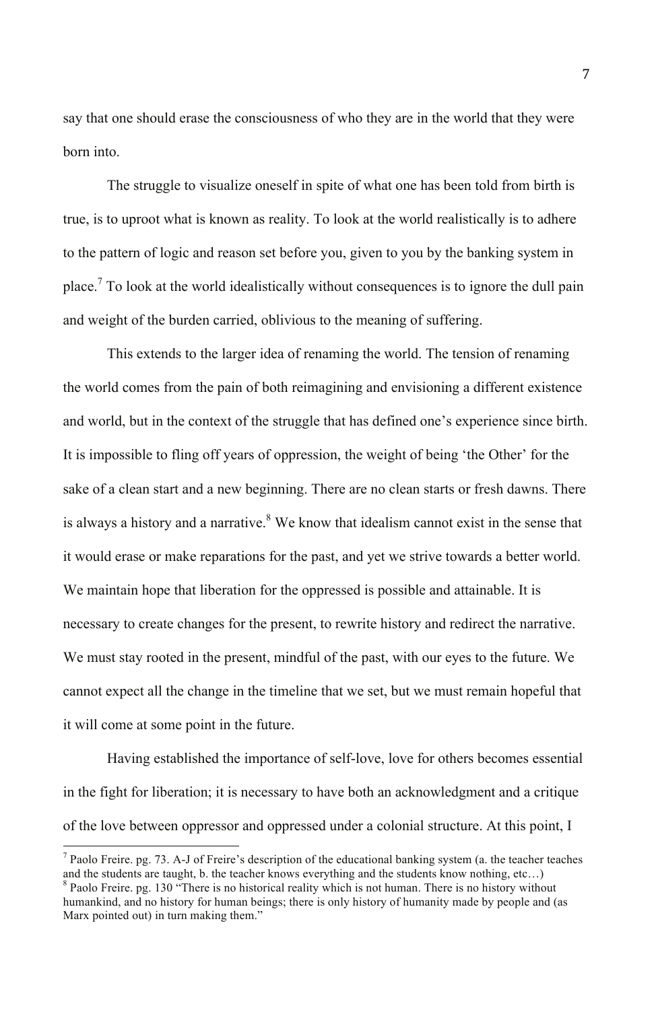say that one should erase the consciousness of who they are in the world that they were born into.

 The struggle to visualize oneself in spite of what one has been told from birth is true, is to uproot what is known as reality. To look at the world realistically is to adhere to the pattern of logic and reason set before you, given to you by the banking system in place.<sup>7</sup> To look at the world idealistically without consequences is to ignore the dull pain and weight of the burden carried, oblivious to the meaning of suffering.

 This extends to the larger idea of renaming the world. The tension of renaming the world comes from the pain of both reimagining and envisioning a different existence and world, but in the context of the struggle that has defined one's experience since birth. It is impossible to fling off years of oppression, the weight of being 'the Other' for the sake of a clean start and a new beginning. There are no clean starts or fresh dawns. There is always a history and a narrative. $8$  We know that idealism cannot exist in the sense that it would erase or make reparations for the past, and yet we strive towards a better world. We maintain hope that liberation for the oppressed is possible and attainable. It is necessary to create changes for the present, to rewrite history and redirect the narrative. We must stay rooted in the present, mindful of the past, with our eyes to the future. We cannot expect all the change in the timeline that we set, but we must remain hopeful that it will come at some point in the future.

 Having established the importance of self-love, love for others becomes essential in the fight for liberation; it is necessary to have both an acknowledgment and a critique of the love between oppressor and oppressed under a colonial structure. At this point, I

<sup>7</sup> Paolo Freire. pg. 73. A-J of Freire's description of the educational banking system (a. the teacher teaches and the students are taught, b. the teacher knows everything and the students know nothing, etc…)

<sup>&</sup>lt;sup>8</sup> Paolo Freire. pg. 130 "There is no historical reality which is not human. There is no history without humankind, and no history for human beings; there is only history of humanity made by people and (as Marx pointed out) in turn making them."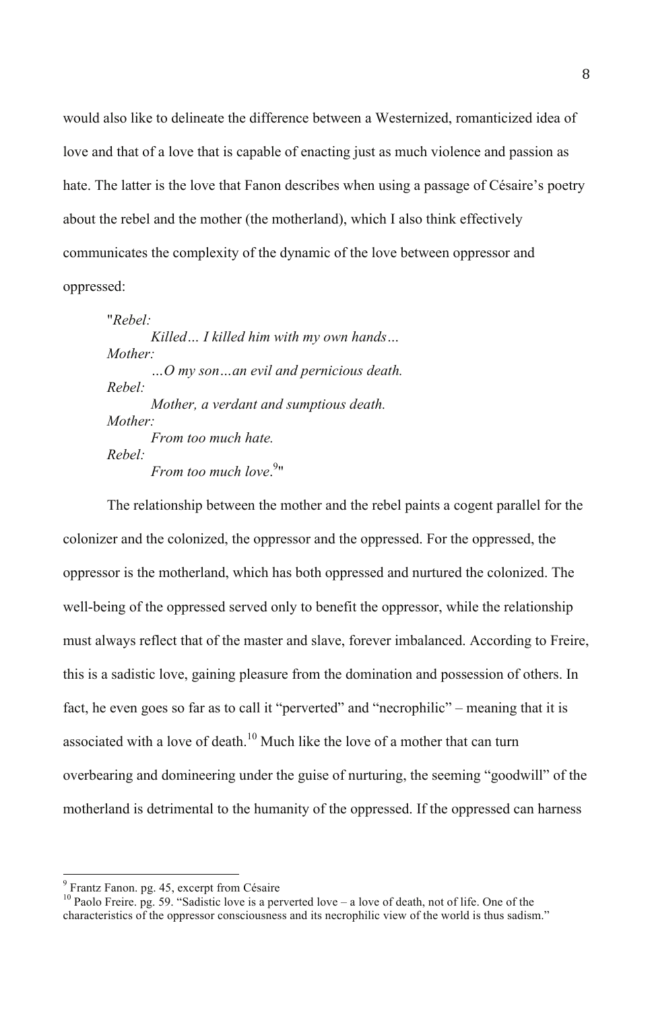would also like to delineate the difference between a Westernized, romanticized idea of love and that of a love that is capable of enacting just as much violence and passion as hate. The latter is the love that Fanon describes when using a passage of Césaire's poetry about the rebel and the mother (the motherland), which I also think effectively communicates the complexity of the dynamic of the love between oppressor and oppressed:

 "*Rebel: Killed… I killed him with my own hands… Mother: …O my son…an evil and pernicious death. Rebel: Mother, a verdant and sumptious death. Mother: From too much hate. Rebel:*  From too much love.<sup>9</sup>"

 The relationship between the mother and the rebel paints a cogent parallel for the colonizer and the colonized, the oppressor and the oppressed. For the oppressed, the oppressor is the motherland, which has both oppressed and nurtured the colonized. The well-being of the oppressed served only to benefit the oppressor, while the relationship must always reflect that of the master and slave, forever imbalanced. According to Freire, this is a sadistic love, gaining pleasure from the domination and possession of others. In fact, he even goes so far as to call it "perverted" and "necrophilic" – meaning that it is associated with a love of death.<sup>10</sup> Much like the love of a mother that can turn overbearing and domineering under the guise of nurturing, the seeming "goodwill" of the motherland is detrimental to the humanity of the oppressed. If the oppressed can harness

<sup>&</sup>lt;sup>9</sup> Frantz Fanon. pg. 45, excerpt from Césaire

<sup>&</sup>lt;sup>10</sup> Paolo Freire. pg. 59. "Sadistic love is a perverted love – a love of death, not of life. One of the characteristics of the oppressor consciousness and its necrophilic view of the world is thus sadism."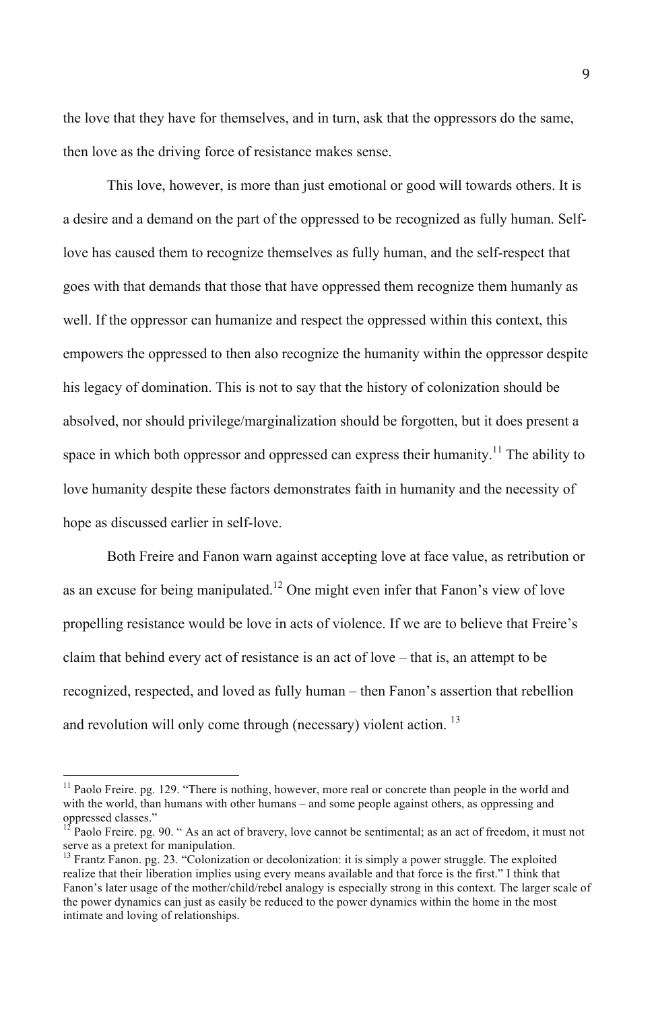the love that they have for themselves, and in turn, ask that the oppressors do the same, then love as the driving force of resistance makes sense.

 This love, however, is more than just emotional or good will towards others. It is a desire and a demand on the part of the oppressed to be recognized as fully human. Selflove has caused them to recognize themselves as fully human, and the self-respect that goes with that demands that those that have oppressed them recognize them humanly as well. If the oppressor can humanize and respect the oppressed within this context, this empowers the oppressed to then also recognize the humanity within the oppressor despite his legacy of domination. This is not to say that the history of colonization should be absolved, nor should privilege/marginalization should be forgotten, but it does present a space in which both oppressor and oppressed can express their humanity.<sup>11</sup> The ability to love humanity despite these factors demonstrates faith in humanity and the necessity of hope as discussed earlier in self-love.

 Both Freire and Fanon warn against accepting love at face value, as retribution or as an excuse for being manipulated.<sup>12</sup> One might even infer that Fanon's view of love propelling resistance would be love in acts of violence. If we are to believe that Freire's claim that behind every act of resistance is an act of love – that is, an attempt to be recognized, respected, and loved as fully human – then Fanon's assertion that rebellion and revolution will only come through (necessary) violent action.  $13$ 

 $11$  Paolo Freire. pg. 129. "There is nothing, however, more real or concrete than people in the world and with the world, than humans with other humans – and some people against others, as oppressing and

oppressed classes."<br><sup>12</sup> Paolo Freire. pg. 90. " As an act of bravery, love cannot be sentimental; as an act of freedom, it must not serve as a pretext for manipulation.

<sup>&</sup>lt;sup>13</sup> Frantz Fanon. pg. 23. "Colonization or decolonization: it is simply a power struggle. The exploited realize that their liberation implies using every means available and that force is the first." I think that Fanon's later usage of the mother/child/rebel analogy is especially strong in this context. The larger scale of the power dynamics can just as easily be reduced to the power dynamics within the home in the most intimate and loving of relationships.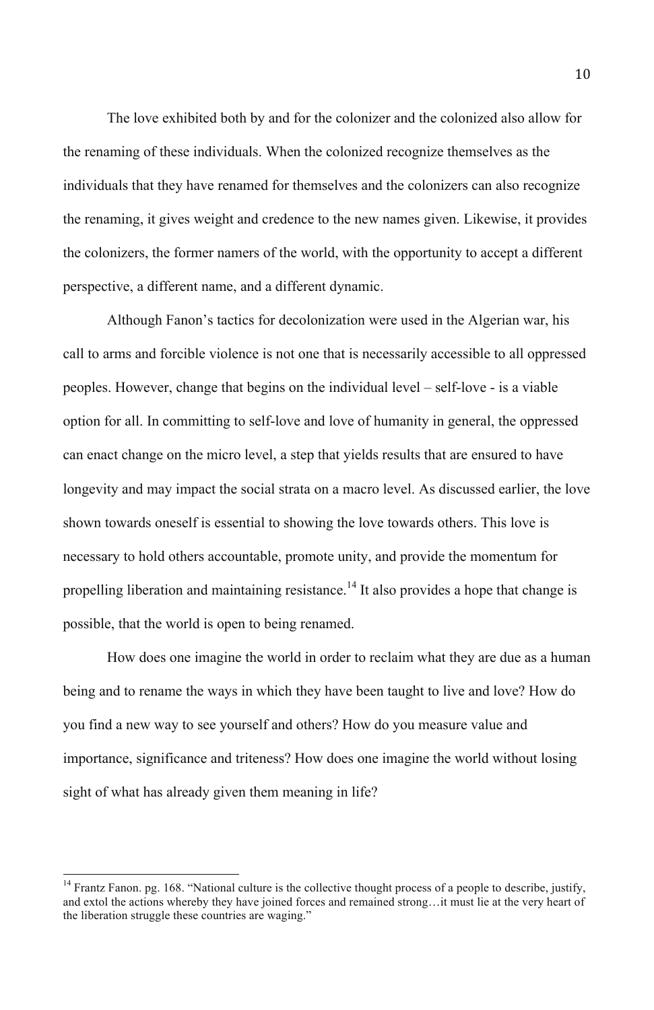The love exhibited both by and for the colonizer and the colonized also allow for the renaming of these individuals. When the colonized recognize themselves as the individuals that they have renamed for themselves and the colonizers can also recognize the renaming, it gives weight and credence to the new names given. Likewise, it provides the colonizers, the former namers of the world, with the opportunity to accept a different perspective, a different name, and a different dynamic.

 Although Fanon's tactics for decolonization were used in the Algerian war, his call to arms and forcible violence is not one that is necessarily accessible to all oppressed peoples. However, change that begins on the individual level – self-love - is a viable option for all. In committing to self-love and love of humanity in general, the oppressed can enact change on the micro level, a step that yields results that are ensured to have longevity and may impact the social strata on a macro level. As discussed earlier, the love shown towards oneself is essential to showing the love towards others. This love is necessary to hold others accountable, promote unity, and provide the momentum for propelling liberation and maintaining resistance.<sup>14</sup> It also provides a hope that change is possible, that the world is open to being renamed.

 How does one imagine the world in order to reclaim what they are due as a human being and to rename the ways in which they have been taught to live and love? How do you find a new way to see yourself and others? How do you measure value and importance, significance and triteness? How does one imagine the world without losing sight of what has already given them meaning in life?

<sup>&</sup>lt;sup>14</sup> Frantz Fanon. pg. 168. "National culture is the collective thought process of a people to describe, justify, and extol the actions whereby they have joined forces and remained strong…it must lie at the very heart of the liberation struggle these countries are waging."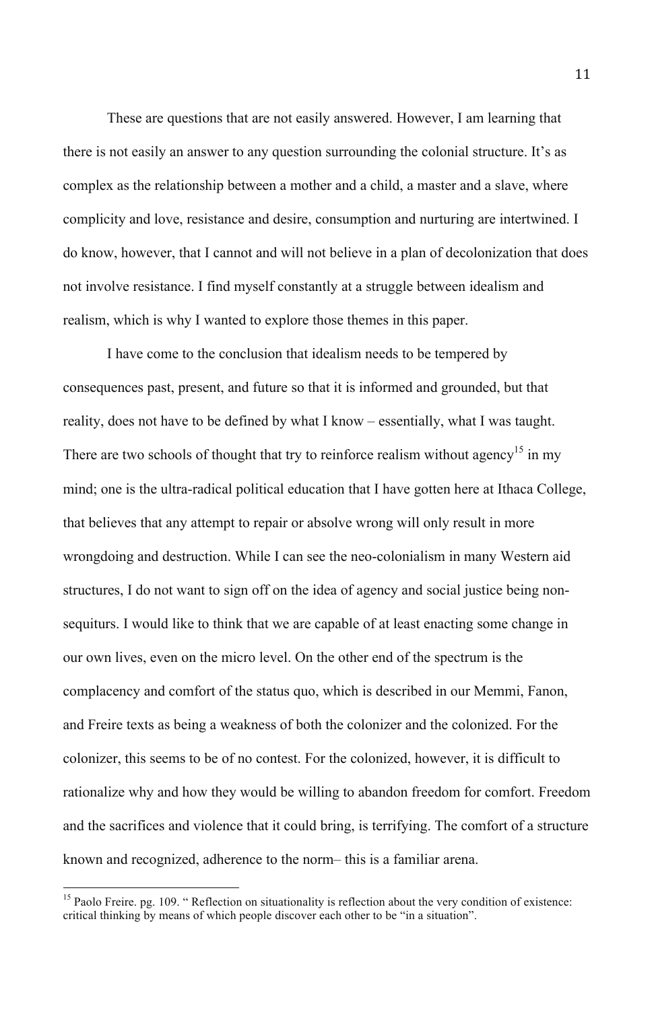These are questions that are not easily answered. However, I am learning that there is not easily an answer to any question surrounding the colonial structure. It's as complex as the relationship between a mother and a child, a master and a slave, where complicity and love, resistance and desire, consumption and nurturing are intertwined. I do know, however, that I cannot and will not believe in a plan of decolonization that does not involve resistance. I find myself constantly at a struggle between idealism and realism, which is why I wanted to explore those themes in this paper.

 I have come to the conclusion that idealism needs to be tempered by consequences past, present, and future so that it is informed and grounded, but that reality, does not have to be defined by what I know – essentially, what I was taught. There are two schools of thought that try to reinforce realism without agency<sup>15</sup> in my mind; one is the ultra-radical political education that I have gotten here at Ithaca College, that believes that any attempt to repair or absolve wrong will only result in more wrongdoing and destruction. While I can see the neo-colonialism in many Western aid structures, I do not want to sign off on the idea of agency and social justice being nonsequiturs. I would like to think that we are capable of at least enacting some change in our own lives, even on the micro level. On the other end of the spectrum is the complacency and comfort of the status quo, which is described in our Memmi, Fanon, and Freire texts as being a weakness of both the colonizer and the colonized. For the colonizer, this seems to be of no contest. For the colonized, however, it is difficult to rationalize why and how they would be willing to abandon freedom for comfort. Freedom and the sacrifices and violence that it could bring, is terrifying. The comfort of a structure known and recognized, adherence to the norm– this is a familiar arena.

<sup>&</sup>lt;sup>15</sup> Paolo Freire. pg. 109. "Reflection on situationality is reflection about the very condition of existence: critical thinking by means of which people discover each other to be "in a situation".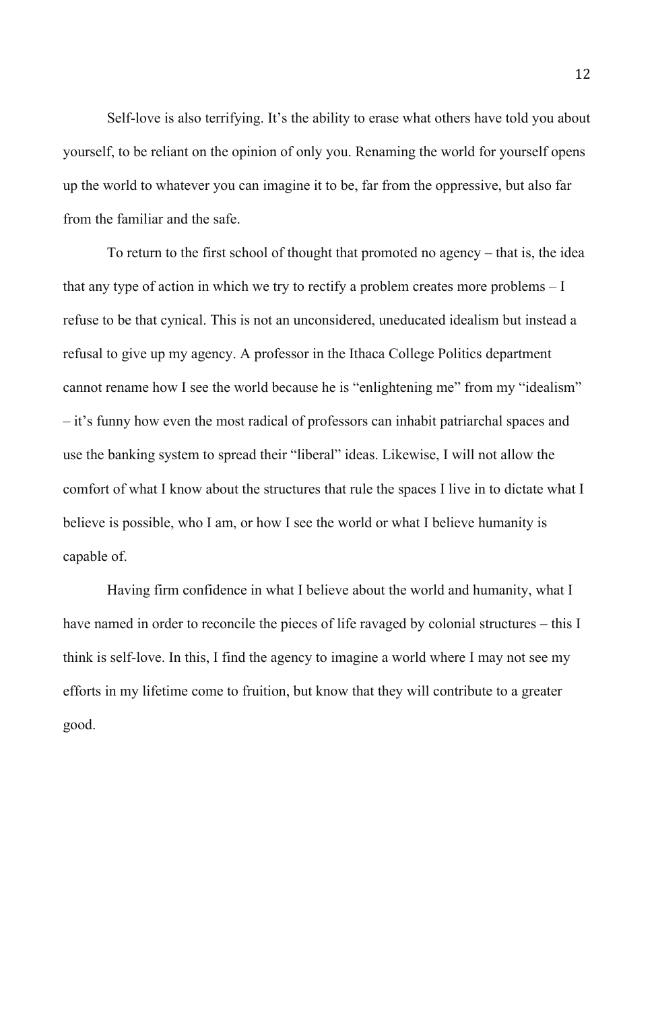Self-love is also terrifying. It's the ability to erase what others have told you about yourself, to be reliant on the opinion of only you. Renaming the world for yourself opens up the world to whatever you can imagine it to be, far from the oppressive, but also far from the familiar and the safe.

 To return to the first school of thought that promoted no agency – that is, the idea that any type of action in which we try to rectify a problem creates more problems – I refuse to be that cynical. This is not an unconsidered, uneducated idealism but instead a refusal to give up my agency. A professor in the Ithaca College Politics department cannot rename how I see the world because he is "enlightening me" from my "idealism" – it's funny how even the most radical of professors can inhabit patriarchal spaces and use the banking system to spread their "liberal" ideas. Likewise, I will not allow the comfort of what I know about the structures that rule the spaces I live in to dictate what I believe is possible, who I am, or how I see the world or what I believe humanity is capable of.

 Having firm confidence in what I believe about the world and humanity, what I have named in order to reconcile the pieces of life ravaged by colonial structures – this I think is self-love. In this, I find the agency to imagine a world where I may not see my efforts in my lifetime come to fruition, but know that they will contribute to a greater good.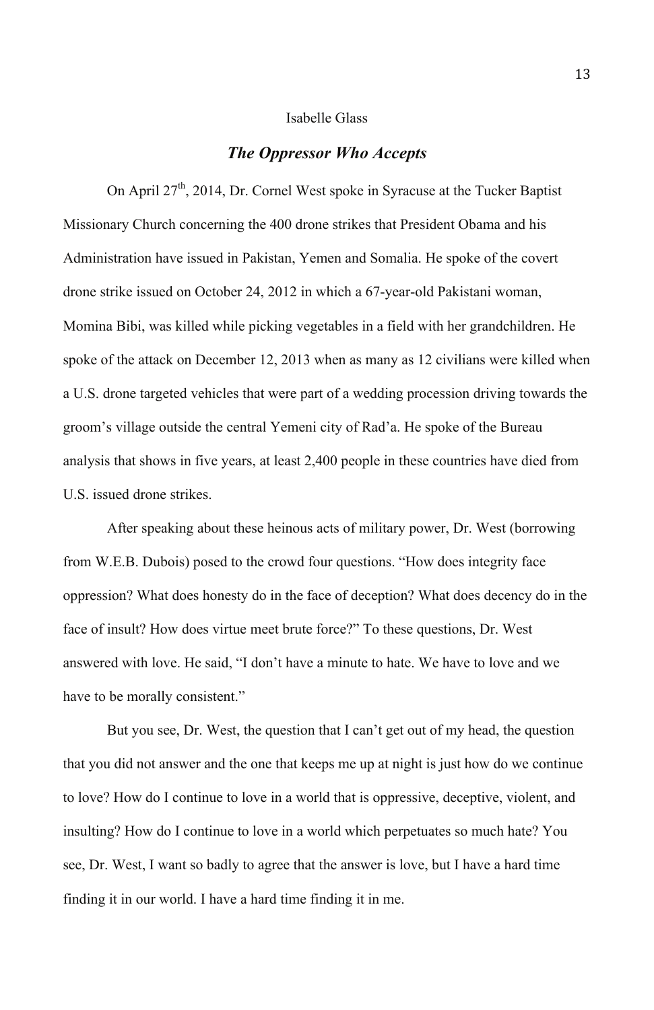#### Isabelle Glass

#### *The Oppressor Who Accepts*

On April  $27<sup>th</sup>$ , 2014, Dr. Cornel West spoke in Syracuse at the Tucker Baptist Missionary Church concerning the 400 drone strikes that President Obama and his Administration have issued in Pakistan, Yemen and Somalia. He spoke of the covert drone strike issued on October 24, 2012 in which a 67-year-old Pakistani woman, Momina Bibi, was killed while picking vegetables in a field with her grandchildren. He spoke of the attack on December 12, 2013 when as many as 12 civilians were killed when a U.S. drone targeted vehicles that were part of a wedding procession driving towards the groom's village outside the central Yemeni city of Rad'a. He spoke of the Bureau analysis that shows in five years, at least 2,400 people in these countries have died from U.S. issued drone strikes.

After speaking about these heinous acts of military power, Dr. West (borrowing from W.E.B. Dubois) posed to the crowd four questions. "How does integrity face oppression? What does honesty do in the face of deception? What does decency do in the face of insult? How does virtue meet brute force?" To these questions, Dr. West answered with love. He said, "I don't have a minute to hate. We have to love and we have to be morally consistent."

But you see, Dr. West, the question that I can't get out of my head, the question that you did not answer and the one that keeps me up at night is just how do we continue to love? How do I continue to love in a world that is oppressive, deceptive, violent, and insulting? How do I continue to love in a world which perpetuates so much hate? You see, Dr. West, I want so badly to agree that the answer is love, but I have a hard time finding it in our world. I have a hard time finding it in me.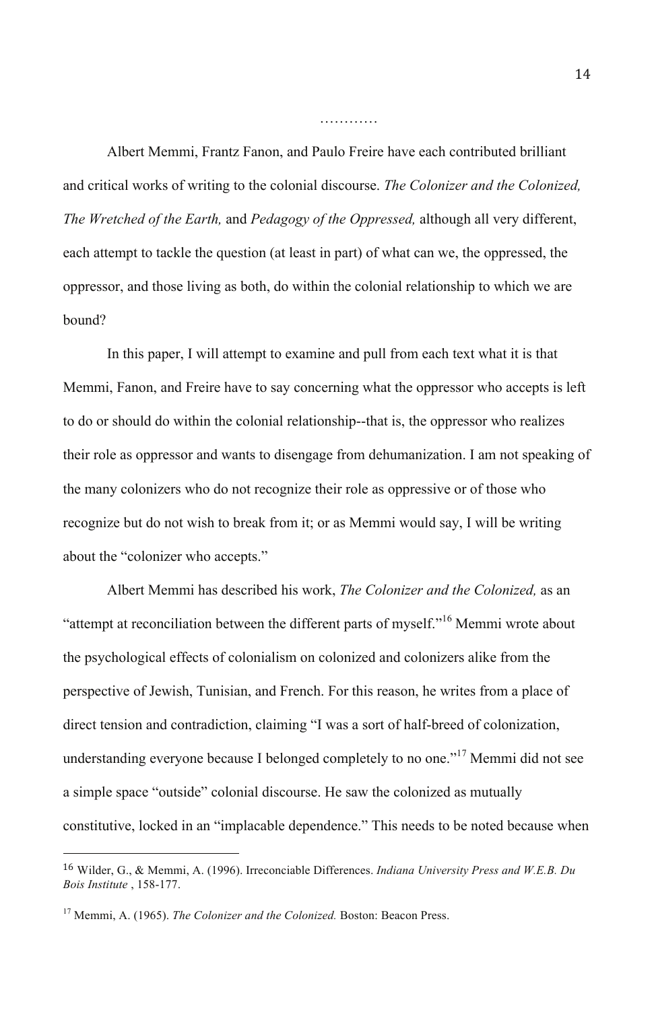Albert Memmi, Frantz Fanon, and Paulo Freire have each contributed brilliant and critical works of writing to the colonial discourse. *The Colonizer and the Colonized, The Wretched of the Earth,* and *Pedagogy of the Oppressed,* although all very different, each attempt to tackle the question (at least in part) of what can we, the oppressed, the oppressor, and those living as both, do within the colonial relationship to which we are bound?

…………

In this paper, I will attempt to examine and pull from each text what it is that Memmi, Fanon, and Freire have to say concerning what the oppressor who accepts is left to do or should do within the colonial relationship--that is, the oppressor who realizes their role as oppressor and wants to disengage from dehumanization. I am not speaking of the many colonizers who do not recognize their role as oppressive or of those who recognize but do not wish to break from it; or as Memmi would say, I will be writing about the "colonizer who accepts."

Albert Memmi has described his work, *The Colonizer and the Colonized,* as an "attempt at reconciliation between the different parts of myself."<sup>16</sup> Memmi wrote about the psychological effects of colonialism on colonized and colonizers alike from the perspective of Jewish, Tunisian, and French. For this reason, he writes from a place of direct tension and contradiction, claiming "I was a sort of half-breed of colonization, understanding everyone because I belonged completely to no one."<sup>17</sup> Memmi did not see a simple space "outside" colonial discourse. He saw the colonized as mutually constitutive, locked in an "implacable dependence." This needs to be noted because when

<sup>&</sup>lt;sup>16</sup> Wilder, G., & Memmi, A. (1996). Irreconciable Differences. *Indiana University Press and W.E.B. Du Bois Institute* , 158-177.

<sup>17</sup> Memmi, A. (1965). *The Colonizer and the Colonized.* Boston: Beacon Press.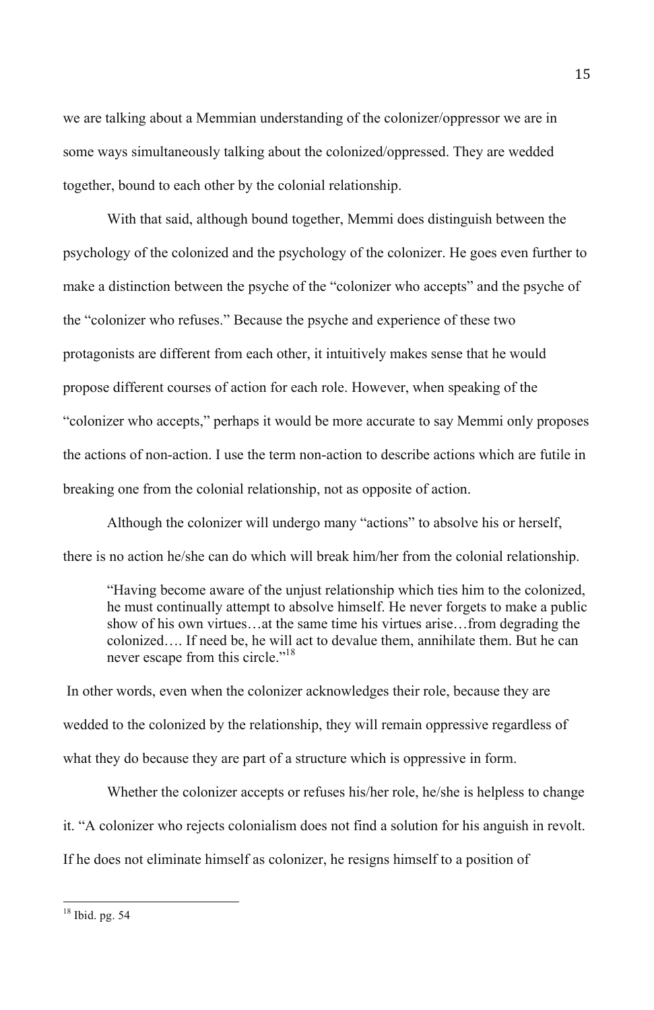we are talking about a Memmian understanding of the colonizer/oppressor we are in some ways simultaneously talking about the colonized/oppressed. They are wedded together, bound to each other by the colonial relationship.

With that said, although bound together, Memmi does distinguish between the psychology of the colonized and the psychology of the colonizer. He goes even further to make a distinction between the psyche of the "colonizer who accepts" and the psyche of the "colonizer who refuses." Because the psyche and experience of these two protagonists are different from each other, it intuitively makes sense that he would propose different courses of action for each role. However, when speaking of the "colonizer who accepts," perhaps it would be more accurate to say Memmi only proposes the actions of non-action. I use the term non-action to describe actions which are futile in breaking one from the colonial relationship, not as opposite of action.

Although the colonizer will undergo many "actions" to absolve his or herself, there is no action he/she can do which will break him/her from the colonial relationship.

"Having become aware of the unjust relationship which ties him to the colonized, he must continually attempt to absolve himself. He never forgets to make a public show of his own virtues…at the same time his virtues arise…from degrading the colonized…. If need be, he will act to devalue them, annihilate them. But he can never escape from this circle."<sup>18</sup>

 In other words, even when the colonizer acknowledges their role, because they are wedded to the colonized by the relationship, they will remain oppressive regardless of what they do because they are part of a structure which is oppressive in form.

Whether the colonizer accepts or refuses his/her role, he/she is helpless to change it. "A colonizer who rejects colonialism does not find a solution for his anguish in revolt. If he does not eliminate himself as colonizer, he resigns himself to a position of

<sup>!!!!!!!!!!!!!!!!!!!!!!!!!!!!!!!!!!!!!!!!!!!!!!!!!!!!!!!!</sup> <sup>18</sup> Ibid. pg. 54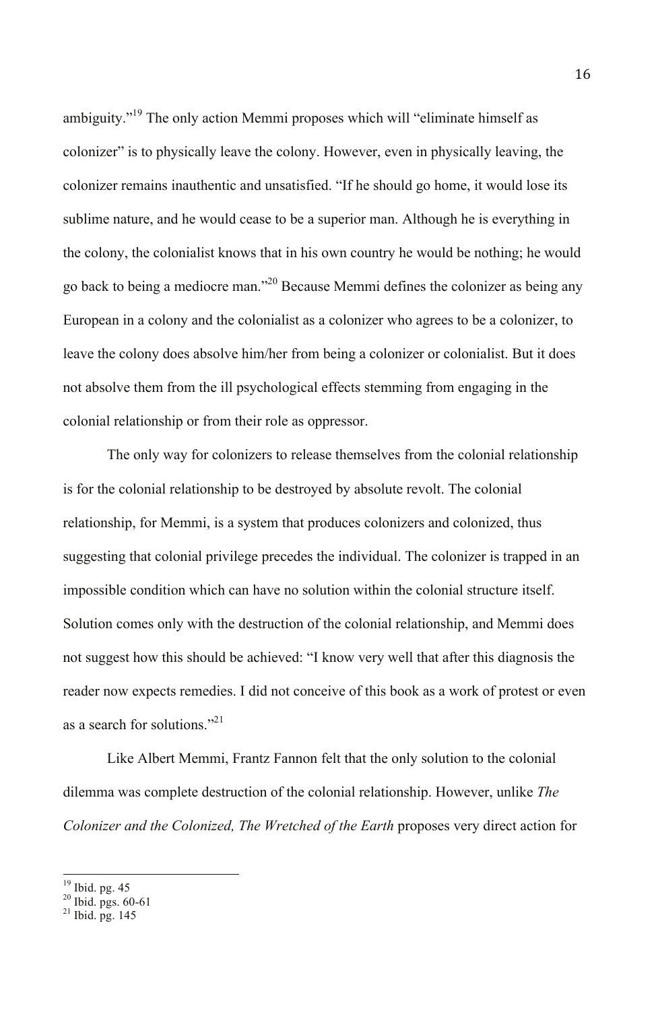ambiguity."<sup>19</sup> The only action Memmi proposes which will "eliminate himself as colonizer" is to physically leave the colony. However, even in physically leaving, the colonizer remains inauthentic and unsatisfied. "If he should go home, it would lose its sublime nature, and he would cease to be a superior man. Although he is everything in the colony, the colonialist knows that in his own country he would be nothing; he would go back to being a mediocre man."<sup>20</sup> Because Memmi defines the colonizer as being any European in a colony and the colonialist as a colonizer who agrees to be a colonizer, to leave the colony does absolve him/her from being a colonizer or colonialist. But it does not absolve them from the ill psychological effects stemming from engaging in the colonial relationship or from their role as oppressor.

The only way for colonizers to release themselves from the colonial relationship is for the colonial relationship to be destroyed by absolute revolt. The colonial relationship, for Memmi, is a system that produces colonizers and colonized, thus suggesting that colonial privilege precedes the individual. The colonizer is trapped in an impossible condition which can have no solution within the colonial structure itself. Solution comes only with the destruction of the colonial relationship, and Memmi does not suggest how this should be achieved: "I know very well that after this diagnosis the reader now expects remedies. I did not conceive of this book as a work of protest or even as a search for solutions."<sup>21</sup>

Like Albert Memmi, Frantz Fannon felt that the only solution to the colonial dilemma was complete destruction of the colonial relationship. However, unlike *The Colonizer and the Colonized, The Wretched of the Earth proposes very direct action for* 

<sup>!!!!!!!!!!!!!!!!!!!!!!!!!!!!!!!!!!!!!!!!!!!!!!!!!!!!!!!!</sup> <sup>19</sup> Ibid. pg. 45

 $^{20}$  Ibid. pgs. 60-61

 $^{21}$  Ibid. pg. 145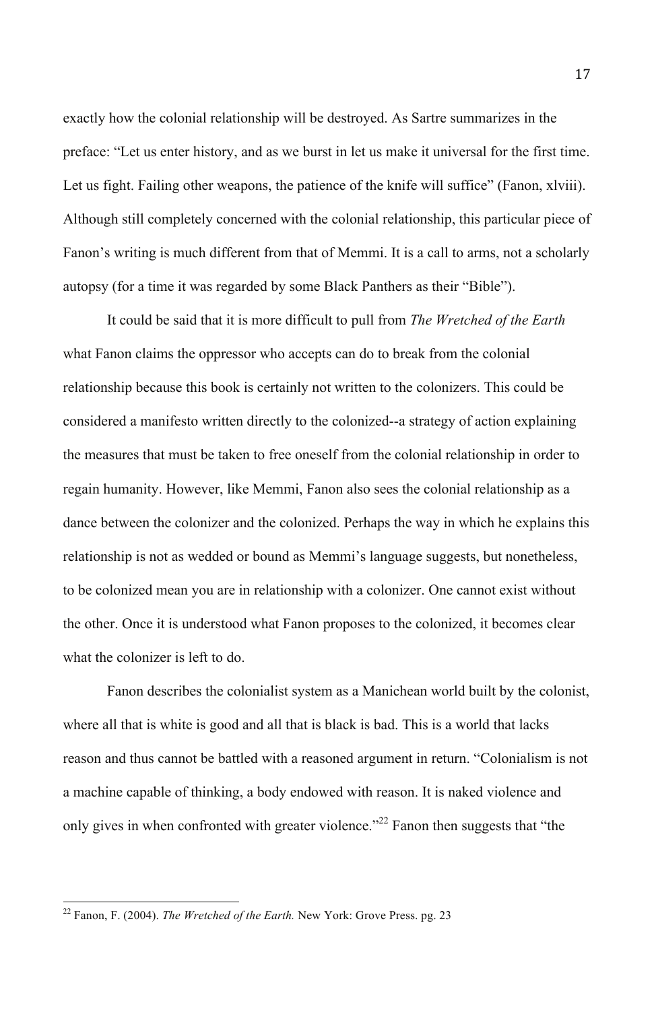exactly how the colonial relationship will be destroyed. As Sartre summarizes in the preface: "Let us enter history, and as we burst in let us make it universal for the first time. Let us fight. Failing other weapons, the patience of the knife will suffice" (Fanon, xlviii). Although still completely concerned with the colonial relationship, this particular piece of Fanon's writing is much different from that of Memmi. It is a call to arms, not a scholarly autopsy (for a time it was regarded by some Black Panthers as their "Bible").

It could be said that it is more difficult to pull from *The Wretched of the Earth* what Fanon claims the oppressor who accepts can do to break from the colonial relationship because this book is certainly not written to the colonizers. This could be considered a manifesto written directly to the colonized--a strategy of action explaining the measures that must be taken to free oneself from the colonial relationship in order to regain humanity. However, like Memmi, Fanon also sees the colonial relationship as a dance between the colonizer and the colonized. Perhaps the way in which he explains this relationship is not as wedded or bound as Memmi's language suggests, but nonetheless, to be colonized mean you are in relationship with a colonizer. One cannot exist without the other. Once it is understood what Fanon proposes to the colonized, it becomes clear what the colonizer is left to do.

Fanon describes the colonialist system as a Manichean world built by the colonist, where all that is white is good and all that is black is bad. This is a world that lacks reason and thus cannot be battled with a reasoned argument in return. "Colonialism is not a machine capable of thinking, a body endowed with reason. It is naked violence and only gives in when confronted with greater violence.<sup>22</sup> Fanon then suggests that "the

<sup>22</sup> Fanon, F. (2004). *The Wretched of the Earth.* New York: Grove Press. pg. 23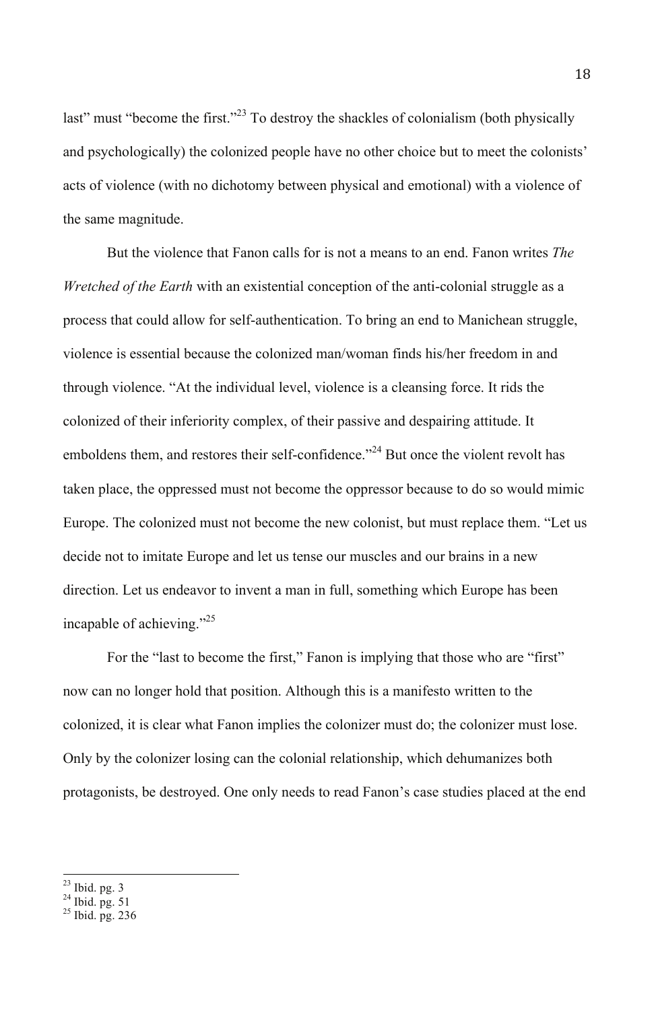last" must "become the first."<sup>23</sup> To destroy the shackles of colonialism (both physically and psychologically) the colonized people have no other choice but to meet the colonists' acts of violence (with no dichotomy between physical and emotional) with a violence of the same magnitude.

But the violence that Fanon calls for is not a means to an end. Fanon writes *The Wretched of the Earth* with an existential conception of the anti-colonial struggle as a process that could allow for self-authentication. To bring an end to Manichean struggle, violence is essential because the colonized man/woman finds his/her freedom in and through violence. "At the individual level, violence is a cleansing force. It rids the colonized of their inferiority complex, of their passive and despairing attitude. It emboldens them, and restores their self-confidence."<sup>24</sup> But once the violent revolt has taken place, the oppressed must not become the oppressor because to do so would mimic Europe. The colonized must not become the new colonist, but must replace them. "Let us decide not to imitate Europe and let us tense our muscles and our brains in a new direction. Let us endeavor to invent a man in full, something which Europe has been incapable of achieving."<sup>25</sup>

For the "last to become the first," Fanon is implying that those who are "first" now can no longer hold that position. Although this is a manifesto written to the colonized, it is clear what Fanon implies the colonizer must do; the colonizer must lose. Only by the colonizer losing can the colonial relationship, which dehumanizes both protagonists, be destroyed. One only needs to read Fanon's case studies placed at the end

 $23$  Ibid. pg. 3

 $^{24}$  Ibid. pg. 51

 $25$  Ibid. pg. 236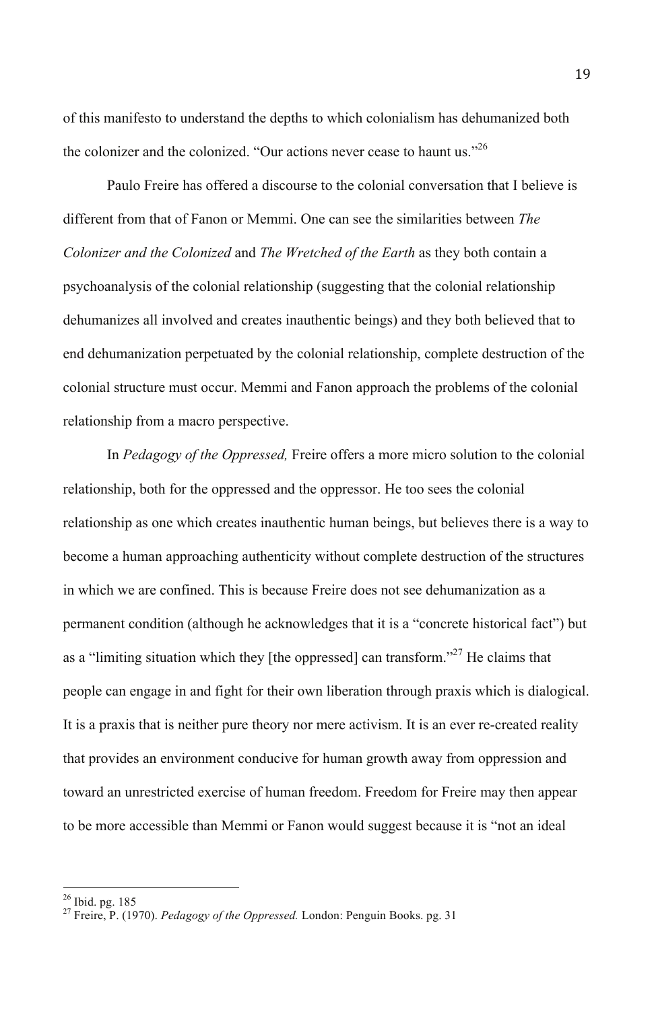of this manifesto to understand the depths to which colonialism has dehumanized both the colonizer and the colonized. "Our actions never cease to haunt us."<sup>26</sup>

Paulo Freire has offered a discourse to the colonial conversation that I believe is different from that of Fanon or Memmi. One can see the similarities between *The Colonizer and the Colonized* and *The Wretched of the Earth* as they both contain a psychoanalysis of the colonial relationship (suggesting that the colonial relationship dehumanizes all involved and creates inauthentic beings) and they both believed that to end dehumanization perpetuated by the colonial relationship, complete destruction of the colonial structure must occur. Memmi and Fanon approach the problems of the colonial relationship from a macro perspective.

In *Pedagogy of the Oppressed,* Freire offers a more micro solution to the colonial relationship, both for the oppressed and the oppressor. He too sees the colonial relationship as one which creates inauthentic human beings, but believes there is a way to become a human approaching authenticity without complete destruction of the structures in which we are confined. This is because Freire does not see dehumanization as a permanent condition (although he acknowledges that it is a "concrete historical fact") but as a "limiting situation which they [the oppressed] can transform.<sup> $27$ </sup> He claims that people can engage in and fight for their own liberation through praxis which is dialogical. It is a praxis that is neither pure theory nor mere activism. It is an ever re-created reality that provides an environment conducive for human growth away from oppression and toward an unrestricted exercise of human freedom. Freedom for Freire may then appear to be more accessible than Memmi or Fanon would suggest because it is "not an ideal

<sup>26</sup> Ibid. pg. 185

<sup>27</sup> Freire, P. (1970). *Pedagogy of the Oppressed.* London: Penguin Books. pg. 31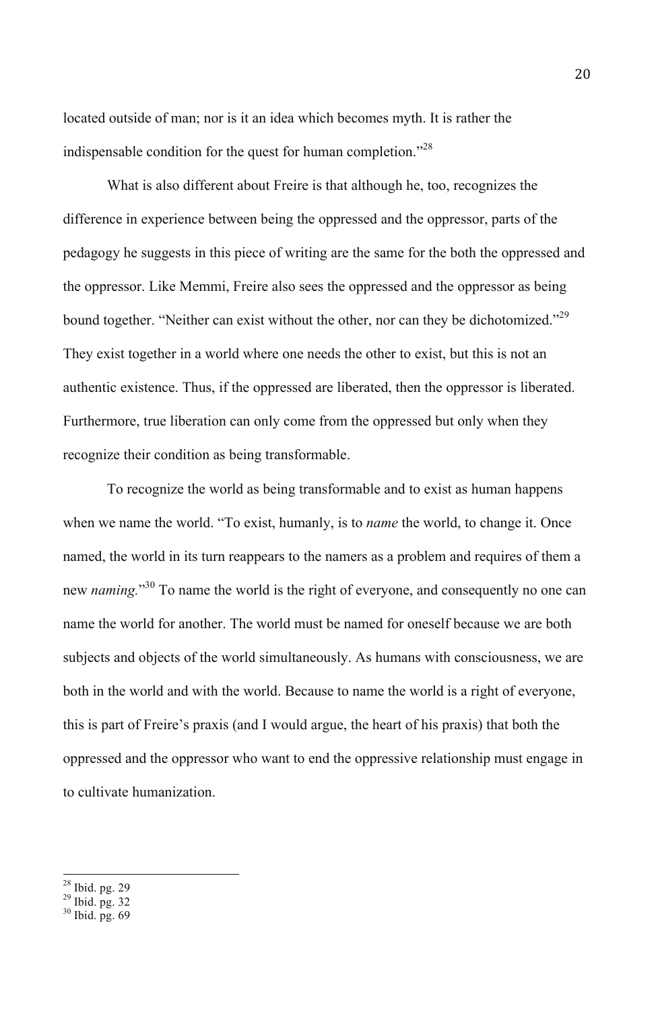located outside of man; nor is it an idea which becomes myth. It is rather the indispensable condition for the quest for human completion."<sup>28</sup>

What is also different about Freire is that although he, too, recognizes the difference in experience between being the oppressed and the oppressor, parts of the pedagogy he suggests in this piece of writing are the same for the both the oppressed and the oppressor. Like Memmi, Freire also sees the oppressed and the oppressor as being bound together. "Neither can exist without the other, nor can they be dichotomized."<sup>29</sup> They exist together in a world where one needs the other to exist, but this is not an authentic existence. Thus, if the oppressed are liberated, then the oppressor is liberated. Furthermore, true liberation can only come from the oppressed but only when they recognize their condition as being transformable.

To recognize the world as being transformable and to exist as human happens when we name the world. "To exist, humanly, is to *name* the world, to change it. Once named, the world in its turn reappears to the namers as a problem and requires of them a new *naming*."<sup>30</sup> To name the world is the right of everyone, and consequently no one can name the world for another. The world must be named for oneself because we are both subjects and objects of the world simultaneously. As humans with consciousness, we are both in the world and with the world. Because to name the world is a right of everyone, this is part of Freire's praxis (and I would argue, the heart of his praxis) that both the oppressed and the oppressor who want to end the oppressive relationship must engage in to cultivate humanization.

<sup>28</sup> Ibid. pg. 29

 $^{29}$  Ibid. pg. 32

 $30$  Ibid. pg. 69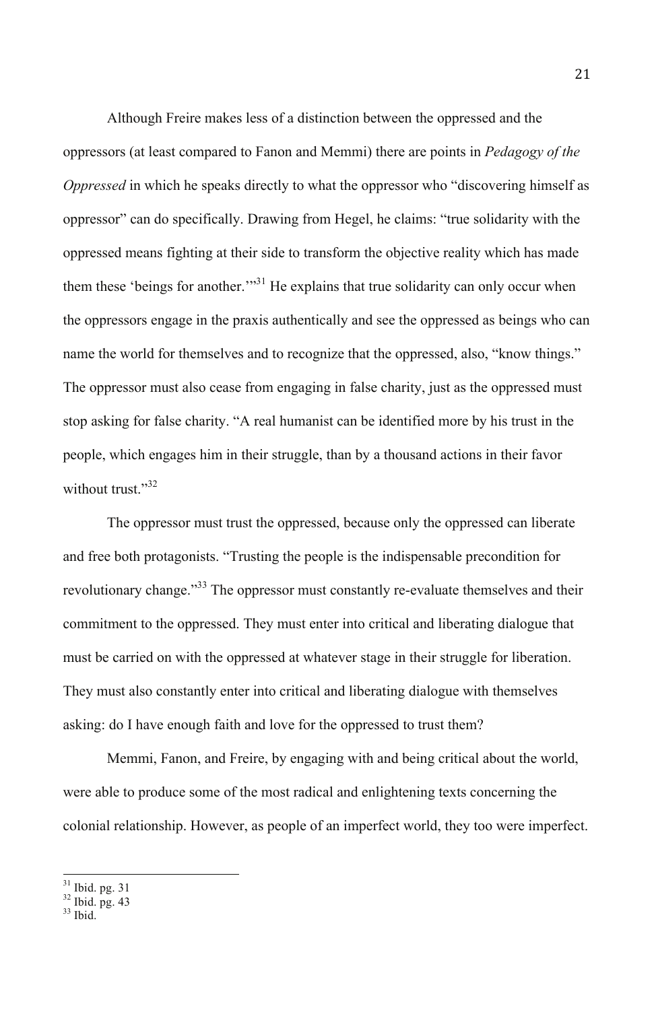Although Freire makes less of a distinction between the oppressed and the oppressors (at least compared to Fanon and Memmi) there are points in *Pedagogy of the Oppressed* in which he speaks directly to what the oppressor who "discovering himself as oppressor" can do specifically. Drawing from Hegel, he claims: "true solidarity with the oppressed means fighting at their side to transform the objective reality which has made them these 'beings for another.'<sup>331</sup> He explains that true solidarity can only occur when the oppressors engage in the praxis authentically and see the oppressed as beings who can name the world for themselves and to recognize that the oppressed, also, "know things." The oppressor must also cease from engaging in false charity, just as the oppressed must stop asking for false charity. "A real humanist can be identified more by his trust in the people, which engages him in their struggle, than by a thousand actions in their favor without trust."<sup>32</sup>

 The oppressor must trust the oppressed, because only the oppressed can liberate and free both protagonists. "Trusting the people is the indispensable precondition for revolutionary change."<sup>33</sup> The oppressor must constantly re-evaluate themselves and their commitment to the oppressed. They must enter into critical and liberating dialogue that must be carried on with the oppressed at whatever stage in their struggle for liberation. They must also constantly enter into critical and liberating dialogue with themselves asking: do I have enough faith and love for the oppressed to trust them?

 Memmi, Fanon, and Freire, by engaging with and being critical about the world, were able to produce some of the most radical and enlightening texts concerning the colonial relationship. However, as people of an imperfect world, they too were imperfect.

 $31$  Ibid. pg.  $31$ 

 $32$  Ibid. pg. 43

 $33$  Ibid.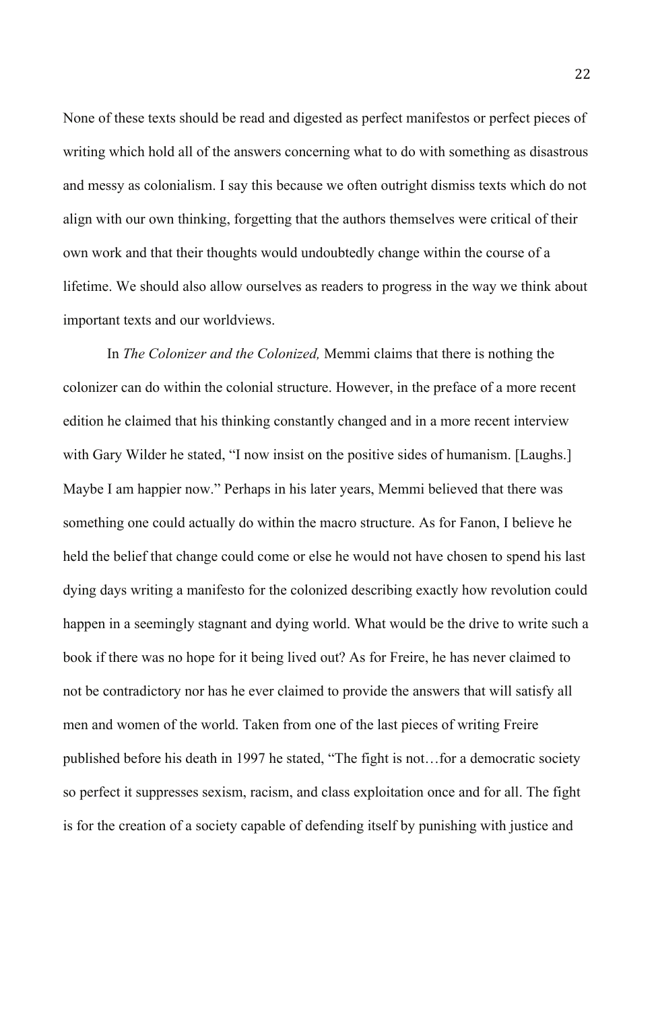None of these texts should be read and digested as perfect manifestos or perfect pieces of writing which hold all of the answers concerning what to do with something as disastrous and messy as colonialism. I say this because we often outright dismiss texts which do not align with our own thinking, forgetting that the authors themselves were critical of their own work and that their thoughts would undoubtedly change within the course of a lifetime. We should also allow ourselves as readers to progress in the way we think about important texts and our worldviews.

 In *The Colonizer and the Colonized,* Memmi claims that there is nothing the colonizer can do within the colonial structure. However, in the preface of a more recent edition he claimed that his thinking constantly changed and in a more recent interview with Gary Wilder he stated, "I now insist on the positive sides of humanism. [Laughs.] Maybe I am happier now." Perhaps in his later years, Memmi believed that there was something one could actually do within the macro structure. As for Fanon, I believe he held the belief that change could come or else he would not have chosen to spend his last dying days writing a manifesto for the colonized describing exactly how revolution could happen in a seemingly stagnant and dying world. What would be the drive to write such a book if there was no hope for it being lived out? As for Freire, he has never claimed to not be contradictory nor has he ever claimed to provide the answers that will satisfy all men and women of the world. Taken from one of the last pieces of writing Freire published before his death in 1997 he stated, "The fight is not…for a democratic society so perfect it suppresses sexism, racism, and class exploitation once and for all. The fight is for the creation of a society capable of defending itself by punishing with justice and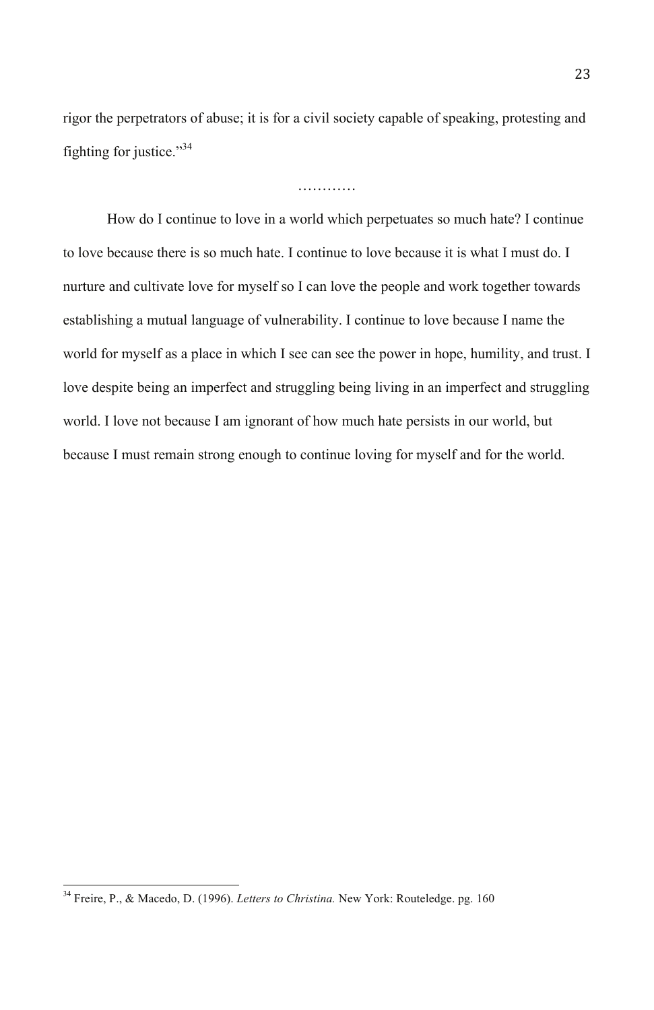rigor the perpetrators of abuse; it is for a civil society capable of speaking, protesting and fighting for justice."<sup>34</sup>

How do I continue to love in a world which perpetuates so much hate? I continue to love because there is so much hate. I continue to love because it is what I must do. I nurture and cultivate love for myself so I can love the people and work together towards establishing a mutual language of vulnerability. I continue to love because I name the world for myself as a place in which I see can see the power in hope, humility, and trust. I love despite being an imperfect and struggling being living in an imperfect and struggling world. I love not because I am ignorant of how much hate persists in our world, but because I must remain strong enough to continue loving for myself and for the world.

<sup>34</sup> Freire, P., & Macedo, D. (1996). *Letters to Christina.* New York: Routeledge. pg. 160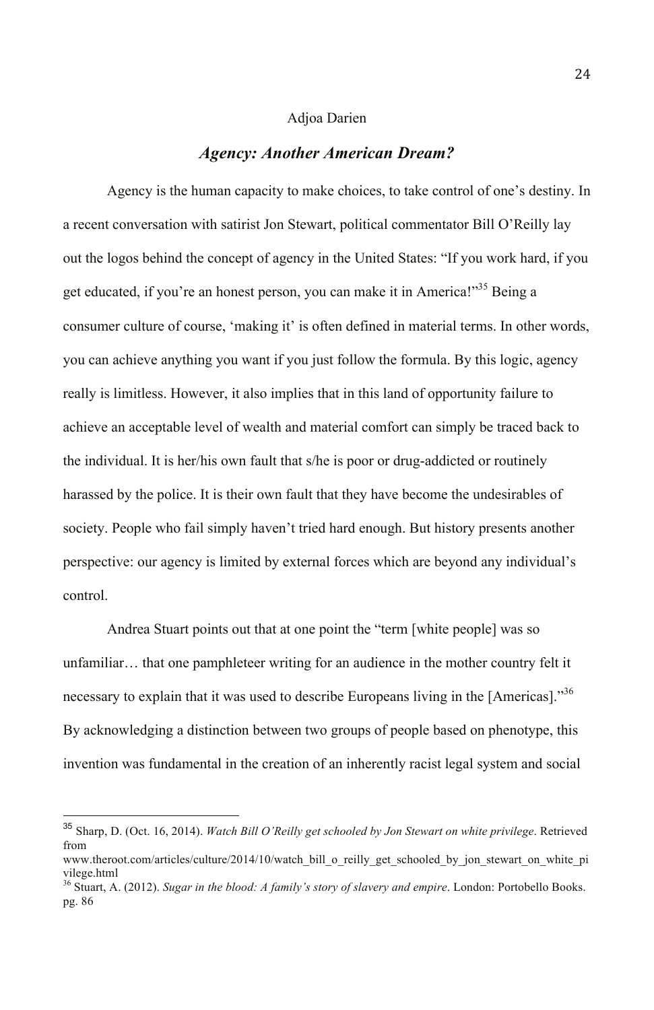#### Adjoa Darien

#### *Agency: Another American Dream?*

 Agency is the human capacity to make choices, to take control of one's destiny. In a recent conversation with satirist Jon Stewart, political commentator Bill O'Reilly lay out the logos behind the concept of agency in the United States: "If you work hard, if you get educated, if you're an honest person, you can make it in America!"<sup>35</sup> Being a consumer culture of course, 'making it' is often defined in material terms. In other words, you can achieve anything you want if you just follow the formula. By this logic, agency really is limitless. However, it also implies that in this land of opportunity failure to achieve an acceptable level of wealth and material comfort can simply be traced back to the individual. It is her/his own fault that s/he is poor or drug-addicted or routinely harassed by the police. It is their own fault that they have become the undesirables of society. People who fail simply haven't tried hard enough. But history presents another perspective: our agency is limited by external forces which are beyond any individual's control.

Andrea Stuart points out that at one point the "term [white people] was so unfamiliar… that one pamphleteer writing for an audience in the mother country felt it necessary to explain that it was used to describe Europeans living in the [Americas]."<sup>36</sup> By acknowledging a distinction between two groups of people based on phenotype, this invention was fundamental in the creation of an inherently racist legal system and social

<sup>&</sup>lt;sup>35</sup> Sharp, D. (Oct. 16, 2014). *Watch Bill O'Reilly get schooled by Jon Stewart on white privilege*. Retrieved from

www.theroot.com/articles/culture/2014/10/watch\_bill\_o\_reilly\_get\_schooled\_by\_jon\_stewart\_on\_white\_pi vilege.html

<sup>36</sup> Stuart, A. (2012). *Sugar in the blood: A family's story of slavery and empire*. London: Portobello Books. pg. 86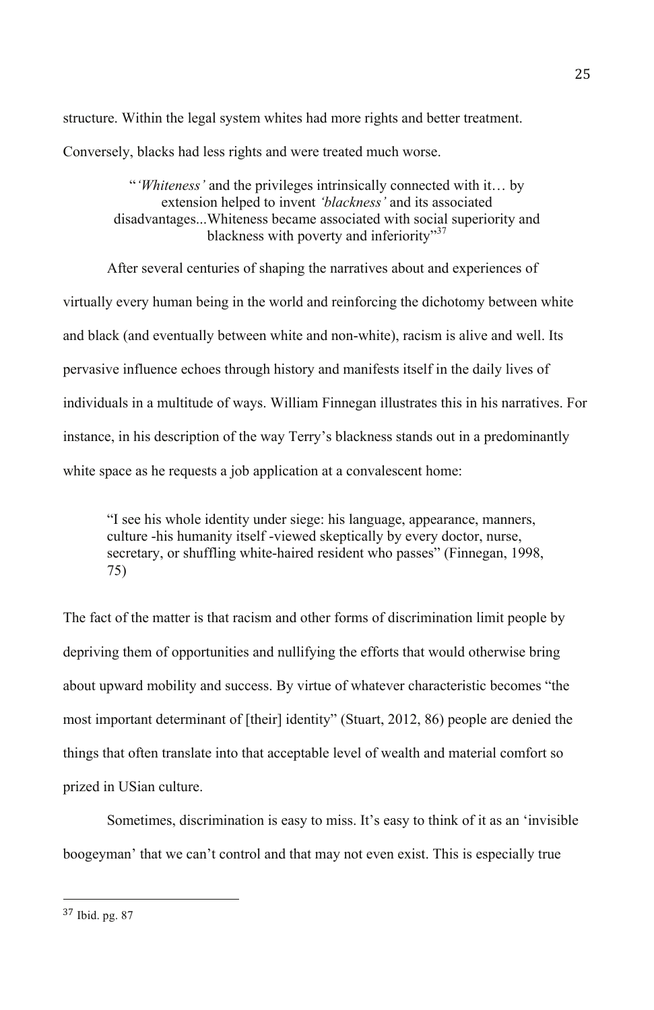structure. Within the legal system whites had more rights and better treatment. Conversely, blacks had less rights and were treated much worse.

> "*'Whiteness'* and the privileges intrinsically connected with it… by extension helped to invent *'blackness'* and its associated disadvantages...Whiteness became associated with social superiority and blackness with poverty and inferiority<sup>37</sup>

 After several centuries of shaping the narratives about and experiences of virtually every human being in the world and reinforcing the dichotomy between white and black (and eventually between white and non-white), racism is alive and well. Its pervasive influence echoes through history and manifests itself in the daily lives of individuals in a multitude of ways. William Finnegan illustrates this in his narratives. For instance, in his description of the way Terry's blackness stands out in a predominantly white space as he requests a job application at a convalescent home:

"I see his whole identity under siege: his language, appearance, manners, culture -his humanity itself -viewed skeptically by every doctor, nurse, secretary, or shuffling white-haired resident who passes" (Finnegan, 1998, 75)

The fact of the matter is that racism and other forms of discrimination limit people by depriving them of opportunities and nullifying the efforts that would otherwise bring about upward mobility and success. By virtue of whatever characteristic becomes "the most important determinant of [their] identity" (Stuart, 2012, 86) people are denied the things that often translate into that acceptable level of wealth and material comfort so prized in USian culture.

Sometimes, discrimination is easy to miss. It's easy to think of it as an 'invisible boogeyman' that we can't control and that may not even exist. This is especially true

 $37$  Ibid. pg.  $87$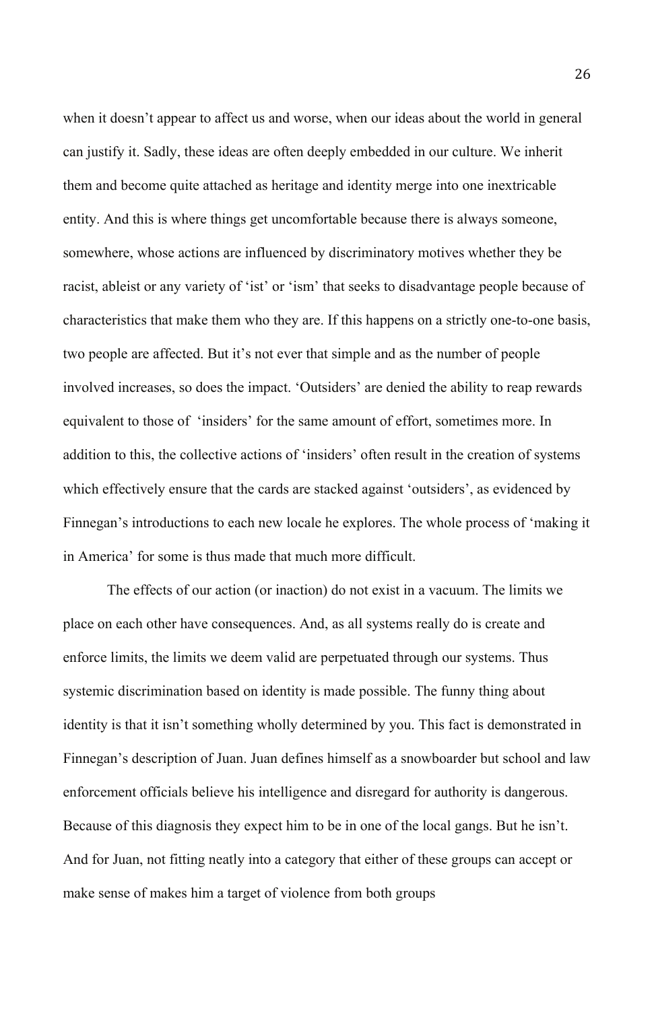when it doesn't appear to affect us and worse, when our ideas about the world in general can justify it. Sadly, these ideas are often deeply embedded in our culture. We inherit them and become quite attached as heritage and identity merge into one inextricable entity. And this is where things get uncomfortable because there is always someone, somewhere, whose actions are influenced by discriminatory motives whether they be racist, ableist or any variety of 'ist' or 'ism' that seeks to disadvantage people because of characteristics that make them who they are. If this happens on a strictly one-to-one basis, two people are affected. But it's not ever that simple and as the number of people involved increases, so does the impact. 'Outsiders' are denied the ability to reap rewards equivalent to those of 'insiders' for the same amount of effort, sometimes more. In addition to this, the collective actions of 'insiders' often result in the creation of systems which effectively ensure that the cards are stacked against 'outsiders', as evidenced by Finnegan's introductions to each new locale he explores. The whole process of 'making it in America' for some is thus made that much more difficult.

The effects of our action (or inaction) do not exist in a vacuum. The limits we place on each other have consequences. And, as all systems really do is create and enforce limits, the limits we deem valid are perpetuated through our systems. Thus systemic discrimination based on identity is made possible. The funny thing about identity is that it isn't something wholly determined by you. This fact is demonstrated in Finnegan's description of Juan. Juan defines himself as a snowboarder but school and law enforcement officials believe his intelligence and disregard for authority is dangerous. Because of this diagnosis they expect him to be in one of the local gangs. But he isn't. And for Juan, not fitting neatly into a category that either of these groups can accept or make sense of makes him a target of violence from both groups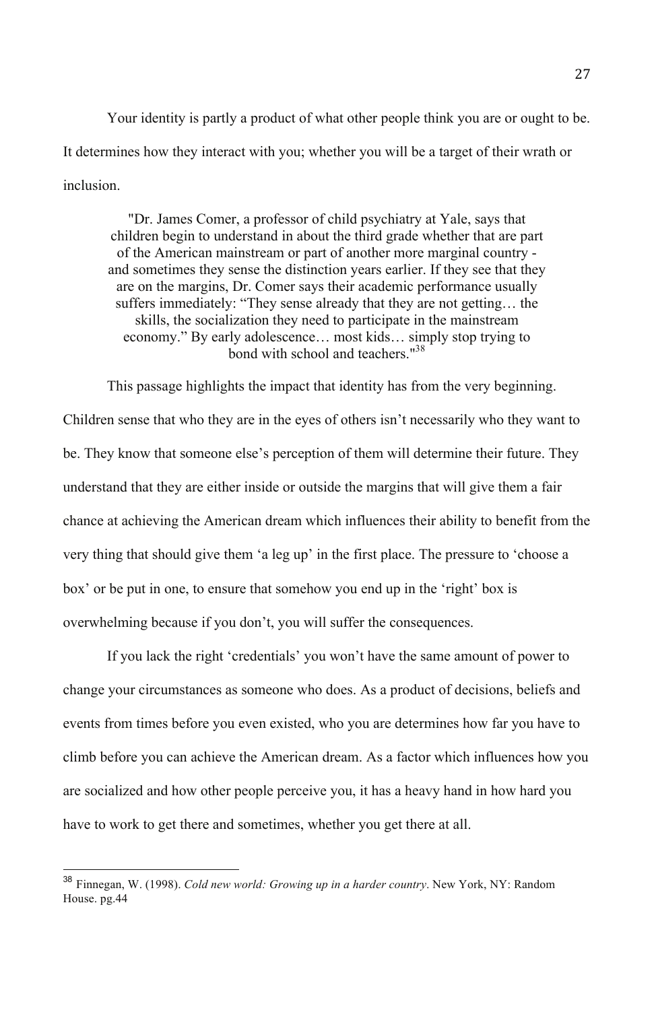Your identity is partly a product of what other people think you are or ought to be. It determines how they interact with you; whether you will be a target of their wrath or inclusion.

"Dr. James Comer, a professor of child psychiatry at Yale, says that children begin to understand in about the third grade whether that are part of the American mainstream or part of another more marginal country and sometimes they sense the distinction years earlier. If they see that they are on the margins, Dr. Comer says their academic performance usually suffers immediately: "They sense already that they are not getting… the skills, the socialization they need to participate in the mainstream economy." By early adolescence… most kids… simply stop trying to bond with school and teachers."<sup>38</sup>

 This passage highlights the impact that identity has from the very beginning. Children sense that who they are in the eyes of others isn't necessarily who they want to be. They know that someone else's perception of them will determine their future. They understand that they are either inside or outside the margins that will give them a fair chance at achieving the American dream which influences their ability to benefit from the very thing that should give them 'a leg up' in the first place. The pressure to 'choose a box' or be put in one, to ensure that somehow you end up in the 'right' box is overwhelming because if you don't, you will suffer the consequences.

If you lack the right 'credentials' you won't have the same amount of power to change your circumstances as someone who does. As a product of decisions, beliefs and events from times before you even existed, who you are determines how far you have to climb before you can achieve the American dream. As a factor which influences how you are socialized and how other people perceive you, it has a heavy hand in how hard you have to work to get there and sometimes, whether you get there at all.

<sup>&</sup>lt;sup>38</sup> Finnegan, W. (1998). *Cold new world: Growing up in a harder country*. New York, NY: Random House. pg.44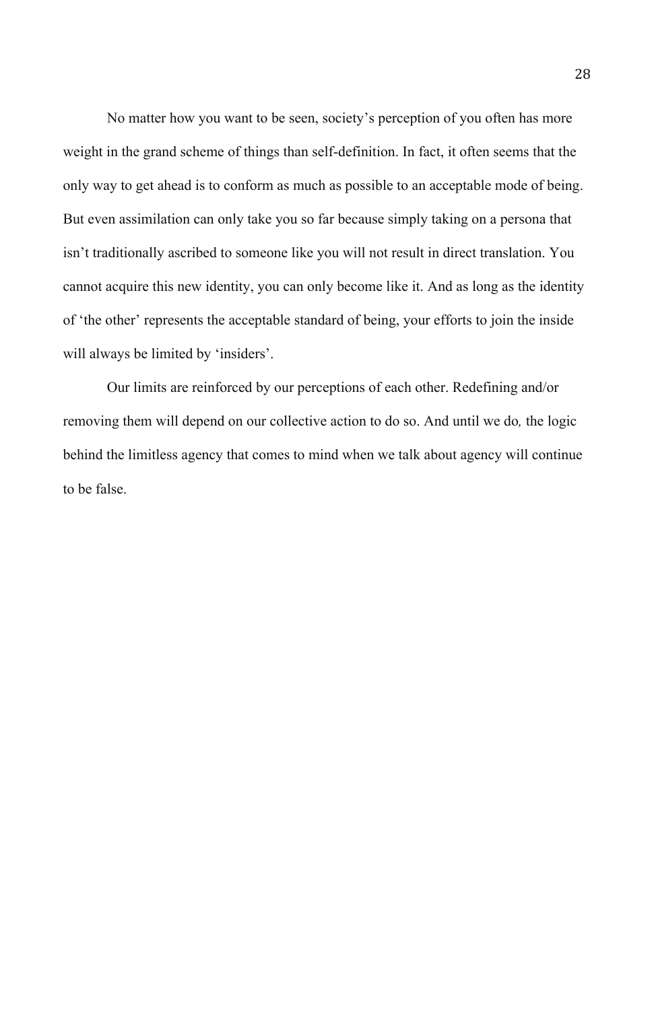No matter how you want to be seen, society's perception of you often has more weight in the grand scheme of things than self-definition. In fact, it often seems that the only way to get ahead is to conform as much as possible to an acceptable mode of being. But even assimilation can only take you so far because simply taking on a persona that isn't traditionally ascribed to someone like you will not result in direct translation. You cannot acquire this new identity, you can only become like it. And as long as the identity of 'the other' represents the acceptable standard of being, your efforts to join the inside will always be limited by 'insiders'.

Our limits are reinforced by our perceptions of each other. Redefining and/or removing them will depend on our collective action to do so. And until we do*,* the logic behind the limitless agency that comes to mind when we talk about agency will continue to be false.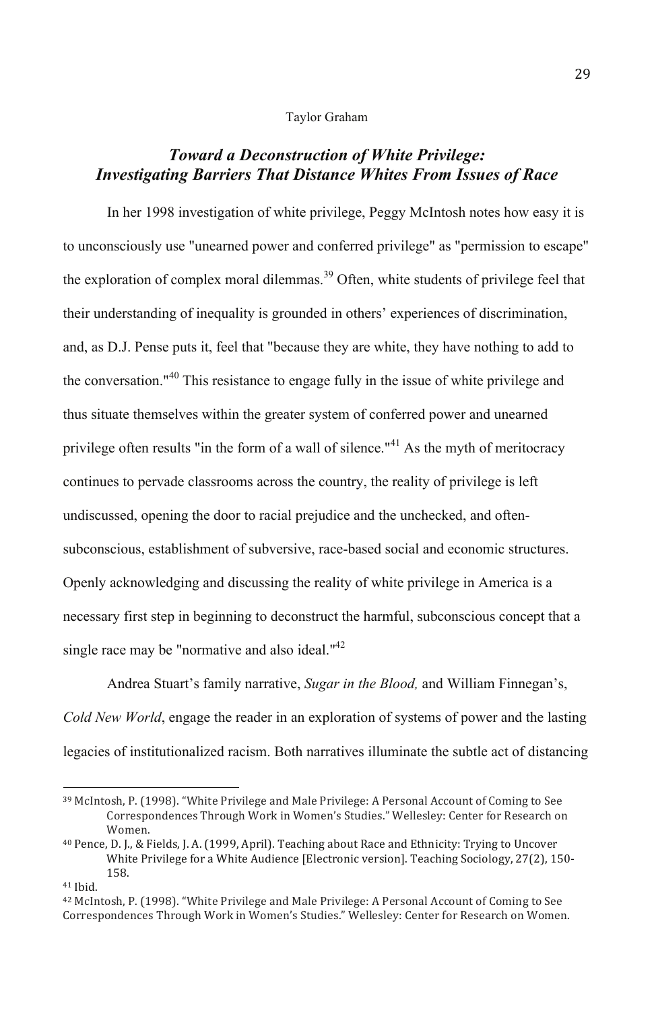#### Taylor Graham

### *Toward a Deconstruction of White Privilege: Investigating Barriers That Distance Whites From Issues of Race*

 In her 1998 investigation of white privilege, Peggy McIntosh notes how easy it is to unconsciously use "unearned power and conferred privilege" as "permission to escape" the exploration of complex moral dilemmas.<sup>39</sup> Often, white students of privilege feel that their understanding of inequality is grounded in others' experiences of discrimination, and, as D.J. Pense puts it, feel that "because they are white, they have nothing to add to the conversation.<sup>"40</sup> This resistance to engage fully in the issue of white privilege and thus situate themselves within the greater system of conferred power and unearned privilege often results "in the form of a wall of silence."<sup>41</sup> As the myth of meritocracy continues to pervade classrooms across the country, the reality of privilege is left undiscussed, opening the door to racial prejudice and the unchecked, and oftensubconscious, establishment of subversive, race-based social and economic structures. Openly acknowledging and discussing the reality of white privilege in America is a necessary first step in beginning to deconstruct the harmful, subconscious concept that a single race may be "normative and also ideal."<sup>42</sup>

Andrea Stuart's family narrative, *Sugar in the Blood,* and William Finnegan's, *Cold New World*, engage the reader in an exploration of systems of power and the lasting legacies of institutionalized racism. Both narratives illuminate the subtle act of distancing

 $41$  Ihid.

<sup>&</sup>lt;sup>39</sup> McIntosh, P. (1998). "White Privilege and Male Privilege: A Personal Account of Coming to See Correspondences Through Work in Women's Studies." Wellesley: Center for Research on Women.

<sup>&</sup>lt;sup>40</sup> Pence, D. J., & Fields, J. A. (1999, April). Teaching about Race and Ethnicity: Trying to Uncover White Privilege for a White Audience [Electronic version]. Teaching Sociology, 27(2), 150-158.

<sup>&</sup>lt;sup>42</sup> McIntosh, P. (1998). "White Privilege and Male Privilege: A Personal Account of Coming to See Correspondences Through Work in Women's Studies." Wellesley: Center for Research on Women.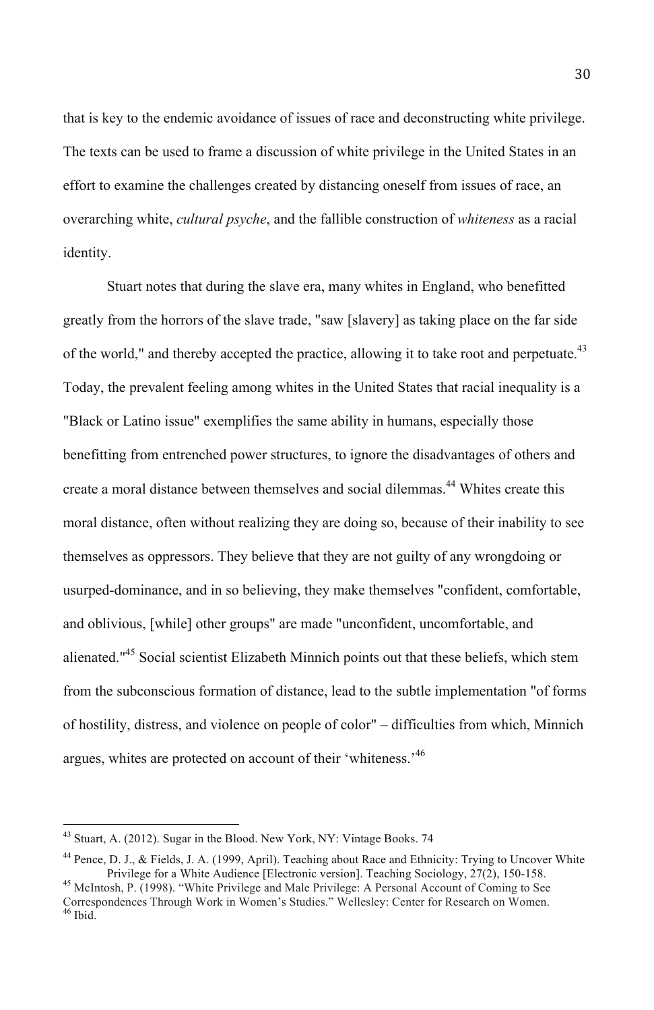that is key to the endemic avoidance of issues of race and deconstructing white privilege. The texts can be used to frame a discussion of white privilege in the United States in an effort to examine the challenges created by distancing oneself from issues of race, an overarching white, *cultural psyche*, and the fallible construction of *whiteness* as a racial identity.

Stuart notes that during the slave era, many whites in England, who benefitted greatly from the horrors of the slave trade, "saw [slavery] as taking place on the far side of the world," and thereby accepted the practice, allowing it to take root and perpetuate.<sup>43</sup> Today, the prevalent feeling among whites in the United States that racial inequality is a "Black or Latino issue" exemplifies the same ability in humans, especially those benefitting from entrenched power structures, to ignore the disadvantages of others and create a moral distance between themselves and social dilemmas.<sup>44</sup> Whites create this moral distance, often without realizing they are doing so, because of their inability to see themselves as oppressors. They believe that they are not guilty of any wrongdoing or usurped-dominance, and in so believing, they make themselves "confident, comfortable, and oblivious, [while] other groups" are made "unconfident, uncomfortable, and alienated."<sup>45</sup> Social scientist Elizabeth Minnich points out that these beliefs, which stem from the subconscious formation of distance, lead to the subtle implementation "of forms of hostility, distress, and violence on people of color" – difficulties from which, Minnich argues, whites are protected on account of their 'whiteness.'<sup>46</sup>

<sup>&</sup>lt;sup>43</sup> Stuart, A. (2012). Sugar in the Blood. New York, NY: Vintage Books. 74

<sup>44</sup> Pence, D. J., & Fields, J. A. (1999, April). Teaching about Race and Ethnicity: Trying to Uncover White Privilege for a White Audience [Electronic version]. Teaching Sociology, 27(2), 150-158.

<sup>45</sup> McIntosh, P. (1998). "White Privilege and Male Privilege: A Personal Account of Coming to See Correspondences Through Work in Women's Studies." Wellesley: Center for Research on Women.  $46$  Ibid.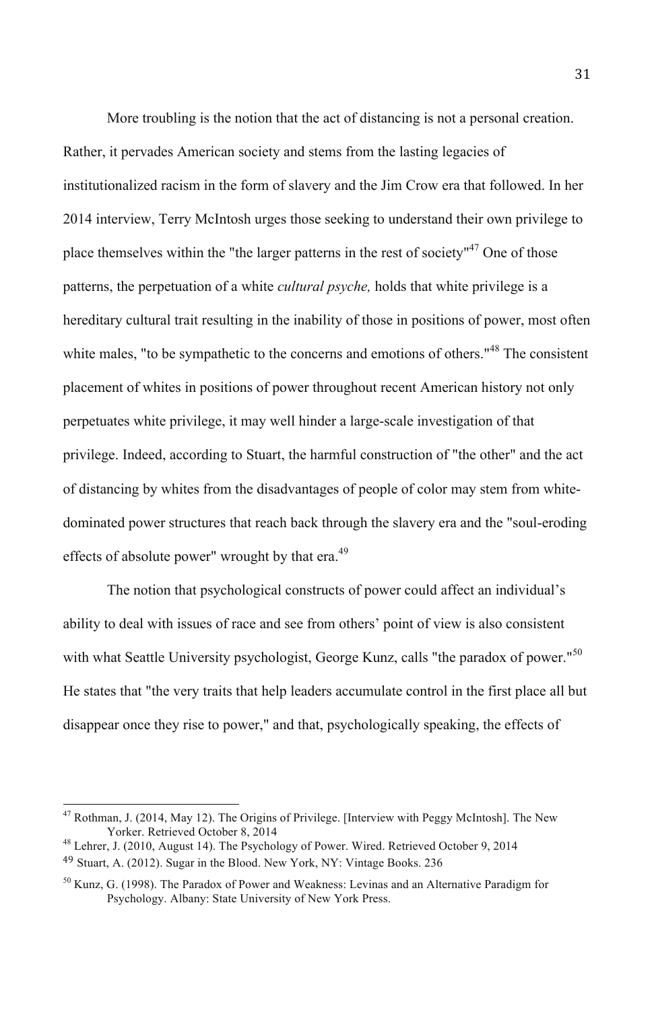More troubling is the notion that the act of distancing is not a personal creation. Rather, it pervades American society and stems from the lasting legacies of institutionalized racism in the form of slavery and the Jim Crow era that followed. In her 2014 interview, Terry McIntosh urges those seeking to understand their own privilege to place themselves within the "the larger patterns in the rest of society"<sup>47</sup> One of those patterns, the perpetuation of a white *cultural psyche,* holds that white privilege is a hereditary cultural trait resulting in the inability of those in positions of power, most often white males, "to be sympathetic to the concerns and emotions of others."<sup>48</sup> The consistent placement of whites in positions of power throughout recent American history not only perpetuates white privilege, it may well hinder a large-scale investigation of that privilege. Indeed, according to Stuart, the harmful construction of "the other" and the act of distancing by whites from the disadvantages of people of color may stem from whitedominated power structures that reach back through the slavery era and the "soul-eroding effects of absolute power" wrought by that era.<sup>49</sup>

 The notion that psychological constructs of power could affect an individual's ability to deal with issues of race and see from others' point of view is also consistent with what Seattle University psychologist, George Kunz, calls "the paradox of power."<sup>50</sup> He states that "the very traits that help leaders accumulate control in the first place all but disappear once they rise to power," and that, psychologically speaking, the effects of

<sup>&</sup>lt;sup>47</sup> Rothman, J. (2014, May 12). The Origins of Privilege. [Interview with Peggy McIntosh]. The New Yorker. Retrieved October 8, 2014

<sup>48</sup> Lehrer, J. (2010, August 14). The Psychology of Power. Wired. Retrieved October 9, 2014

<sup>&</sup>lt;sup>49</sup> Stuart, A. (2012). Sugar in the Blood. New York, NY: Vintage Books. 236

<sup>50</sup> Kunz, G. (1998). The Paradox of Power and Weakness: Levinas and an Alternative Paradigm for Psychology. Albany: State University of New York Press.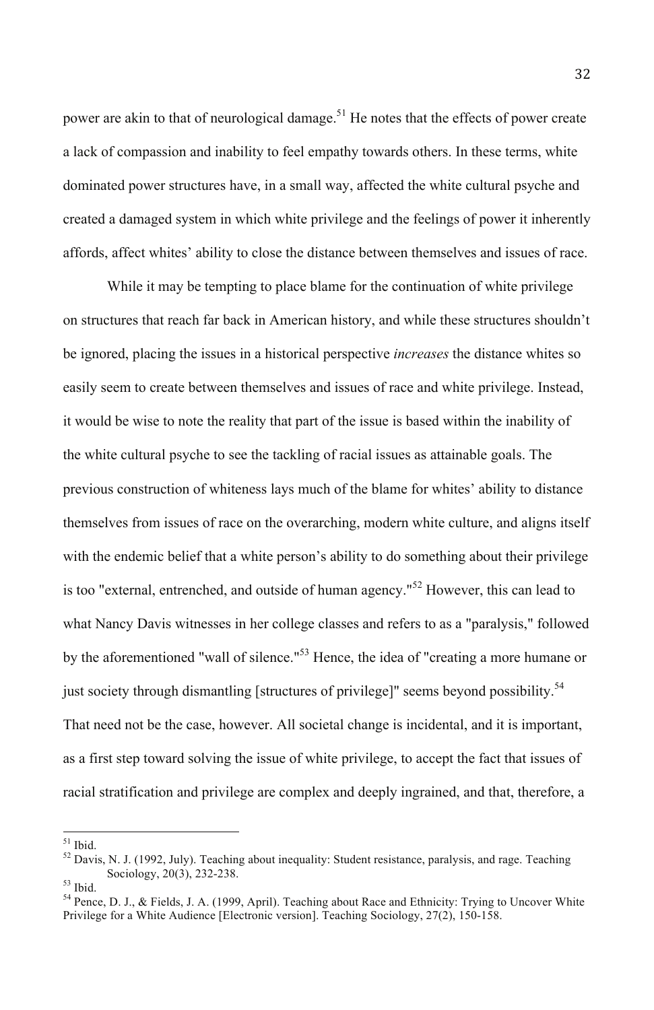power are akin to that of neurological damage.<sup>51</sup> He notes that the effects of power create a lack of compassion and inability to feel empathy towards others. In these terms, white dominated power structures have, in a small way, affected the white cultural psyche and created a damaged system in which white privilege and the feelings of power it inherently affords, affect whites' ability to close the distance between themselves and issues of race.

 While it may be tempting to place blame for the continuation of white privilege on structures that reach far back in American history, and while these structures shouldn't be ignored, placing the issues in a historical perspective *increases* the distance whites so easily seem to create between themselves and issues of race and white privilege. Instead, it would be wise to note the reality that part of the issue is based within the inability of the white cultural psyche to see the tackling of racial issues as attainable goals. The previous construction of whiteness lays much of the blame for whites' ability to distance themselves from issues of race on the overarching, modern white culture, and aligns itself with the endemic belief that a white person's ability to do something about their privilege is too "external, entrenched, and outside of human agency."<sup>52</sup> However, this can lead to what Nancy Davis witnesses in her college classes and refers to as a "paralysis," followed by the aforementioned "wall of silence."<sup>53</sup> Hence, the idea of "creating a more humane or just society through dismantling [structures of privilege]" seems beyond possibility.<sup>54</sup> That need not be the case, however. All societal change is incidental, and it is important, as a first step toward solving the issue of white privilege, to accept the fact that issues of racial stratification and privilege are complex and deeply ingrained, and that, therefore, a

 $51$  Ibid.

 $52$  Davis, N. J. (1992, July). Teaching about inequality: Student resistance, paralysis, and rage. Teaching Sociology, 20(3), 232-238.

<sup>53</sup> Ibid.

<sup>54</sup> Pence, D. J., & Fields, J. A. (1999, April). Teaching about Race and Ethnicity: Trying to Uncover White Privilege for a White Audience [Electronic version]. Teaching Sociology, 27(2), 150-158.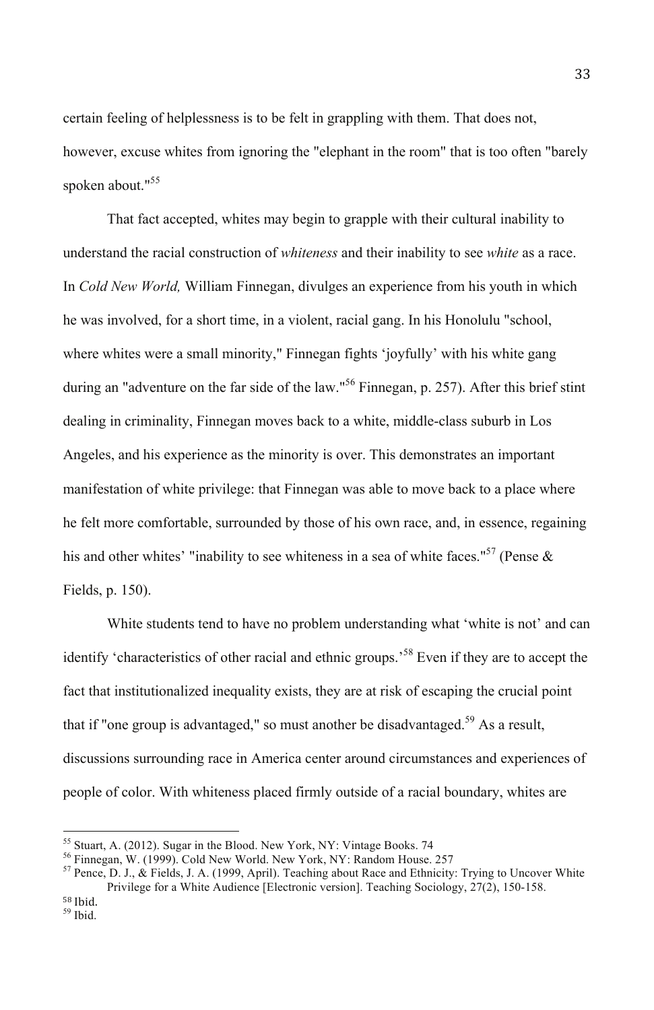certain feeling of helplessness is to be felt in grappling with them. That does not, however, excuse whites from ignoring the "elephant in the room" that is too often "barely spoken about."<sup>55</sup>

That fact accepted, whites may begin to grapple with their cultural inability to understand the racial construction of *whiteness* and their inability to see *white* as a race. In *Cold New World,* William Finnegan, divulges an experience from his youth in which he was involved, for a short time, in a violent, racial gang. In his Honolulu "school, where whites were a small minority," Finnegan fights 'joyfully' with his white gang during an "adventure on the far side of the law."<sup>56</sup> Finnegan, p. 257). After this brief stint dealing in criminality, Finnegan moves back to a white, middle-class suburb in Los Angeles, and his experience as the minority is over. This demonstrates an important manifestation of white privilege: that Finnegan was able to move back to a place where he felt more comfortable, surrounded by those of his own race, and, in essence, regaining his and other whites' "inability to see whiteness in a sea of white faces."<sup>57</sup> (Pense  $\&$ Fields, p. 150).

White students tend to have no problem understanding what 'white is not' and can identify 'characteristics of other racial and ethnic groups.<sup>58</sup> Even if they are to accept the fact that institutionalized inequality exists, they are at risk of escaping the crucial point that if "one group is advantaged," so must another be disadvantaged.<sup>59</sup> As a result. discussions surrounding race in America center around circumstances and experiences of people of color. With whiteness placed firmly outside of a racial boundary, whites are

<sup>&</sup>lt;sup>55</sup> Stuart, A. (2012). Sugar in the Blood. New York, NY: Vintage Books. 74

<sup>56</sup> Finnegan, W. (1999). Cold New World. New York, NY: Random House. 257

 $57$  Pence, D. J., & Fields, J. A. (1999, April). Teaching about Race and Ethnicity: Trying to Uncover White Privilege for a White Audience [Electronic version]. Teaching Sociology, 27(2), 150-158.  $58$  Ibid.

<sup>59</sup> Ibid.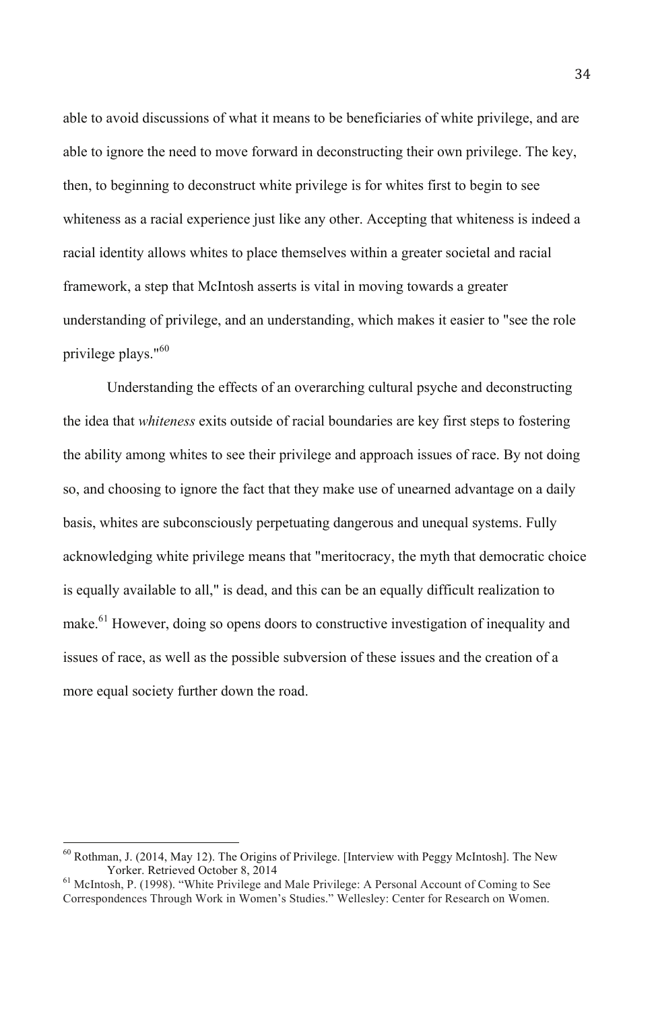able to avoid discussions of what it means to be beneficiaries of white privilege, and are able to ignore the need to move forward in deconstructing their own privilege. The key, then, to beginning to deconstruct white privilege is for whites first to begin to see whiteness as a racial experience just like any other. Accepting that whiteness is indeed a racial identity allows whites to place themselves within a greater societal and racial framework, a step that McIntosh asserts is vital in moving towards a greater understanding of privilege, and an understanding, which makes it easier to "see the role privilege plays."<sup>60</sup>

 Understanding the effects of an overarching cultural psyche and deconstructing the idea that *whiteness* exits outside of racial boundaries are key first steps to fostering the ability among whites to see their privilege and approach issues of race. By not doing so, and choosing to ignore the fact that they make use of unearned advantage on a daily basis, whites are subconsciously perpetuating dangerous and unequal systems. Fully acknowledging white privilege means that "meritocracy, the myth that democratic choice is equally available to all," is dead, and this can be an equally difficult realization to make.<sup>61</sup> However, doing so opens doors to constructive investigation of inequality and issues of race, as well as the possible subversion of these issues and the creation of a more equal society further down the road.

<sup>60</sup> Rothman, J. (2014, May 12). The Origins of Privilege. [Interview with Peggy McIntosh]. The New Yorker. Retrieved October 8, 2014

<sup>61</sup> McIntosh, P. (1998). "White Privilege and Male Privilege: A Personal Account of Coming to See Correspondences Through Work in Women's Studies." Wellesley: Center for Research on Women.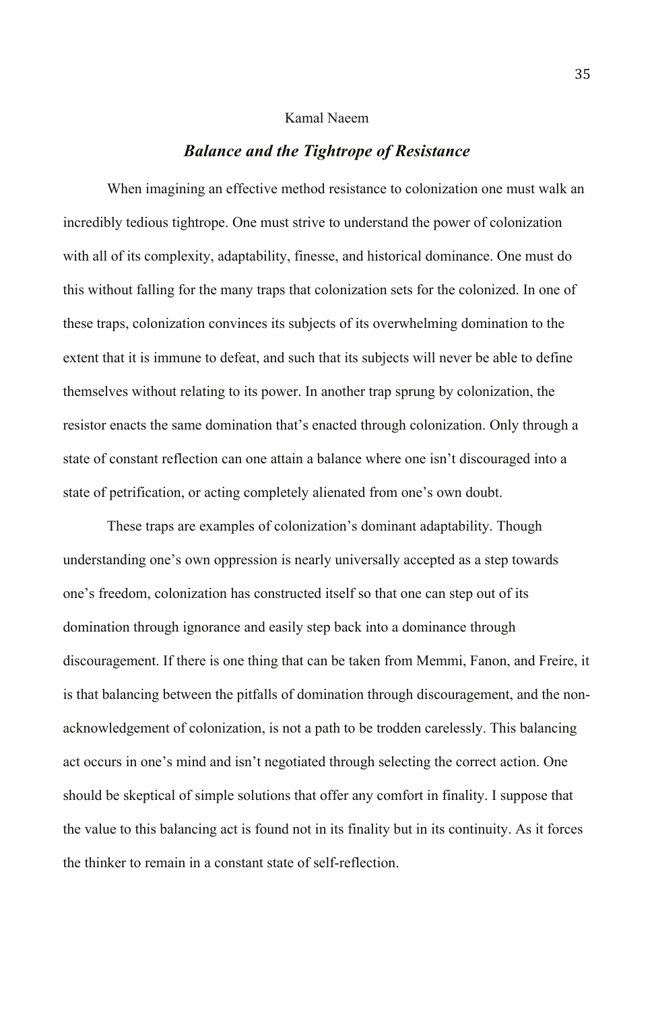#### Kamal Naeem

#### *Balance and the Tightrope of Resistance*

 When imagining an effective method resistance to colonization one must walk an incredibly tedious tightrope. One must strive to understand the power of colonization with all of its complexity, adaptability, finesse, and historical dominance. One must do this without falling for the many traps that colonization sets for the colonized. In one of these traps, colonization convinces its subjects of its overwhelming domination to the extent that it is immune to defeat, and such that its subjects will never be able to define themselves without relating to its power. In another trap sprung by colonization, the resistor enacts the same domination that's enacted through colonization. Only through a state of constant reflection can one attain a balance where one isn't discouraged into a state of petrification, or acting completely alienated from one's own doubt.

 These traps are examples of colonization's dominant adaptability. Though understanding one's own oppression is nearly universally accepted as a step towards one's freedom, colonization has constructed itself so that one can step out of its domination through ignorance and easily step back into a dominance through discouragement. If there is one thing that can be taken from Memmi, Fanon, and Freire, it is that balancing between the pitfalls of domination through discouragement, and the nonacknowledgement of colonization, is not a path to be trodden carelessly. This balancing act occurs in one's mind and isn't negotiated through selecting the correct action. One should be skeptical of simple solutions that offer any comfort in finality. I suppose that the value to this balancing act is found not in its finality but in its continuity. As it forces the thinker to remain in a constant state of self-reflection.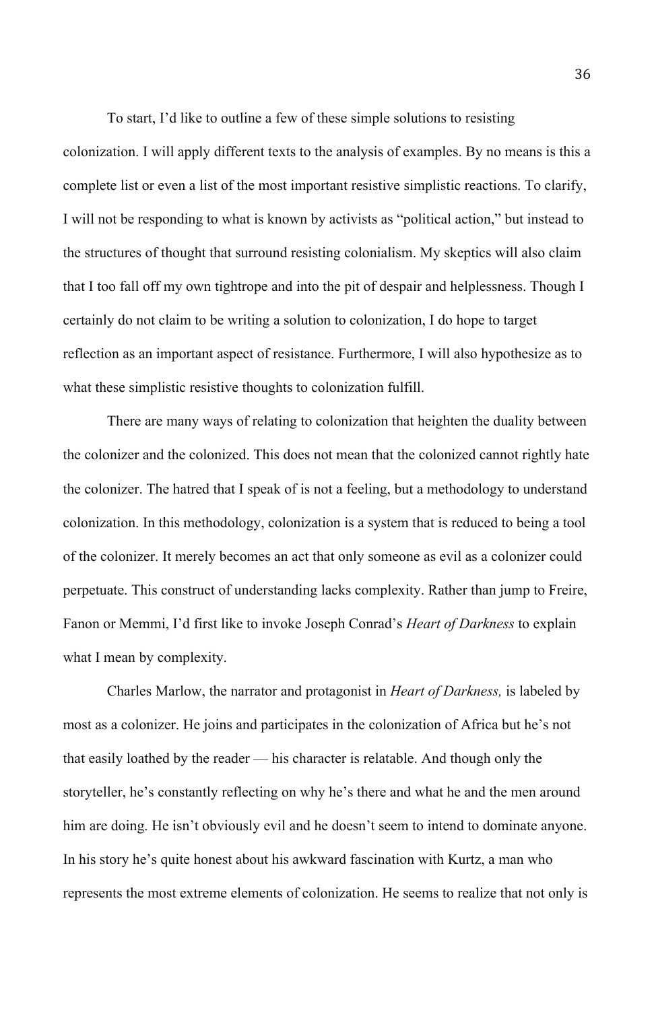To start, I'd like to outline a few of these simple solutions to resisting

colonization. I will apply different texts to the analysis of examples. By no means is this a complete list or even a list of the most important resistive simplistic reactions. To clarify, I will not be responding to what is known by activists as "political action," but instead to the structures of thought that surround resisting colonialism. My skeptics will also claim that I too fall off my own tightrope and into the pit of despair and helplessness. Though I certainly do not claim to be writing a solution to colonization, I do hope to target reflection as an important aspect of resistance. Furthermore, I will also hypothesize as to what these simplistic resistive thoughts to colonization fulfill.

 There are many ways of relating to colonization that heighten the duality between the colonizer and the colonized. This does not mean that the colonized cannot rightly hate the colonizer. The hatred that I speak of is not a feeling, but a methodology to understand colonization. In this methodology, colonization is a system that is reduced to being a tool of the colonizer. It merely becomes an act that only someone as evil as a colonizer could perpetuate. This construct of understanding lacks complexity. Rather than jump to Freire, Fanon or Memmi, I'd first like to invoke Joseph Conrad's *Heart of Darkness* to explain what I mean by complexity.

 Charles Marlow, the narrator and protagonist in *Heart of Darkness,* is labeled by most as a colonizer. He joins and participates in the colonization of Africa but he's not that easily loathed by the reader — his character is relatable. And though only the storyteller, he's constantly reflecting on why he's there and what he and the men around him are doing. He isn't obviously evil and he doesn't seem to intend to dominate anyone. In his story he's quite honest about his awkward fascination with Kurtz, a man who represents the most extreme elements of colonization. He seems to realize that not only is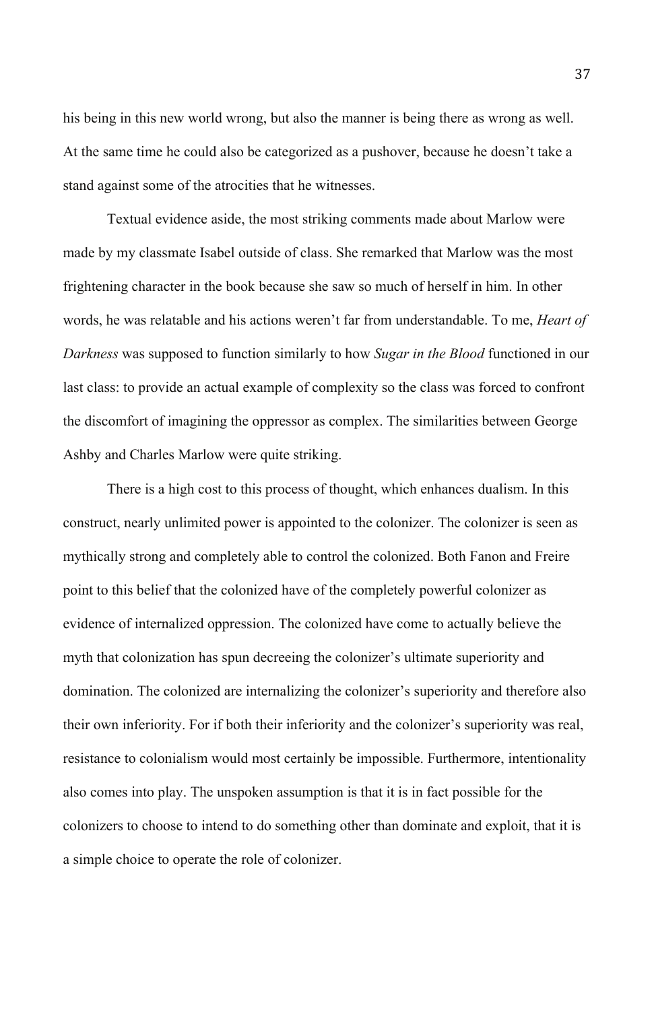his being in this new world wrong, but also the manner is being there as wrong as well. At the same time he could also be categorized as a pushover, because he doesn't take a stand against some of the atrocities that he witnesses.

 Textual evidence aside, the most striking comments made about Marlow were made by my classmate Isabel outside of class. She remarked that Marlow was the most frightening character in the book because she saw so much of herself in him. In other words, he was relatable and his actions weren't far from understandable. To me, *Heart of Darkness* was supposed to function similarly to how *Sugar in the Blood* functioned in our last class: to provide an actual example of complexity so the class was forced to confront the discomfort of imagining the oppressor as complex. The similarities between George Ashby and Charles Marlow were quite striking.

 There is a high cost to this process of thought, which enhances dualism. In this construct, nearly unlimited power is appointed to the colonizer. The colonizer is seen as mythically strong and completely able to control the colonized. Both Fanon and Freire point to this belief that the colonized have of the completely powerful colonizer as evidence of internalized oppression. The colonized have come to actually believe the myth that colonization has spun decreeing the colonizer's ultimate superiority and domination. The colonized are internalizing the colonizer's superiority and therefore also their own inferiority. For if both their inferiority and the colonizer's superiority was real, resistance to colonialism would most certainly be impossible. Furthermore, intentionality also comes into play. The unspoken assumption is that it is in fact possible for the colonizers to choose to intend to do something other than dominate and exploit, that it is a simple choice to operate the role of colonizer.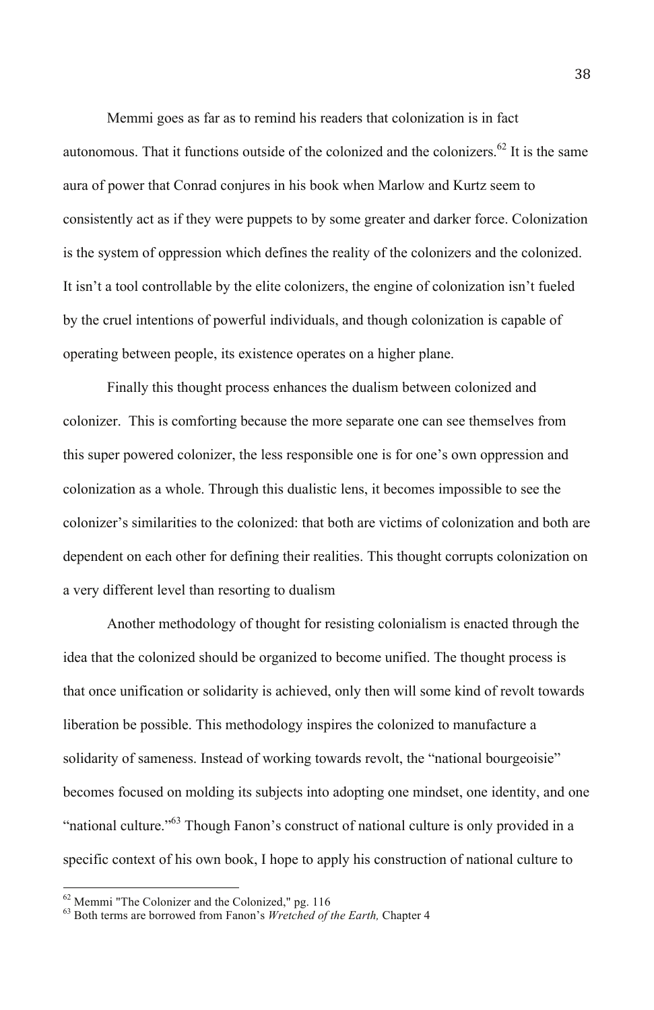Memmi goes as far as to remind his readers that colonization is in fact autonomous. That it functions outside of the colonized and the colonizers.<sup>62</sup> It is the same aura of power that Conrad conjures in his book when Marlow and Kurtz seem to consistently act as if they were puppets to by some greater and darker force. Colonization is the system of oppression which defines the reality of the colonizers and the colonized. It isn't a tool controllable by the elite colonizers, the engine of colonization isn't fueled by the cruel intentions of powerful individuals, and though colonization is capable of operating between people, its existence operates on a higher plane.

 Finally this thought process enhances the dualism between colonized and colonizer. This is comforting because the more separate one can see themselves from this super powered colonizer, the less responsible one is for one's own oppression and colonization as a whole. Through this dualistic lens, it becomes impossible to see the colonizer's similarities to the colonized: that both are victims of colonization and both are dependent on each other for defining their realities. This thought corrupts colonization on a very different level than resorting to dualism

 Another methodology of thought for resisting colonialism is enacted through the idea that the colonized should be organized to become unified. The thought process is that once unification or solidarity is achieved, only then will some kind of revolt towards liberation be possible. This methodology inspires the colonized to manufacture a solidarity of sameness. Instead of working towards revolt, the "national bourgeoisie" becomes focused on molding its subjects into adopting one mindset, one identity, and one "national culture."<sup>63</sup> Though Fanon's construct of national culture is only provided in a specific context of his own book, I hope to apply his construction of national culture to

 $62$  Memmi "The Colonizer and the Colonized," pg. 116

<sup>63</sup> Both terms are borrowed from Fanon's *Wretched of the Earth,* Chapter 4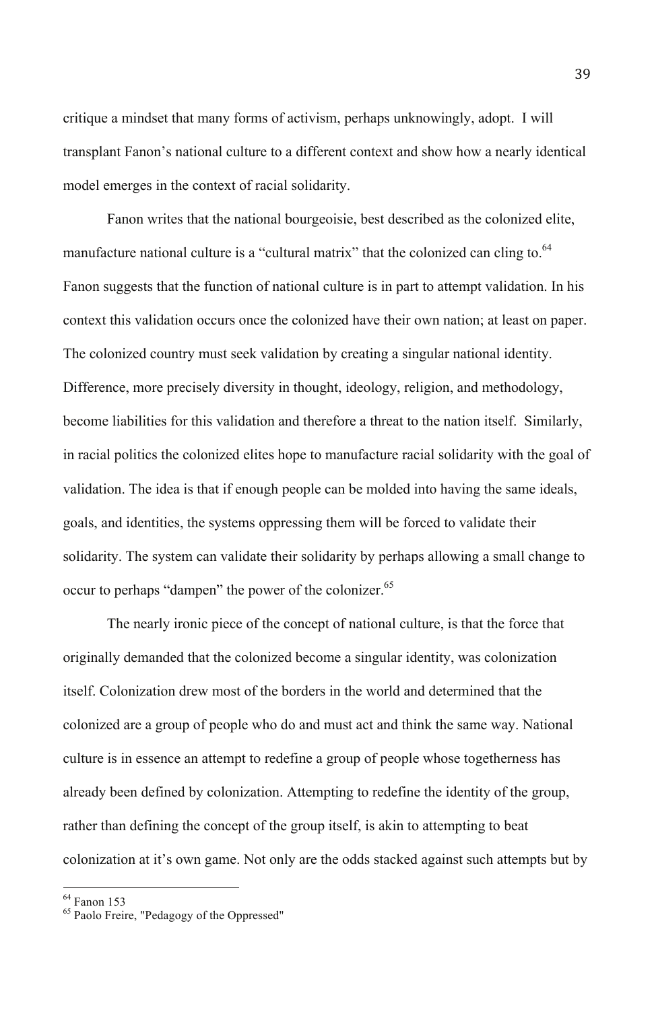critique a mindset that many forms of activism, perhaps unknowingly, adopt. I will transplant Fanon's national culture to a different context and show how a nearly identical model emerges in the context of racial solidarity.

 Fanon writes that the national bourgeoisie, best described as the colonized elite, manufacture national culture is a "cultural matrix" that the colonized can cling to.<sup>64</sup> Fanon suggests that the function of national culture is in part to attempt validation. In his context this validation occurs once the colonized have their own nation; at least on paper. The colonized country must seek validation by creating a singular national identity. Difference, more precisely diversity in thought, ideology, religion, and methodology, become liabilities for this validation and therefore a threat to the nation itself. Similarly, in racial politics the colonized elites hope to manufacture racial solidarity with the goal of validation. The idea is that if enough people can be molded into having the same ideals, goals, and identities, the systems oppressing them will be forced to validate their solidarity. The system can validate their solidarity by perhaps allowing a small change to occur to perhaps "dampen" the power of the colonizer.<sup>65</sup>

 The nearly ironic piece of the concept of national culture, is that the force that originally demanded that the colonized become a singular identity, was colonization itself. Colonization drew most of the borders in the world and determined that the colonized are a group of people who do and must act and think the same way. National culture is in essence an attempt to redefine a group of people whose togetherness has already been defined by colonization. Attempting to redefine the identity of the group, rather than defining the concept of the group itself, is akin to attempting to beat colonization at it's own game. Not only are the odds stacked against such attempts but by

<sup>64</sup> Fanon 153

<sup>65</sup> Paolo Freire, "Pedagogy of the Oppressed"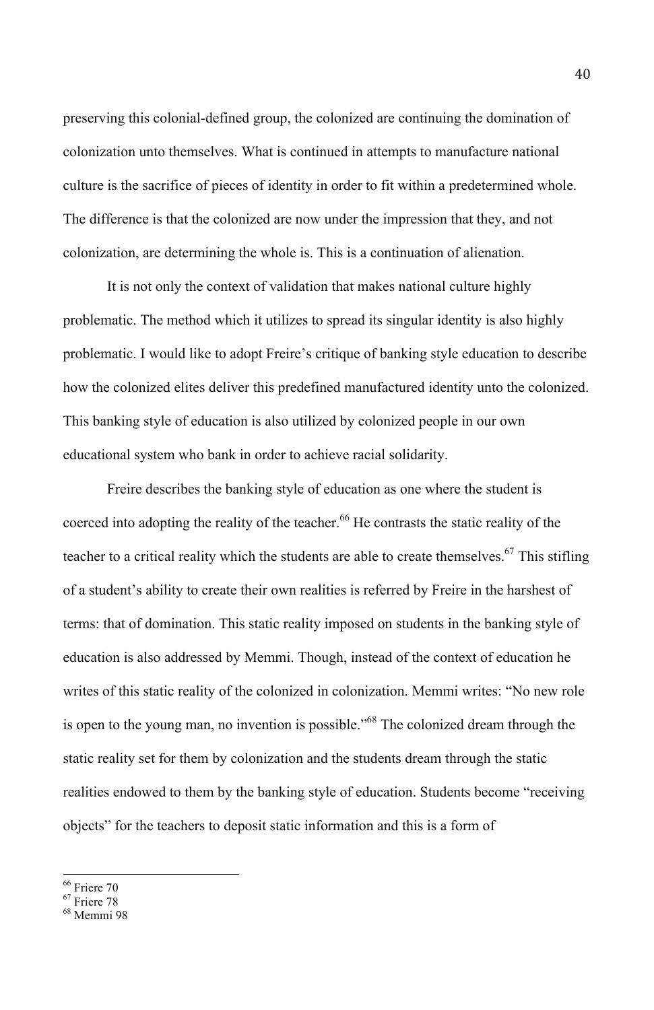preserving this colonial-defined group, the colonized are continuing the domination of colonization unto themselves. What is continued in attempts to manufacture national culture is the sacrifice of pieces of identity in order to fit within a predetermined whole. The difference is that the colonized are now under the impression that they, and not colonization, are determining the whole is. This is a continuation of alienation.

 It is not only the context of validation that makes national culture highly problematic. The method which it utilizes to spread its singular identity is also highly problematic. I would like to adopt Freire's critique of banking style education to describe how the colonized elites deliver this predefined manufactured identity unto the colonized. This banking style of education is also utilized by colonized people in our own educational system who bank in order to achieve racial solidarity.

 Freire describes the banking style of education as one where the student is coerced into adopting the reality of the teacher.<sup>66</sup> He contrasts the static reality of the teacher to a critical reality which the students are able to create themselves.<sup>67</sup> This stifling of a student's ability to create their own realities is referred by Freire in the harshest of terms: that of domination. This static reality imposed on students in the banking style of education is also addressed by Memmi. Though, instead of the context of education he writes of this static reality of the colonized in colonization. Memmi writes: "No new role is open to the young man, no invention is possible.<sup>568</sup> The colonized dream through the static reality set for them by colonization and the students dream through the static realities endowed to them by the banking style of education. Students become "receiving objects" for the teachers to deposit static information and this is a form of

<sup>!!!!!!!!!!!!!!!!!!!!!!!!!!!!!!!!!!!!!!!!!!!!!!!!!!!!!!!!</sup> <sup>66</sup> Friere 70

<sup>67</sup> Friere 78

<sup>68</sup> Memmi 98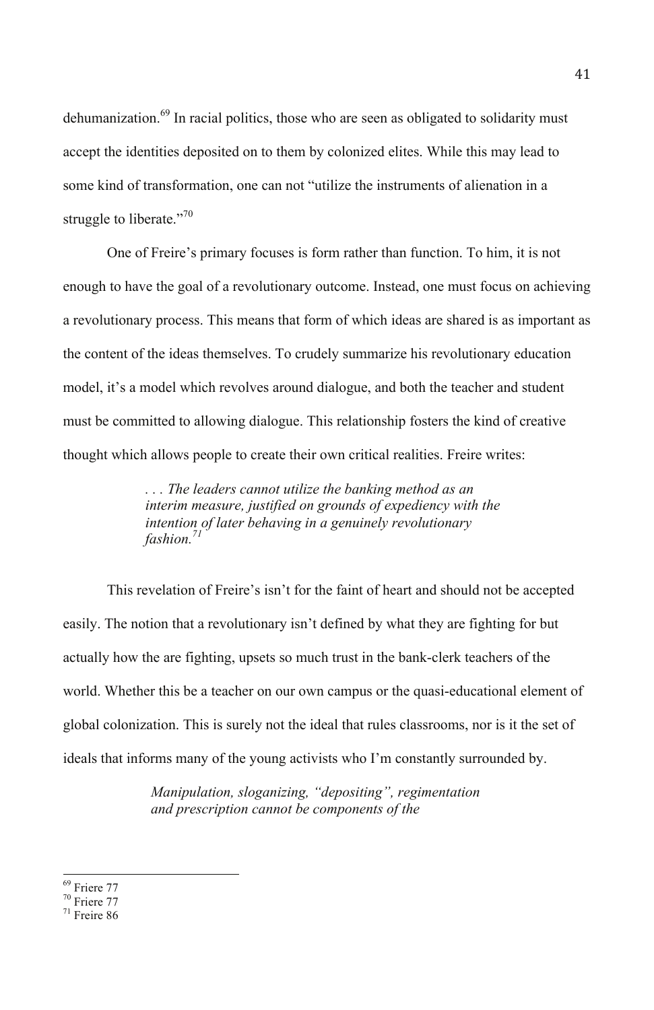dehumanization.<sup>69</sup> In racial politics, those who are seen as obligated to solidarity must accept the identities deposited on to them by colonized elites. While this may lead to some kind of transformation, one can not "utilize the instruments of alienation in a struggle to liberate."70

 One of Freire's primary focuses is form rather than function. To him, it is not enough to have the goal of a revolutionary outcome. Instead, one must focus on achieving a revolutionary process. This means that form of which ideas are shared is as important as the content of the ideas themselves. To crudely summarize his revolutionary education model, it's a model which revolves around dialogue, and both the teacher and student must be committed to allowing dialogue. This relationship fosters the kind of creative thought which allows people to create their own critical realities. Freire writes:

> *. . . The leaders cannot utilize the banking method as an interim measure, justified on grounds of expediency with the intention of later behaving in a genuinely revolutionary fashion.<sup>71</sup>*

 This revelation of Freire's isn't for the faint of heart and should not be accepted easily. The notion that a revolutionary isn't defined by what they are fighting for but actually how the are fighting, upsets so much trust in the bank-clerk teachers of the world. Whether this be a teacher on our own campus or the quasi-educational element of global colonization. This is surely not the ideal that rules classrooms, nor is it the set of ideals that informs many of the young activists who I'm constantly surrounded by.

> *Manipulation, sloganizing, "depositing", regimentation and prescription cannot be components of the*

<sup>!!!!!!!!!!!!!!!!!!!!!!!!!!!!!!!!!!!!!!!!!!!!!!!!!!!!!!!!</sup> <sup>69</sup> Friere 77

<sup>70</sup> Friere 77

<sup>71</sup> Freire 86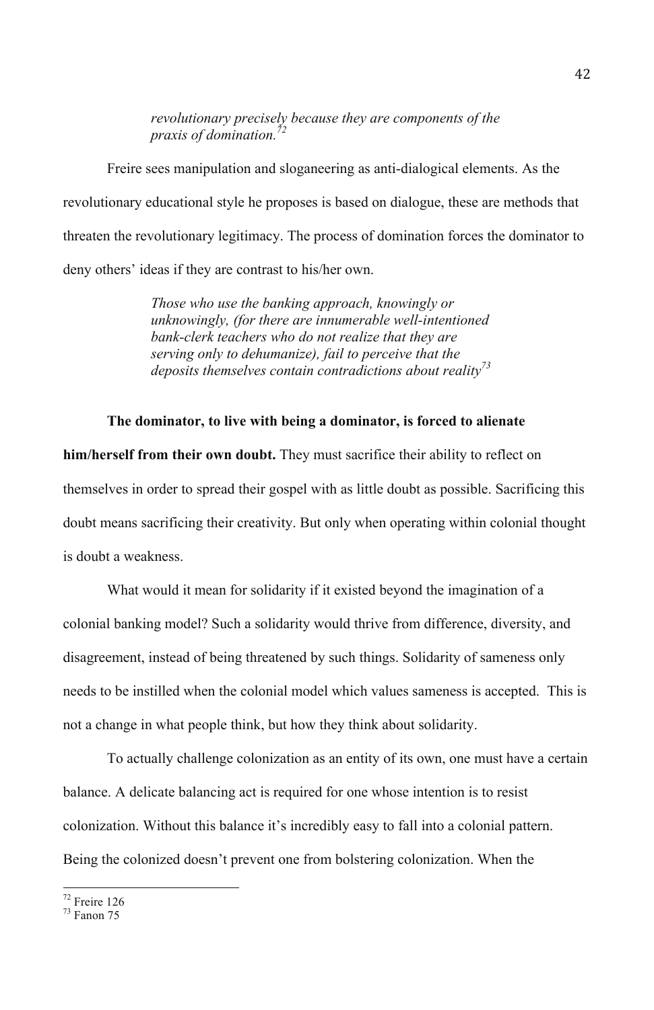*revolutionary precisely because they are components of the praxis of domination.<sup>72</sup>*

 Freire sees manipulation and sloganeering as anti-dialogical elements. As the revolutionary educational style he proposes is based on dialogue, these are methods that threaten the revolutionary legitimacy. The process of domination forces the dominator to deny others' ideas if they are contrast to his/her own.

> *Those who use the banking approach, knowingly or unknowingly, (for there are innumerable well-intentioned bank-clerk teachers who do not realize that they are serving only to dehumanize), fail to perceive that the deposits themselves contain contradictions about reality<sup>73</sup>*

### **The dominator, to live with being a dominator, is forced to alienate**

**him/herself from their own doubt.** They must sacrifice their ability to reflect on themselves in order to spread their gospel with as little doubt as possible. Sacrificing this doubt means sacrificing their creativity. But only when operating within colonial thought is doubt a weakness.

 What would it mean for solidarity if it existed beyond the imagination of a colonial banking model? Such a solidarity would thrive from difference, diversity, and disagreement, instead of being threatened by such things. Solidarity of sameness only needs to be instilled when the colonial model which values sameness is accepted. This is not a change in what people think, but how they think about solidarity.

 To actually challenge colonization as an entity of its own, one must have a certain balance. A delicate balancing act is required for one whose intention is to resist colonization. Without this balance it's incredibly easy to fall into a colonial pattern. Being the colonized doesn't prevent one from bolstering colonization. When the

<sup>72</sup> Freire 126

<sup>73</sup> Fanon 75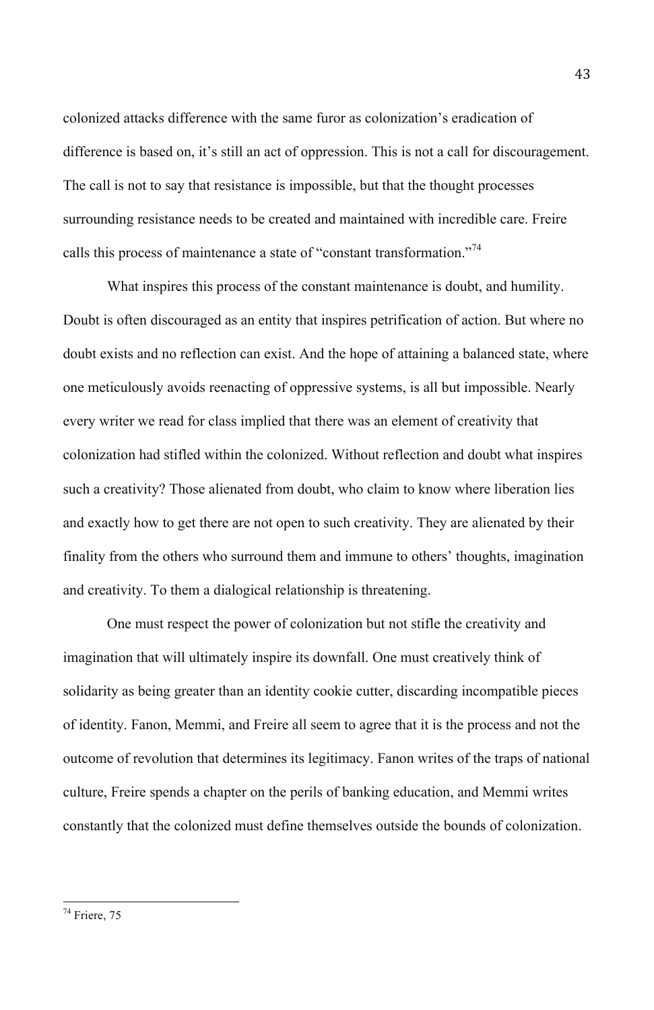colonized attacks difference with the same furor as colonization's eradication of difference is based on, it's still an act of oppression. This is not a call for discouragement. The call is not to say that resistance is impossible, but that the thought processes surrounding resistance needs to be created and maintained with incredible care. Freire calls this process of maintenance a state of "constant transformation."<sup>74</sup>

 What inspires this process of the constant maintenance is doubt, and humility. Doubt is often discouraged as an entity that inspires petrification of action. But where no doubt exists and no reflection can exist. And the hope of attaining a balanced state, where one meticulously avoids reenacting of oppressive systems, is all but impossible. Nearly every writer we read for class implied that there was an element of creativity that colonization had stifled within the colonized. Without reflection and doubt what inspires such a creativity? Those alienated from doubt, who claim to know where liberation lies and exactly how to get there are not open to such creativity. They are alienated by their finality from the others who surround them and immune to others' thoughts, imagination and creativity. To them a dialogical relationship is threatening.

 One must respect the power of colonization but not stifle the creativity and imagination that will ultimately inspire its downfall. One must creatively think of solidarity as being greater than an identity cookie cutter, discarding incompatible pieces of identity. Fanon, Memmi, and Freire all seem to agree that it is the process and not the outcome of revolution that determines its legitimacy. Fanon writes of the traps of national culture, Freire spends a chapter on the perils of banking education, and Memmi writes constantly that the colonized must define themselves outside the bounds of colonization.

<sup>74</sup> Friere, 75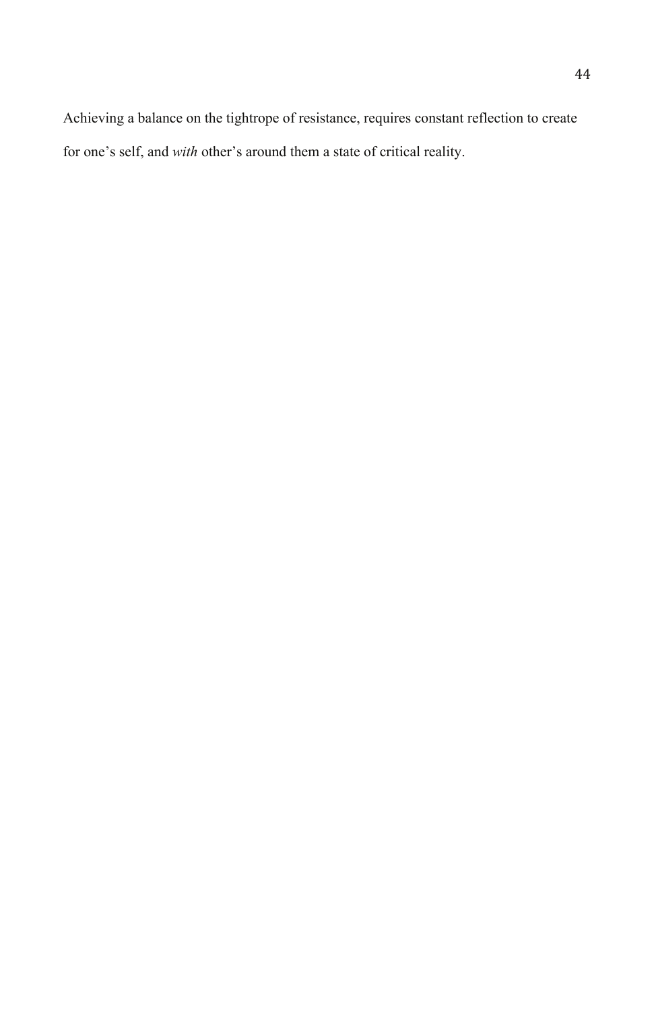Achieving a balance on the tightrope of resistance, requires constant reflection to create for one's self, and with other's around them a state of critical reality.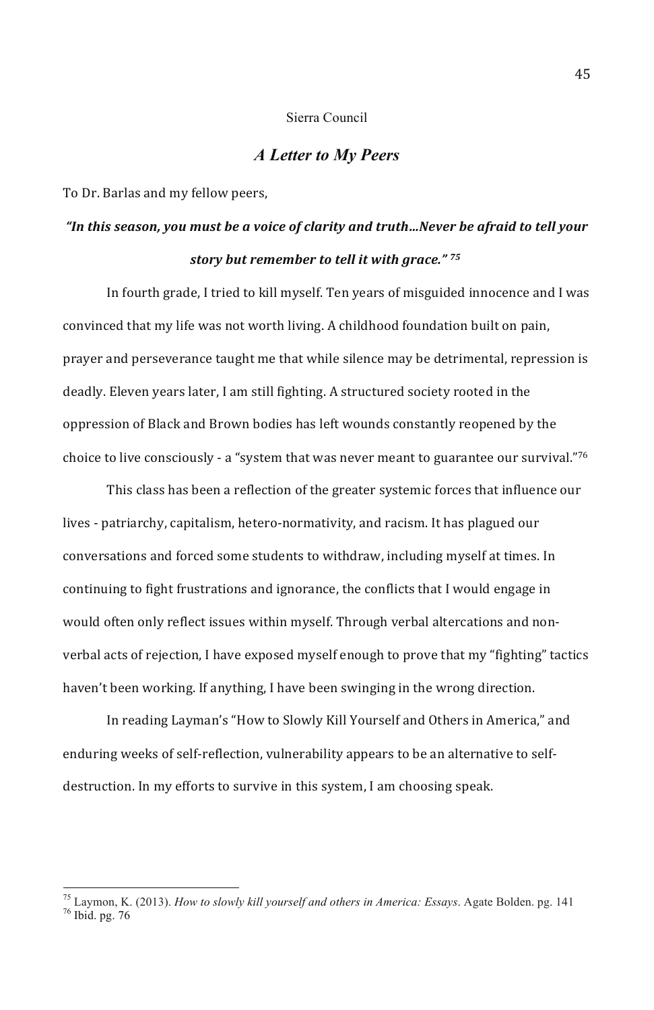### Sierra Council

### **A Letter to My Peers**

To Dr. Barlas and my fellow peers,

# "In this season, you must be a voice of clarity and truth...Never be afraid to tell your story but remember to tell it with grace." 75

In fourth grade, I tried to kill myself. Ten years of misguided innocence and I was convinced that my life was not worth living. A childhood foundation built on pain, prayer and perseverance taught me that while silence may be detrimental, repression is deadly. Eleven years later, I am still fighting. A structured society rooted in the oppression of Black and Brown bodies has left wounds constantly reopened by the choice to live consciously - a "system that was never meant to guarantee our survival."76

This class has been a reflection of the greater systemic forces that influence our lives - patriarchy, capitalism, hetero-normativity, and racism. It has plagued our conversations and forced some students to withdraw, including myself at times. In continuing to fight frustrations and ignorance, the conflicts that I would engage in would often only reflect issues within myself. Through verbal altercations and nonverbal acts of rejection, I have exposed myself enough to prove that my "fighting" tactics haven't been working. If anything, I have been swinging in the wrong direction.

In reading Layman's "How to Slowly Kill Yourself and Others in America," and enduring weeks of self-reflection, vulnerability appears to be an alternative to selfdestruction. In my efforts to survive in this system, I am choosing speak.

<sup>&</sup>lt;sup>75</sup> Laymon, K. (2013). How to slowly kill yourself and others in America: Essays. Agate Bolden. pg. 141 <sup>76</sup> Ibid. pg. 76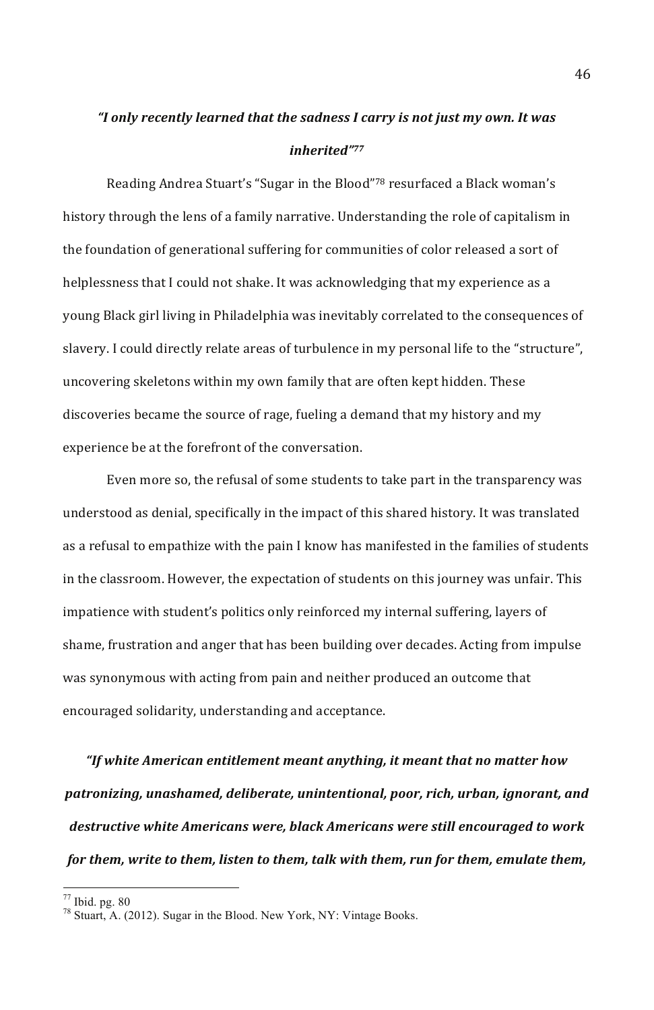# "I only recently learned that the sadness I carry is not just my own. It was inhoritod"77

Reading Andrea Stuart's "Sugar in the Blood"<sup>78</sup> resurfaced a Black woman's history through the lens of a family narrative. Understanding the role of capitalism in the foundation of generational suffering for communities of color released a sort of helplessness that I could not shake. It was acknowledging that my experience as a young Black girl living in Philadelphia was inevitably correlated to the consequences of slavery. I could directly relate areas of turbulence in my personal life to the "structure", uncovering skeletons within my own family that are often kept hidden. These discoveries became the source of rage, fueling a demand that my history and my experience be at the forefront of the conversation.

Even more so, the refusal of some students to take part in the transparency was understood as denial, specifically in the impact of this shared history. It was translated as a refusal to empathize with the pain I know has manifested in the families of students in the classroom. However, the expectation of students on this journey was unfair. This impatience with student's politics only reinforced my internal suffering, layers of shame, frustration and anger that has been building over decades. Acting from impulse was synonymous with acting from pain and neither produced an outcome that encouraged solidarity, understanding and acceptance.

"If white American entitlement meant anything, it meant that no matter how patronizing, unashamed, deliberate, unintentional, poor, rich, urban, ignorant, and destructive white Americans were, black Americans were still encouraged to work for them, write to them, listen to them, talk with them, run for them, emulate them,

 $77$  Ibid. pg.  $80$ 

<sup>&</sup>lt;sup>78</sup> Stuart, A. (2012). Sugar in the Blood. New York, NY: Vintage Books.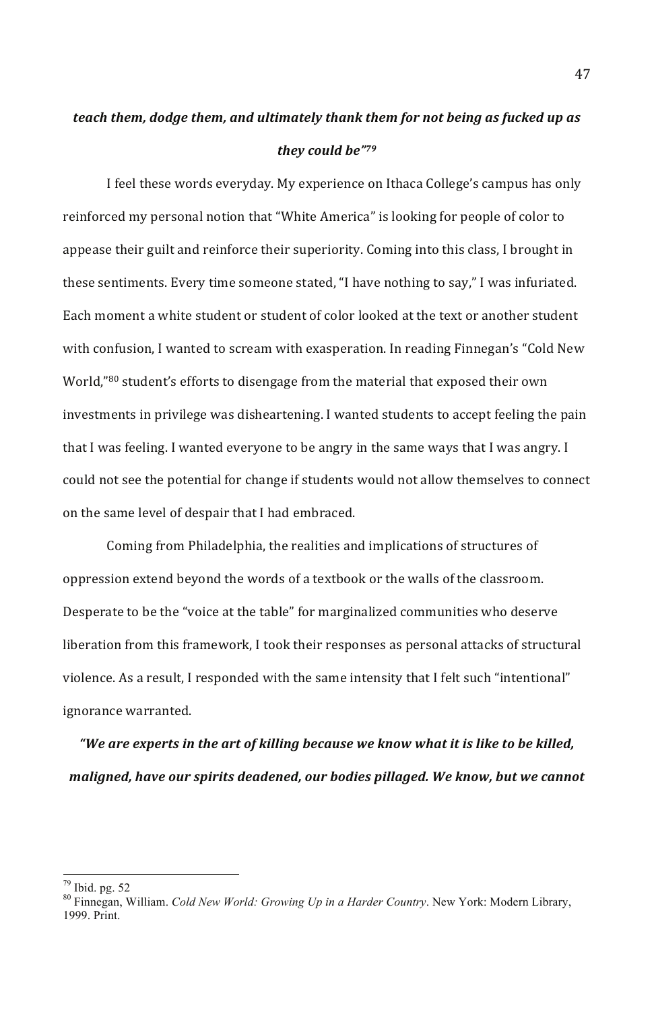# teach them, dodge them, and ultimately thank them for not being as fucked up as they could be"79

I feel these words everyday. My experience on Ithaca College's campus has only reinforced my personal notion that "White America" is looking for people of color to appease their guilt and reinforce their superiority. Coming into this class, I brought in these sentiments. Every time someone stated, "I have nothing to say," I was infuriated. Each moment a white student or student of color looked at the text or another student with confusion, I wanted to scream with exasperation. In reading Finnegan's "Cold New World,"80 student's efforts to disengage from the material that exposed their own investments in privilege was disheartening. I wanted students to accept feeling the pain that I was feeling. I wanted everyone to be angry in the same ways that I was angry. I could not see the potential for change if students would not allow themselves to connect on the same level of despair that I had embraced.

Coming from Philadelphia, the realities and implications of structures of oppression extend beyond the words of a textbook or the walls of the classroom. Desperate to be the "voice at the table" for marginalized communities who deserve liberation from this framework, I took their responses as personal attacks of structural violence. As a result, I responded with the same intensity that I felt such "intentional" ignorance warranted.

"We are experts in the art of killing because we know what it is like to be killed, maligned, have our spirits deadened, our bodies pillaged. We know, but we cannot

 $79$  Ibid. pg. 52

<sup>&</sup>lt;sup>80</sup> Finnegan, William. Cold New World: Growing Up in a Harder Country. New York: Modern Library, 1999. Print.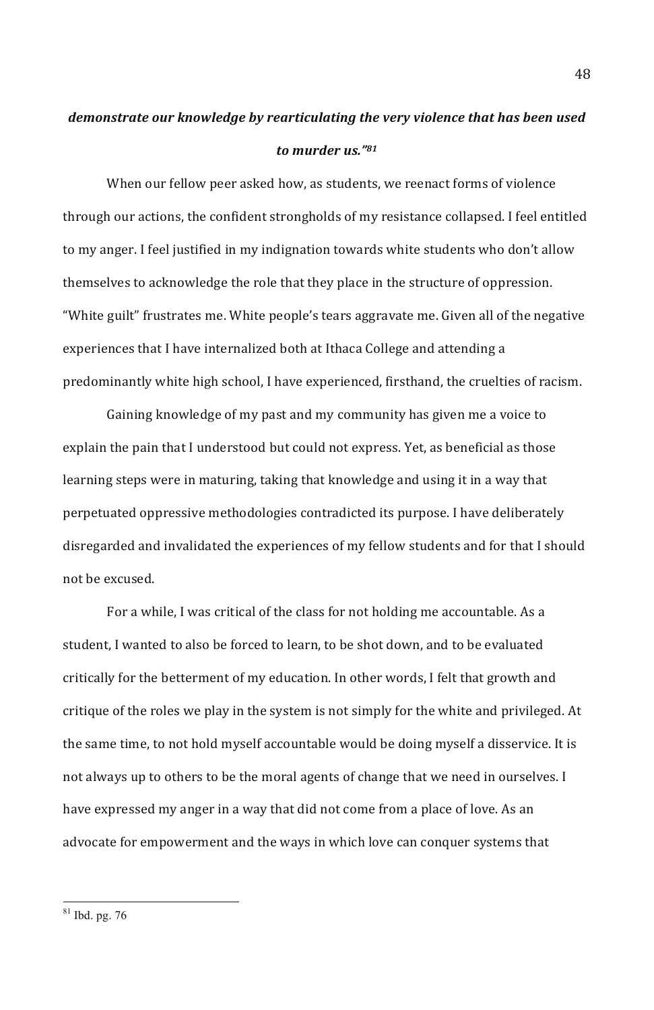## demonstrate our knowledge by rearticulating the very violence that has been used to murder us "81

When our fellow peer asked how, as students, we reenact forms of violence through our actions, the confident strongholds of my resistance collapsed. I feel entitled to my anger. I feel justified in my indignation towards white students who don't allow themselves to acknowledge the role that they place in the structure of oppression. "White guilt" frustrates me. White people's tears aggravate me. Given all of the negative experiences that I have internalized both at Ithaca College and attending a predominantly white high school, I have experienced, firsthand, the cruelties of racism.

Gaining knowledge of my past and my community has given me a voice to explain the pain that I understood but could not express. Yet, as beneficial as those learning steps were in maturing, taking that knowledge and using it in a way that perpetuated oppressive methodologies contradicted its purpose. I have deliberately disregarded and invalidated the experiences of my fellow students and for that I should not be excused.

For a while, I was critical of the class for not holding me accountable. As a student, I wanted to also be forced to learn, to be shot down, and to be evaluated critically for the betterment of my education. In other words, I felt that growth and critique of the roles we play in the system is not simply for the white and privileged. At the same time, to not hold myself accountable would be doing myself a disservice. It is not always up to others to be the moral agents of change that we need in ourselves. I have expressed my anger in a way that did not come from a place of love. As an advocate for empowerment and the ways in which love can conquer systems that

 $81$  Ibd. pg. 76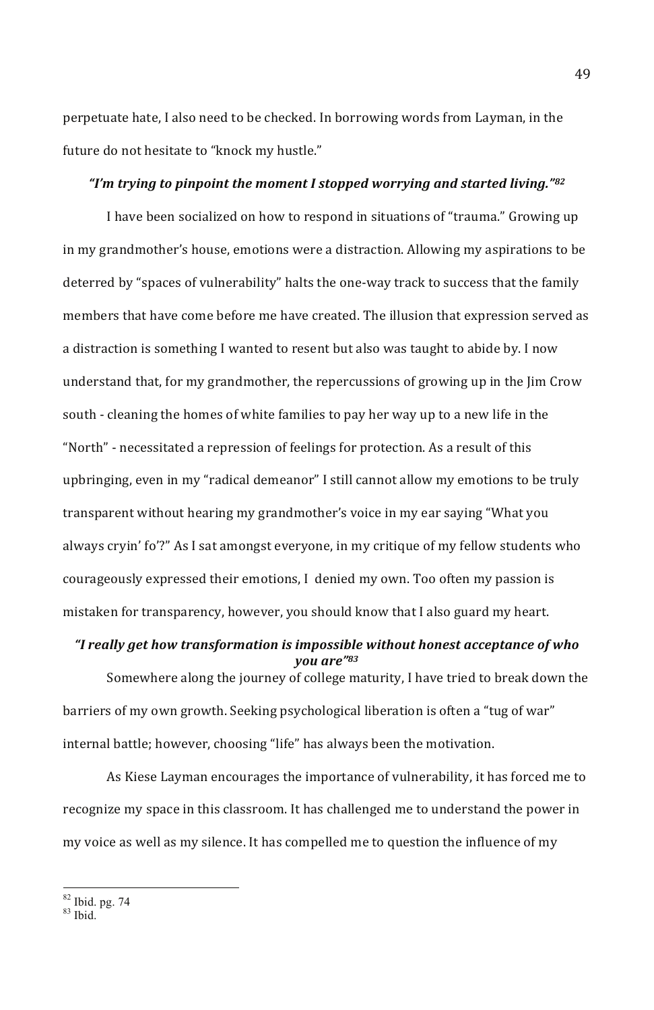perpetuate hate. I also need to be checked. In borrowing words from Layman, in the future do not hesitate to "knock my hustle."

### "I'm trying to pinpoint the moment I stopped worrying and started living."82

I have been socialized on how to respond in situations of "trauma." Growing up in my grandmother's house, emotions were a distraction. Allowing my aspirations to be deterred by "spaces of vulnerability" halts the one-way track to success that the family members that have come before me have created. The illusion that expression served as a distraction is something I wanted to resent but also was taught to abide by. I now understand that, for my grandmother, the repercussions of growing up in the Jim Crow south - cleaning the homes of white families to pay her way up to a new life in the "North" - necessitated a repression of feelings for protection. As a result of this upbringing, even in my "radical demeanor" I still cannot allow my emotions to be truly transparent without hearing my grandmother's voice in my ear saying "What you always cryin' fo'?" As I sat amongst everyone, in my critique of my fellow students who courageously expressed their emotions, I denied my own. Too often my passion is mistaken for transparency, however, you should know that I also guard my heart.

### "I really get how transformation is impossible without honest acceptance of who you are"83

Somewhere along the journey of college maturity, I have tried to break down the barriers of my own growth. Seeking psychological liberation is often a "tug of war" internal battle; however, choosing "life" has always been the motivation.

As Kiese Layman encourages the importance of vulnerability, it has forced me to recognize my space in this classroom. It has challenged me to understand the power in my voice as well as my silence. It has compelled me to question the influence of my

<sup>82</sup> Ibid. pg. 74

 $83$  Thid.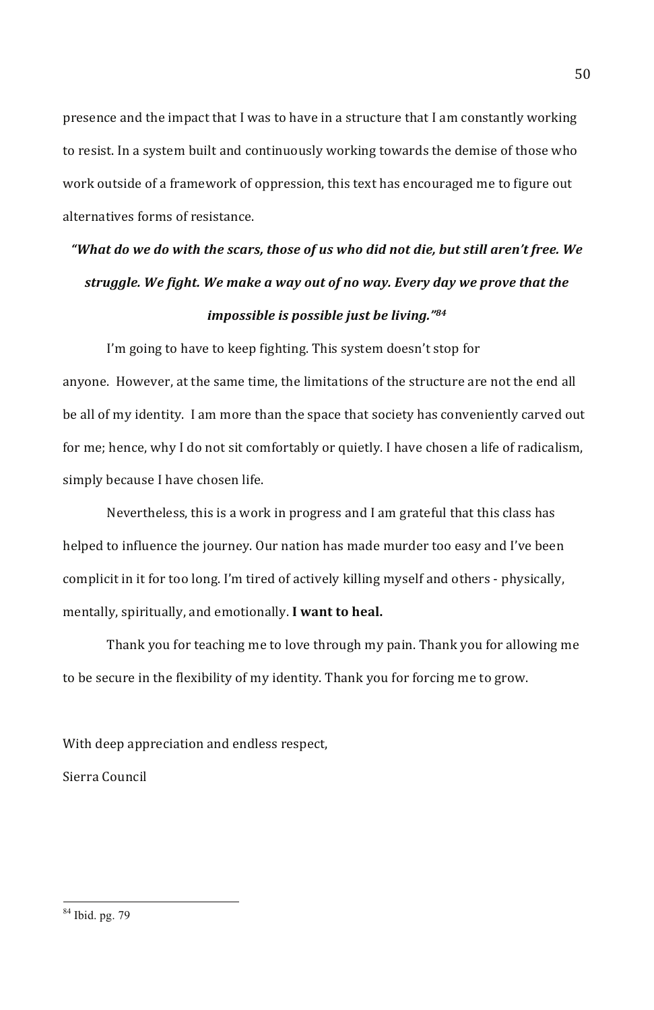presence and the impact that I was to have in a structure that I am constantly working to resist. In a system built and continuously working towards the demise of those who work outside of a framework of oppression, this text has encouraged me to figure out alternatives forms of resistance.

# "What do we do with the scars, those of us who did not die, but still aren't free. We struggle. We fight. We make a way out of no way. Every day we prove that the impossible is possible just be living."84

I'm going to have to keep fighting. This system doesn't stop for anyone. However, at the same time, the limitations of the structure are not the end all be all of my identity. I am more than the space that society has conveniently carved out for me; hence, why I do not sit comfortably or quietly. I have chosen a life of radicalism, simply because I have chosen life.

Nevertheless, this is a work in progress and I am grateful that this class has helped to influence the journey. Our nation has made murder too easy and I've been complicit in it for too long. I'm tired of actively killing myself and others - physically, mentally, spiritually, and emotionally. I want to heal.

Thank you for teaching me to love through my pain. Thank you for allowing me to be secure in the flexibility of my identity. Thank you for forcing me to grow.

With deep appreciation and endless respect,

Sierra Council

<sup>84</sup> Ibid. pg. 79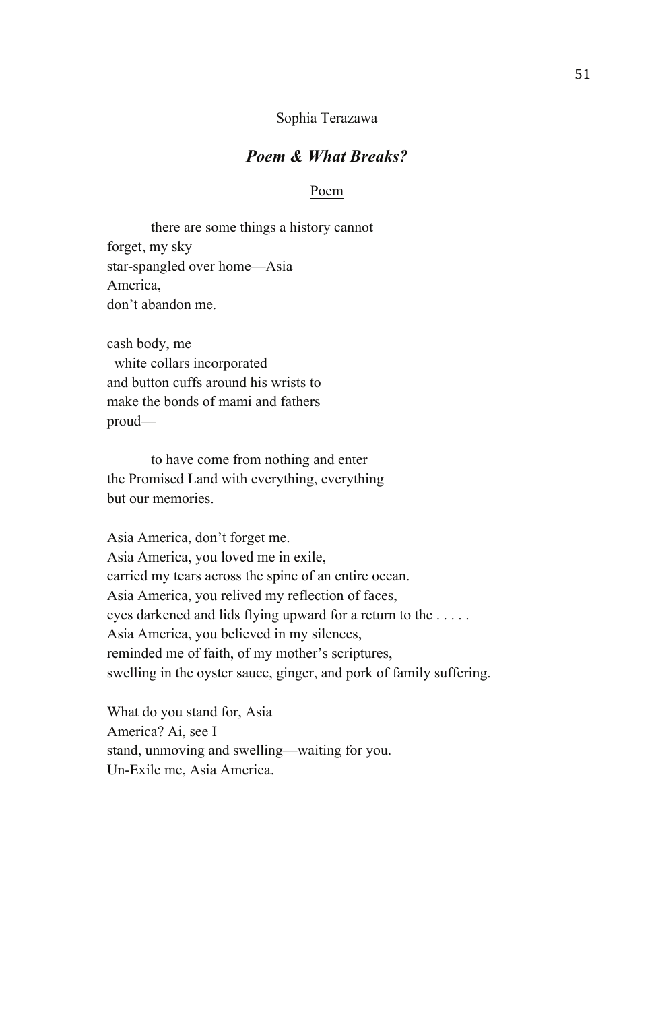### Sophia Terazawa

## *Poem & What Breaks?*

Poem

 there are some things a history cannot forget, my sky star-spangled over home—Asia America, don't abandon me.

cash body, me white collars incorporated and button cuffs around his wrists to make the bonds of mami and fathers proud—

to have come from nothing and enter the Promised Land with everything, everything but our memories.

Asia America, don't forget me. Asia America, you loved me in exile, carried my tears across the spine of an entire ocean. Asia America, you relived my reflection of faces, eyes darkened and lids flying upward for a return to the . . . . . Asia America, you believed in my silences, reminded me of faith, of my mother's scriptures, swelling in the oyster sauce, ginger, and pork of family suffering.

What do you stand for, Asia America? Ai, see I stand, unmoving and swelling—waiting for you. Un-Exile me, Asia America.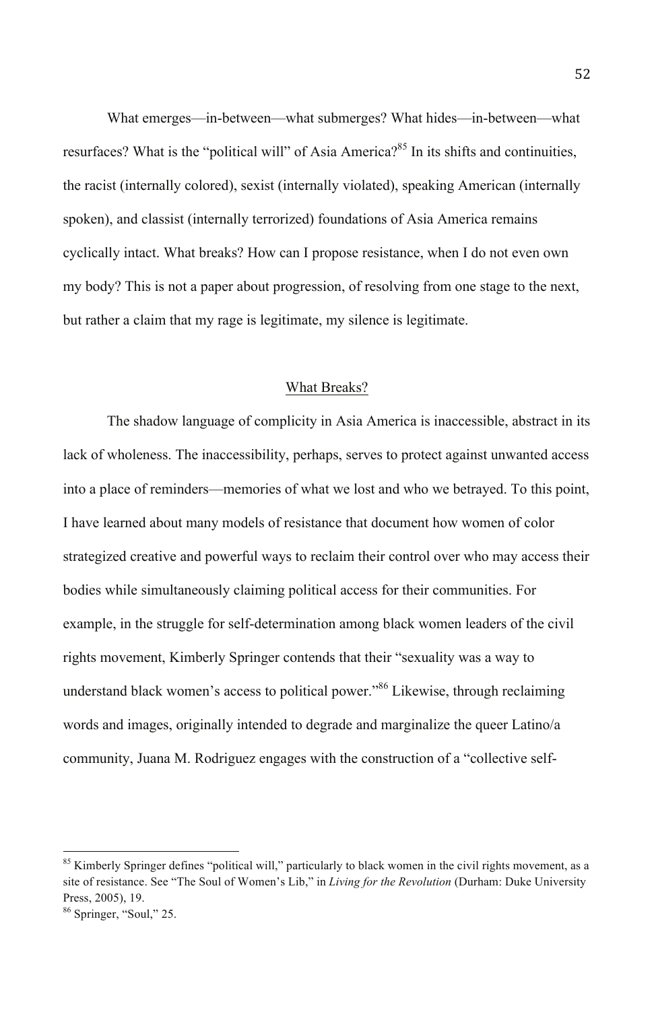What emerges—in-between—what submerges? What hides—in-between—what resurfaces? What is the "political will" of Asia America?<sup>85</sup> In its shifts and continuities, the racist (internally colored), sexist (internally violated), speaking American (internally spoken), and classist (internally terrorized) foundations of Asia America remains cyclically intact. What breaks? How can I propose resistance, when I do not even own my body? This is not a paper about progression, of resolving from one stage to the next, but rather a claim that my rage is legitimate, my silence is legitimate.

### What Breaks?

 The shadow language of complicity in Asia America is inaccessible, abstract in its lack of wholeness. The inaccessibility, perhaps, serves to protect against unwanted access into a place of reminders—memories of what we lost and who we betrayed. To this point, I have learned about many models of resistance that document how women of color strategized creative and powerful ways to reclaim their control over who may access their bodies while simultaneously claiming political access for their communities. For example, in the struggle for self-determination among black women leaders of the civil rights movement, Kimberly Springer contends that their "sexuality was a way to understand black women's access to political power."<sup>86</sup> Likewise, through reclaiming words and images, originally intended to degrade and marginalize the queer Latino/a community, Juana M. Rodriguez engages with the construction of a "collective self-

<sup>&</sup>lt;sup>85</sup> Kimberly Springer defines "political will," particularly to black women in the civil rights movement, as a site of resistance. See "The Soul of Women's Lib," in *Living for the Revolution* (Durham: Duke University Press, 2005), 19.

<sup>86</sup> Springer, "Soul," 25.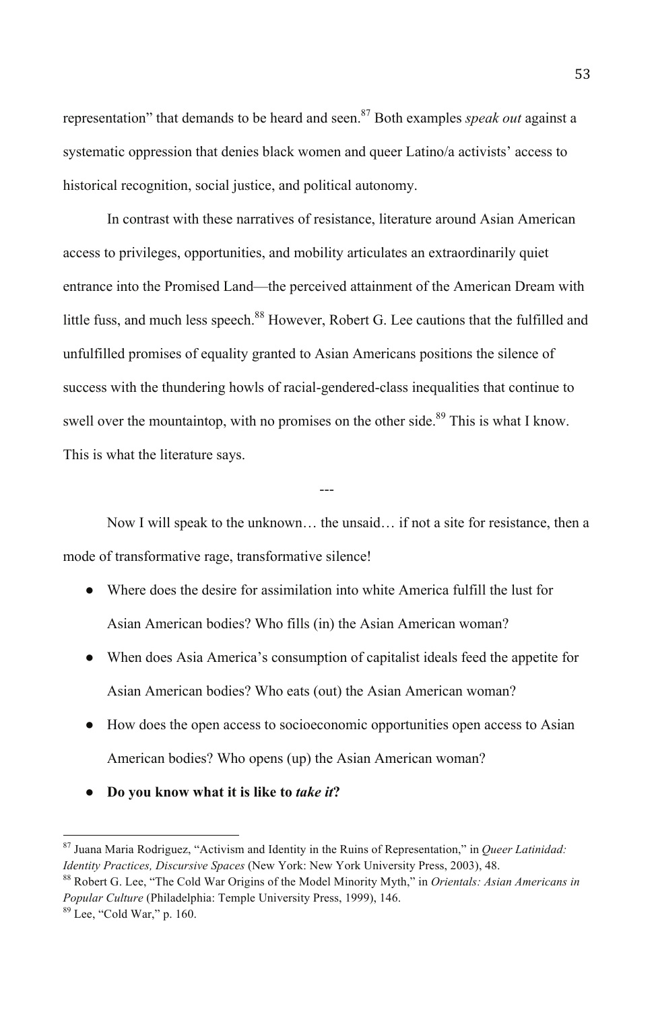representation" that demands to be heard and seen.<sup>87</sup> Both examples *speak out* against a systematic oppression that denies black women and queer Latino/a activists' access to historical recognition, social justice, and political autonomy.

In contrast with these narratives of resistance, literature around Asian American access to privileges, opportunities, and mobility articulates an extraordinarily quiet entrance into the Promised Land—the perceived attainment of the American Dream with little fuss, and much less speech.<sup>88</sup> However, Robert G. Lee cautions that the fulfilled and unfulfilled promises of equality granted to Asian Americans positions the silence of success with the thundering howls of racial-gendered-class inequalities that continue to swell over the mountaintop, with no promises on the other side.<sup>89</sup> This is what I know. This is what the literature says.

Now I will speak to the unknown… the unsaid… if not a site for resistance, then a mode of transformative rage, transformative silence!

---

- Where does the desire for assimilation into white America fulfill the lust for Asian American bodies? Who fills (in) the Asian American woman?
- When does Asia America's consumption of capitalist ideals feed the appetite for Asian American bodies? Who eats (out) the Asian American woman?
- How does the open access to socioeconomic opportunities open access to Asian American bodies? Who opens (up) the Asian American woman?
- **Do you know what it is like to** *take it***?**

<sup>87</sup> Juana Maria Rodriguez, "Activism and Identity in the Ruins of Representation," in *Queer Latinidad: Identity Practices, Discursive Spaces* (New York: New York University Press, 2003), 48.

<sup>88</sup> Robert G. Lee, "The Cold War Origins of the Model Minority Myth," in *Orientals: Asian Americans in Popular Culture* (Philadelphia: Temple University Press, 1999), 146.

<sup>89</sup> Lee, "Cold War," p. 160.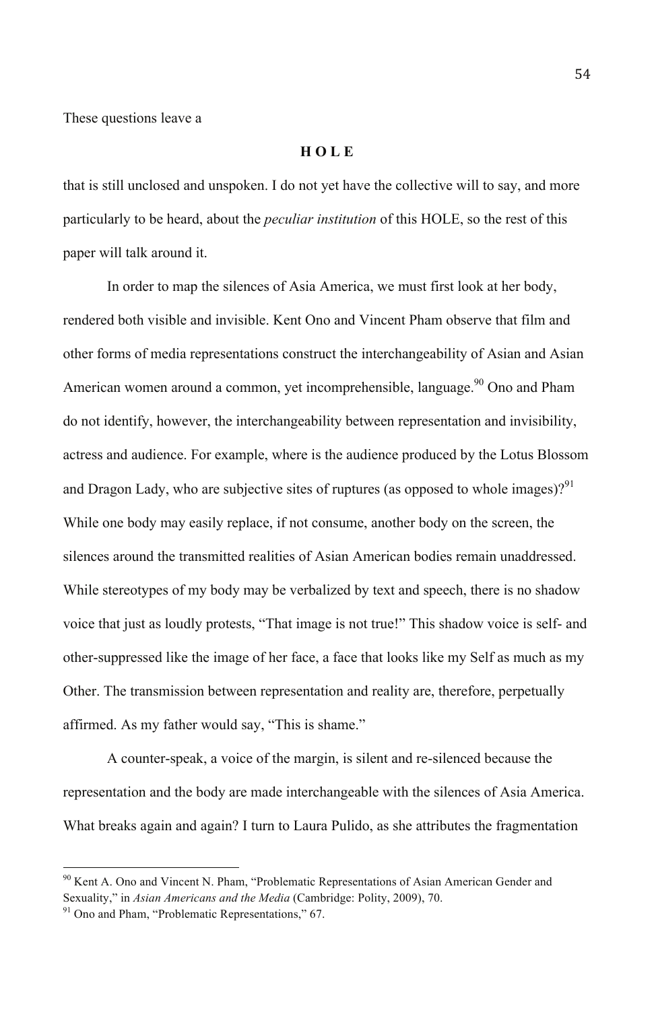### **H O L E**

that is still unclosed and unspoken. I do not yet have the collective will to say, and more particularly to be heard, about the *peculiar institution* of this HOLE, so the rest of this paper will talk around it.

In order to map the silences of Asia America, we must first look at her body, rendered both visible and invisible. Kent Ono and Vincent Pham observe that film and other forms of media representations construct the interchangeability of Asian and Asian American women around a common, yet incomprehensible, language.<sup>90</sup> Ono and Pham do not identify, however, the interchangeability between representation and invisibility, actress and audience. For example, where is the audience produced by the Lotus Blossom and Dragon Lady, who are subjective sites of ruptures (as opposed to whole images)?<sup>91</sup> While one body may easily replace, if not consume, another body on the screen, the silences around the transmitted realities of Asian American bodies remain unaddressed. While stereotypes of my body may be verbalized by text and speech, there is no shadow voice that just as loudly protests, "That image is not true!" This shadow voice is self- and other-suppressed like the image of her face, a face that looks like my Self as much as my Other. The transmission between representation and reality are, therefore, perpetually affirmed. As my father would say, "This is shame."

 A counter-speak, a voice of the margin, is silent and re-silenced because the representation and the body are made interchangeable with the silences of Asia America. What breaks again and again? I turn to Laura Pulido, as she attributes the fragmentation

<sup>&</sup>lt;sup>90</sup> Kent A. Ono and Vincent N. Pham, "Problematic Representations of Asian American Gender and Sexuality," in *Asian Americans and the Media* (Cambridge: Polity, 2009), 70.

 $91$  Ono and Pham, "Problematic Representations," 67.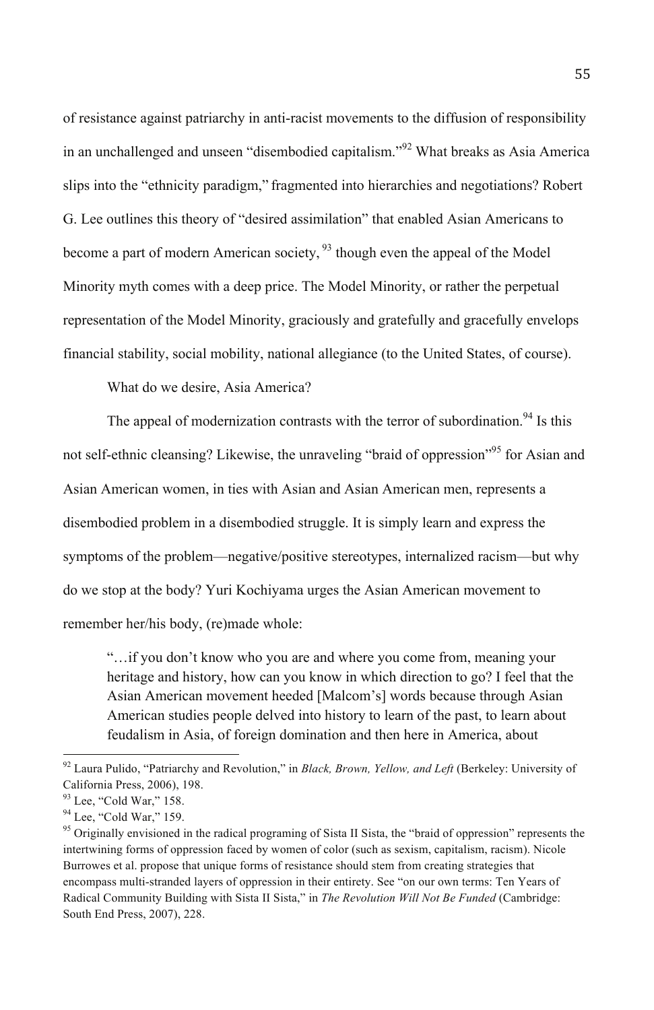of resistance against patriarchy in anti-racist movements to the diffusion of responsibility in an unchallenged and unseen "disembodied capitalism."<sup>92</sup> What breaks as Asia America slips into the "ethnicity paradigm," fragmented into hierarchies and negotiations? Robert G. Lee outlines this theory of "desired assimilation" that enabled Asian Americans to become a part of modern American society,  $93$  though even the appeal of the Model Minority myth comes with a deep price. The Model Minority, or rather the perpetual representation of the Model Minority, graciously and gratefully and gracefully envelops financial stability, social mobility, national allegiance (to the United States, of course).

What do we desire, Asia America?

The appeal of modernization contrasts with the terror of subordination.<sup>94</sup> Is this not self-ethnic cleansing? Likewise, the unraveling "braid of oppression"<sup>95</sup> for Asian and Asian American women, in ties with Asian and Asian American men, represents a disembodied problem in a disembodied struggle. It is simply learn and express the symptoms of the problem—negative/positive stereotypes, internalized racism—but why do we stop at the body? Yuri Kochiyama urges the Asian American movement to remember her/his body, (re)made whole:

"…if you don't know who you are and where you come from, meaning your heritage and history, how can you know in which direction to go? I feel that the Asian American movement heeded [Malcom's] words because through Asian American studies people delved into history to learn of the past, to learn about feudalism in Asia, of foreign domination and then here in America, about

<sup>92</sup> Laura Pulido, "Patriarchy and Revolution," in *Black, Brown, Yellow, and Left* (Berkeley: University of California Press, 2006), 198.

 $93$  Lee, "Cold War," 158.

<sup>&</sup>lt;sup>94</sup> Lee, "Cold War," 159.

<sup>&</sup>lt;sup>95</sup> Originally envisioned in the radical programing of Sista II Sista, the "braid of oppression" represents the intertwining forms of oppression faced by women of color (such as sexism, capitalism, racism). Nicole Burrowes et al. propose that unique forms of resistance should stem from creating strategies that encompass multi-stranded layers of oppression in their entirety. See "on our own terms: Ten Years of Radical Community Building with Sista II Sista," in *The Revolution Will Not Be Funded* (Cambridge: South End Press, 2007), 228.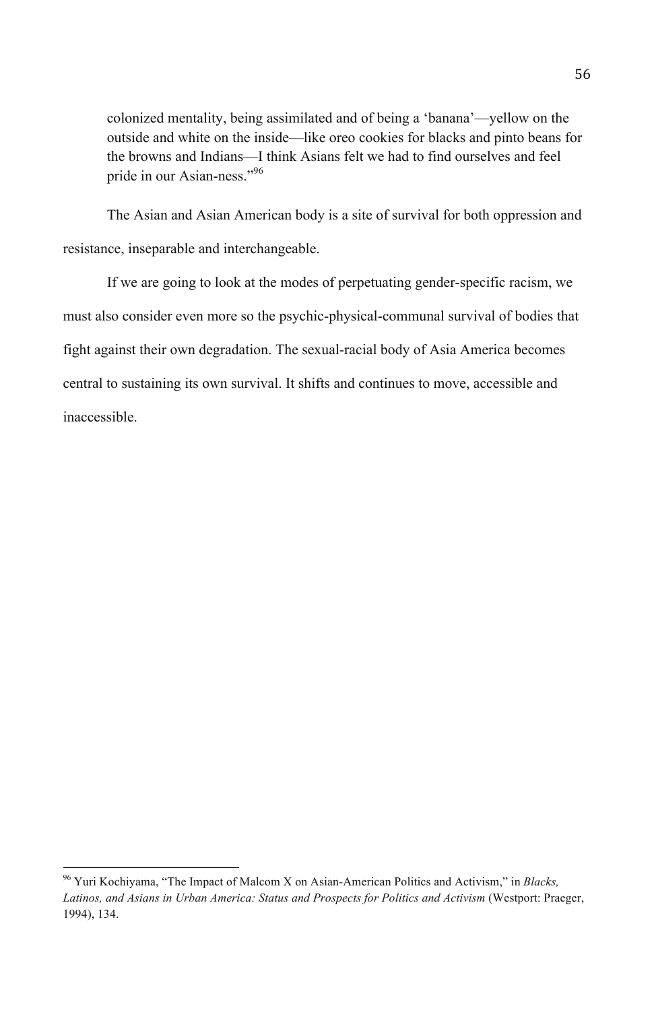colonized mentality, being assimilated and of being a 'banana'—yellow on the outside and white on the inside—like oreo cookies for blacks and pinto beans for the browns and Indians—I think Asians felt we had to find ourselves and feel pride in our Asian-ness."<sup>96</sup>

The Asian and Asian American body is a site of survival for both oppression and resistance, inseparable and interchangeable.

If we are going to look at the modes of perpetuating gender-specific racism, we must also consider even more so the psychic-physical-communal survival of bodies that fight against their own degradation. The sexual-racial body of Asia America becomes central to sustaining its own survival. It shifts and continues to move, accessible and inaccessible.

<sup>96</sup> Yuri Kochiyama, "The Impact of Malcom X on Asian-American Politics and Activism," in *Blacks, Latinos, and Asians in Urban America: Status and Prospects for Politics and Activism* (Westport: Praeger, 1994), 134.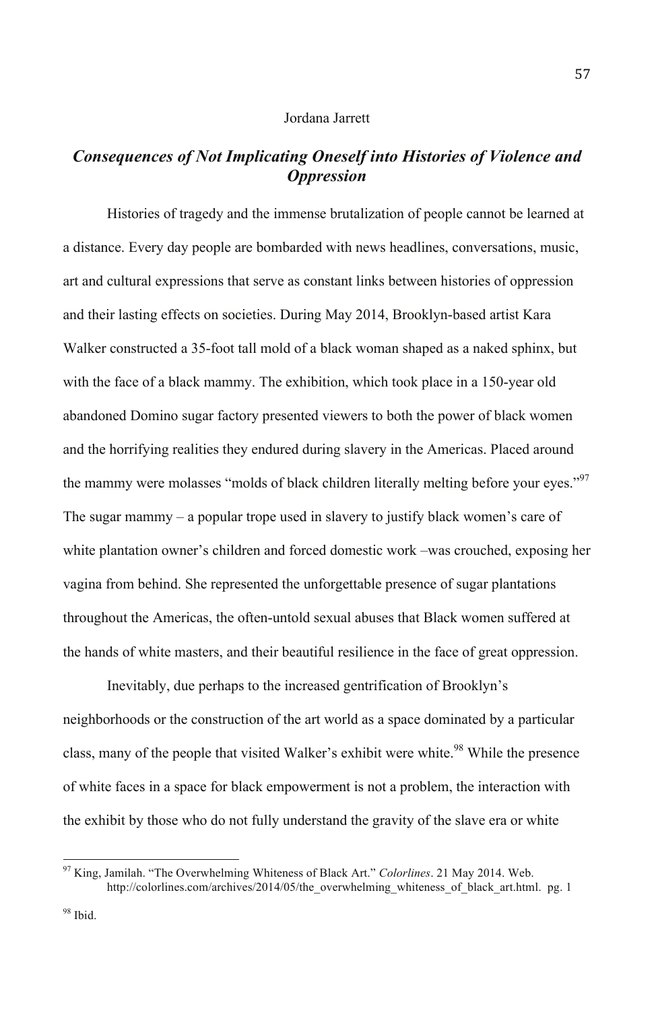### Jordana Jarrett

## *Consequences of Not Implicating Oneself into Histories of Violence and Oppression*

 Histories of tragedy and the immense brutalization of people cannot be learned at a distance. Every day people are bombarded with news headlines, conversations, music, art and cultural expressions that serve as constant links between histories of oppression and their lasting effects on societies. During May 2014, Brooklyn-based artist Kara Walker constructed a 35-foot tall mold of a black woman shaped as a naked sphinx, but with the face of a black mammy. The exhibition, which took place in a 150-year old abandoned Domino sugar factory presented viewers to both the power of black women and the horrifying realities they endured during slavery in the Americas. Placed around the mammy were molasses "molds of black children literally melting before your eyes."<sup>97</sup> The sugar mammy – a popular trope used in slavery to justify black women's care of white plantation owner's children and forced domestic work –was crouched, exposing her vagina from behind. She represented the unforgettable presence of sugar plantations throughout the Americas, the often-untold sexual abuses that Black women suffered at the hands of white masters, and their beautiful resilience in the face of great oppression.

Inevitably, due perhaps to the increased gentrification of Brooklyn's neighborhoods or the construction of the art world as a space dominated by a particular class, many of the people that visited Walker's exhibit were white.<sup>98</sup> While the presence of white faces in a space for black empowerment is not a problem, the interaction with the exhibit by those who do not fully understand the gravity of the slave era or white

<sup>97</sup> King, Jamilah. "The Overwhelming Whiteness of Black Art." *Colorlines*. 21 May 2014. Web. http://colorlines.com/archives/2014/05/the\_overwhelming\_whiteness\_of\_black\_art.html. pg. 1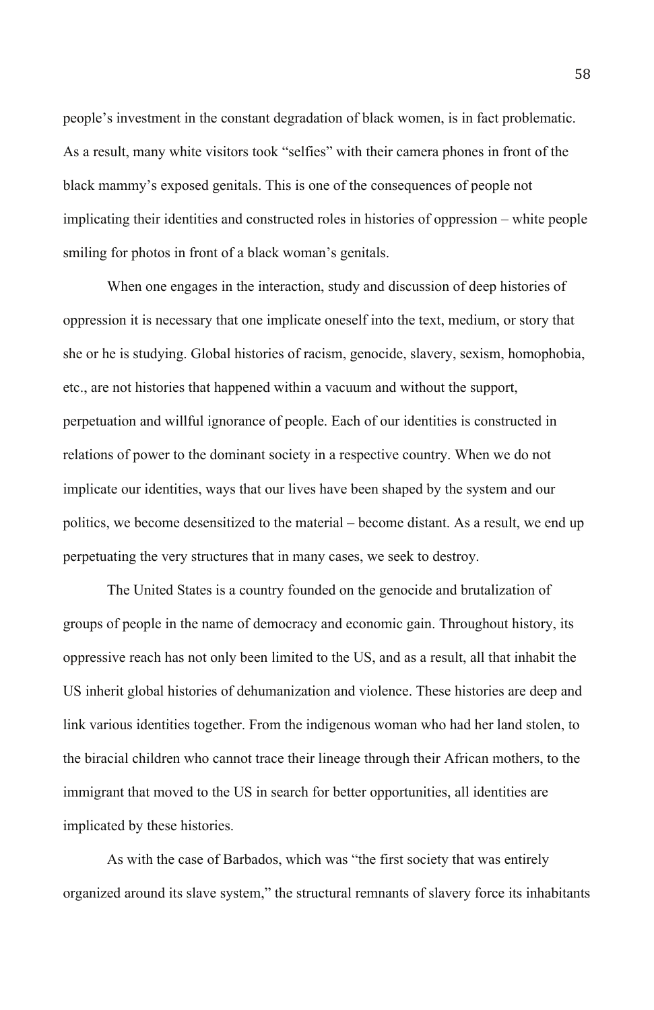people's investment in the constant degradation of black women, is in fact problematic. As a result, many white visitors took "selfies" with their camera phones in front of the black mammy's exposed genitals. This is one of the consequences of people not implicating their identities and constructed roles in histories of oppression – white people smiling for photos in front of a black woman's genitals.

 When one engages in the interaction, study and discussion of deep histories of oppression it is necessary that one implicate oneself into the text, medium, or story that she or he is studying. Global histories of racism, genocide, slavery, sexism, homophobia, etc., are not histories that happened within a vacuum and without the support, perpetuation and willful ignorance of people. Each of our identities is constructed in relations of power to the dominant society in a respective country. When we do not implicate our identities, ways that our lives have been shaped by the system and our politics, we become desensitized to the material – become distant. As a result, we end up perpetuating the very structures that in many cases, we seek to destroy.

 The United States is a country founded on the genocide and brutalization of groups of people in the name of democracy and economic gain. Throughout history, its oppressive reach has not only been limited to the US, and as a result, all that inhabit the US inherit global histories of dehumanization and violence. These histories are deep and link various identities together. From the indigenous woman who had her land stolen, to the biracial children who cannot trace their lineage through their African mothers, to the immigrant that moved to the US in search for better opportunities, all identities are implicated by these histories.

As with the case of Barbados, which was "the first society that was entirely organized around its slave system," the structural remnants of slavery force its inhabitants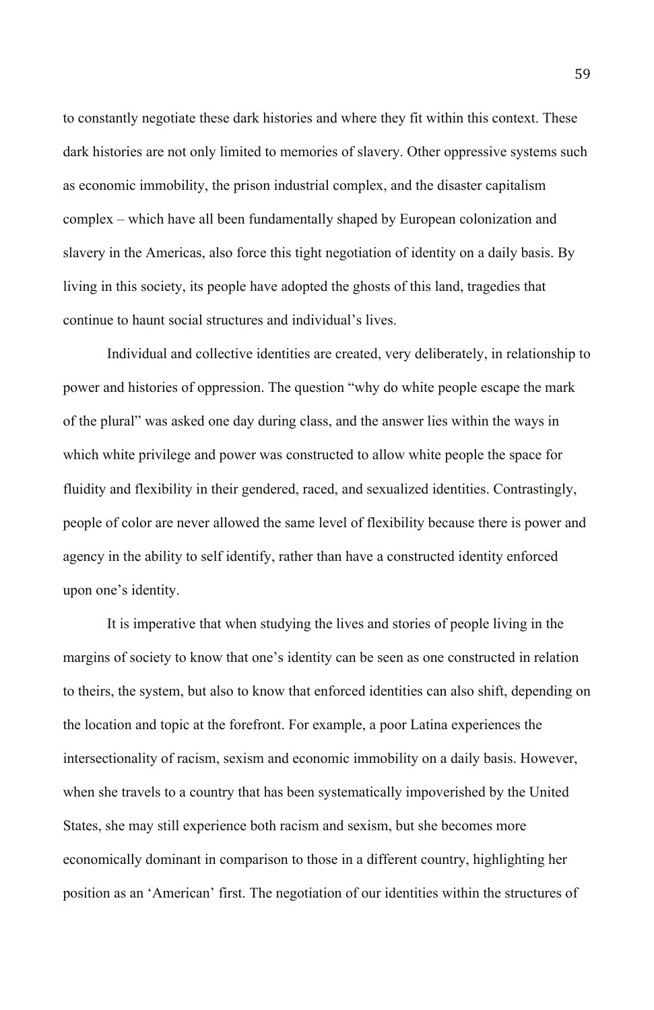to constantly negotiate these dark histories and where they fit within this context. These dark histories are not only limited to memories of slavery. Other oppressive systems such as economic immobility, the prison industrial complex, and the disaster capitalism complex – which have all been fundamentally shaped by European colonization and slavery in the Americas, also force this tight negotiation of identity on a daily basis. By living in this society, its people have adopted the ghosts of this land, tragedies that continue to haunt social structures and individual's lives.

Individual and collective identities are created, very deliberately, in relationship to power and histories of oppression. The question "why do white people escape the mark of the plural" was asked one day during class, and the answer lies within the ways in which white privilege and power was constructed to allow white people the space for fluidity and flexibility in their gendered, raced, and sexualized identities. Contrastingly, people of color are never allowed the same level of flexibility because there is power and agency in the ability to self identify, rather than have a constructed identity enforced upon one's identity.

It is imperative that when studying the lives and stories of people living in the margins of society to know that one's identity can be seen as one constructed in relation to theirs, the system, but also to know that enforced identities can also shift, depending on the location and topic at the forefront. For example, a poor Latina experiences the intersectionality of racism, sexism and economic immobility on a daily basis. However, when she travels to a country that has been systematically impoverished by the United States, she may still experience both racism and sexism, but she becomes more economically dominant in comparison to those in a different country, highlighting her position as an 'American' first. The negotiation of our identities within the structures of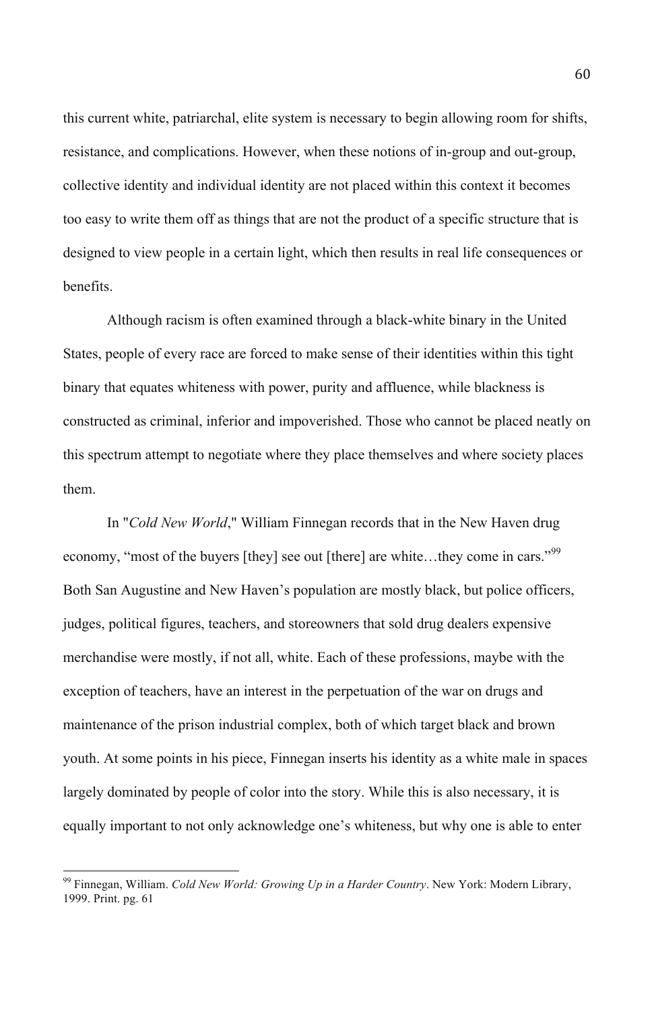this current white, patriarchal, elite system is necessary to begin allowing room for shifts, resistance, and complications. However, when these notions of in-group and out-group, collective identity and individual identity are not placed within this context it becomes too easy to write them off as things that are not the product of a specific structure that is designed to view people in a certain light, which then results in real life consequences or benefits.

Although racism is often examined through a black-white binary in the United States, people of every race are forced to make sense of their identities within this tight binary that equates whiteness with power, purity and affluence, while blackness is constructed as criminal, inferior and impoverished. Those who cannot be placed neatly on this spectrum attempt to negotiate where they place themselves and where society places them.

In "*Cold New World*," William Finnegan records that in the New Haven drug economy, "most of the buyers [they] see out [there] are white...they come in cars."<sup>99</sup> Both San Augustine and New Haven's population are mostly black, but police officers, judges, political figures, teachers, and storeowners that sold drug dealers expensive merchandise were mostly, if not all, white. Each of these professions, maybe with the exception of teachers, have an interest in the perpetuation of the war on drugs and maintenance of the prison industrial complex, both of which target black and brown youth. At some points in his piece, Finnegan inserts his identity as a white male in spaces largely dominated by people of color into the story. While this is also necessary, it is equally important to not only acknowledge one's whiteness, but why one is able to enter

<sup>99</sup> Finnegan, William. *Cold New World: Growing Up in a Harder Country*. New York: Modern Library, 1999. Print. pg. 61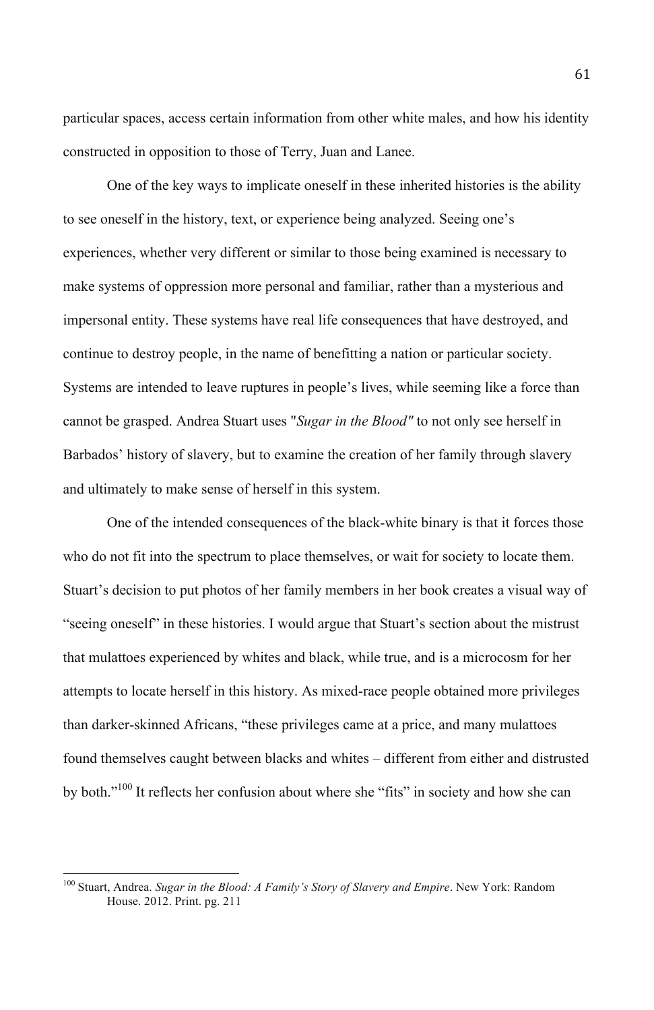particular spaces, access certain information from other white males, and how his identity constructed in opposition to those of Terry, Juan and Lanee.

 One of the key ways to implicate oneself in these inherited histories is the ability to see oneself in the history, text, or experience being analyzed. Seeing one's experiences, whether very different or similar to those being examined is necessary to make systems of oppression more personal and familiar, rather than a mysterious and impersonal entity. These systems have real life consequences that have destroyed, and continue to destroy people, in the name of benefitting a nation or particular society. Systems are intended to leave ruptures in people's lives, while seeming like a force than cannot be grasped. Andrea Stuart uses "*Sugar in the Blood"* to not only see herself in Barbados' history of slavery, but to examine the creation of her family through slavery and ultimately to make sense of herself in this system.

 One of the intended consequences of the black-white binary is that it forces those who do not fit into the spectrum to place themselves, or wait for society to locate them. Stuart's decision to put photos of her family members in her book creates a visual way of "seeing oneself" in these histories. I would argue that Stuart's section about the mistrust that mulattoes experienced by whites and black, while true, and is a microcosm for her attempts to locate herself in this history. As mixed-race people obtained more privileges than darker-skinned Africans, "these privileges came at a price, and many mulattoes found themselves caught between blacks and whites – different from either and distrusted by both."<sup>100</sup> It reflects her confusion about where she "fits" in society and how she can

<sup>100</sup> Stuart, Andrea. *Sugar in the Blood: A Family's Story of Slavery and Empire*. New York: Random House. 2012. Print. pg. 211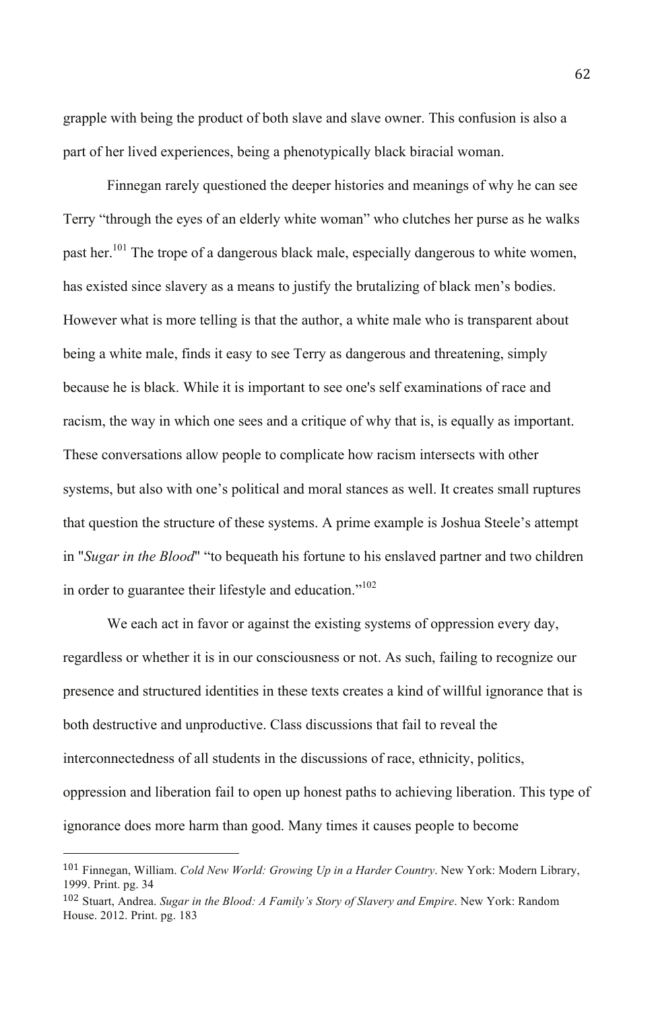grapple with being the product of both slave and slave owner. This confusion is also a part of her lived experiences, being a phenotypically black biracial woman.

Finnegan rarely questioned the deeper histories and meanings of why he can see Terry "through the eyes of an elderly white woman" who clutches her purse as he walks past her.<sup>101</sup> The trope of a dangerous black male, especially dangerous to white women, has existed since slavery as a means to justify the brutalizing of black men's bodies. However what is more telling is that the author, a white male who is transparent about being a white male, finds it easy to see Terry as dangerous and threatening, simply because he is black. While it is important to see one's self examinations of race and racism, the way in which one sees and a critique of why that is, is equally as important. These conversations allow people to complicate how racism intersects with other systems, but also with one's political and moral stances as well. It creates small ruptures that question the structure of these systems. A prime example is Joshua Steele's attempt in "*Sugar in the Blood*" "to bequeath his fortune to his enslaved partner and two children in order to guarantee their lifestyle and education."<sup>102</sup>

We each act in favor or against the existing systems of oppression every day, regardless or whether it is in our consciousness or not. As such, failing to recognize our presence and structured identities in these texts creates a kind of willful ignorance that is both destructive and unproductive. Class discussions that fail to reveal the interconnectedness of all students in the discussions of race, ethnicity, politics, oppression and liberation fail to open up honest paths to achieving liberation. This type of ignorance does more harm than good. Many times it causes people to become

<sup>&</sup>lt;sup>101</sup> Finnegan, William. *Cold New World: Growing Up in a Harder Country*. New York: Modern Library, 1999. Print. pg. 34

<sup>&</sup>lt;sup>102</sup> Stuart, Andrea. *Sugar in the Blood: A Family's Story of Slavery and Empire*. New York: Random House. 2012. Print. pg. 183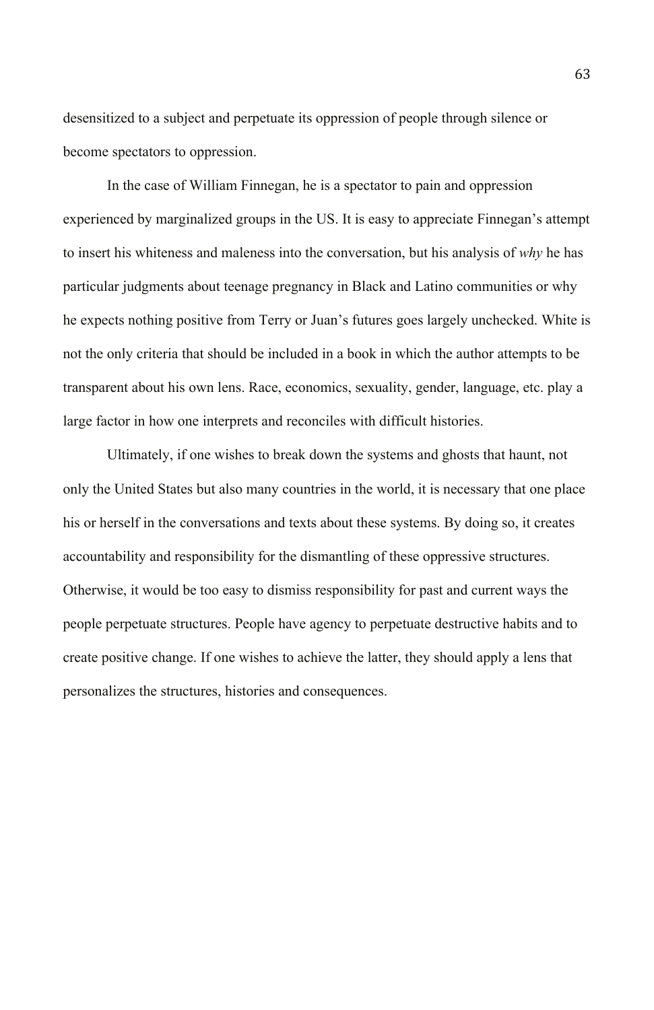desensitized to a subject and perpetuate its oppression of people through silence or become spectators to oppression.

In the case of William Finnegan, he is a spectator to pain and oppression experienced by marginalized groups in the US. It is easy to appreciate Finnegan's attempt to insert his whiteness and maleness into the conversation, but his analysis of *why* he has particular judgments about teenage pregnancy in Black and Latino communities or why he expects nothing positive from Terry or Juan's futures goes largely unchecked. White is not the only criteria that should be included in a book in which the author attempts to be transparent about his own lens. Race, economics, sexuality, gender, language, etc. play a large factor in how one interprets and reconciles with difficult histories.

Ultimately, if one wishes to break down the systems and ghosts that haunt, not only the United States but also many countries in the world, it is necessary that one place his or herself in the conversations and texts about these systems. By doing so, it creates accountability and responsibility for the dismantling of these oppressive structures. Otherwise, it would be too easy to dismiss responsibility for past and current ways the people perpetuate structures. People have agency to perpetuate destructive habits and to create positive change. If one wishes to achieve the latter, they should apply a lens that personalizes the structures, histories and consequences.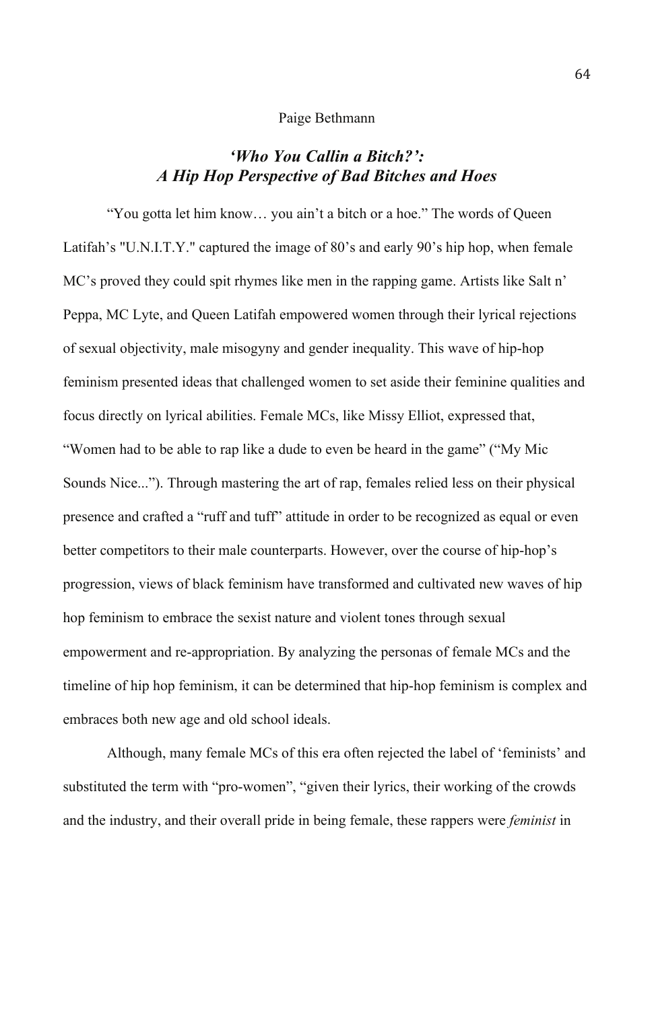### Paige Bethmann

## *'Who You Callin a Bitch?': A Hip Hop Perspective of Bad Bitches and Hoes*

 "You gotta let him know… you ain't a bitch or a hoe." The words of Queen Latifah's "U.N.I.T.Y." captured the image of 80's and early 90's hip hop, when female MC's proved they could spit rhymes like men in the rapping game. Artists like Salt n' Peppa, MC Lyte, and Queen Latifah empowered women through their lyrical rejections of sexual objectivity, male misogyny and gender inequality. This wave of hip-hop feminism presented ideas that challenged women to set aside their feminine qualities and focus directly on lyrical abilities. Female MCs, like Missy Elliot, expressed that, "Women had to be able to rap like a dude to even be heard in the game" ("My Mic Sounds Nice..."). Through mastering the art of rap, females relied less on their physical presence and crafted a "ruff and tuff" attitude in order to be recognized as equal or even better competitors to their male counterparts. However, over the course of hip-hop's progression, views of black feminism have transformed and cultivated new waves of hip hop feminism to embrace the sexist nature and violent tones through sexual empowerment and re-appropriation. By analyzing the personas of female MCs and the timeline of hip hop feminism, it can be determined that hip-hop feminism is complex and embraces both new age and old school ideals.

 Although, many female MCs of this era often rejected the label of 'feminists' and substituted the term with "pro-women", "given their lyrics, their working of the crowds and the industry, and their overall pride in being female, these rappers were *feminist* in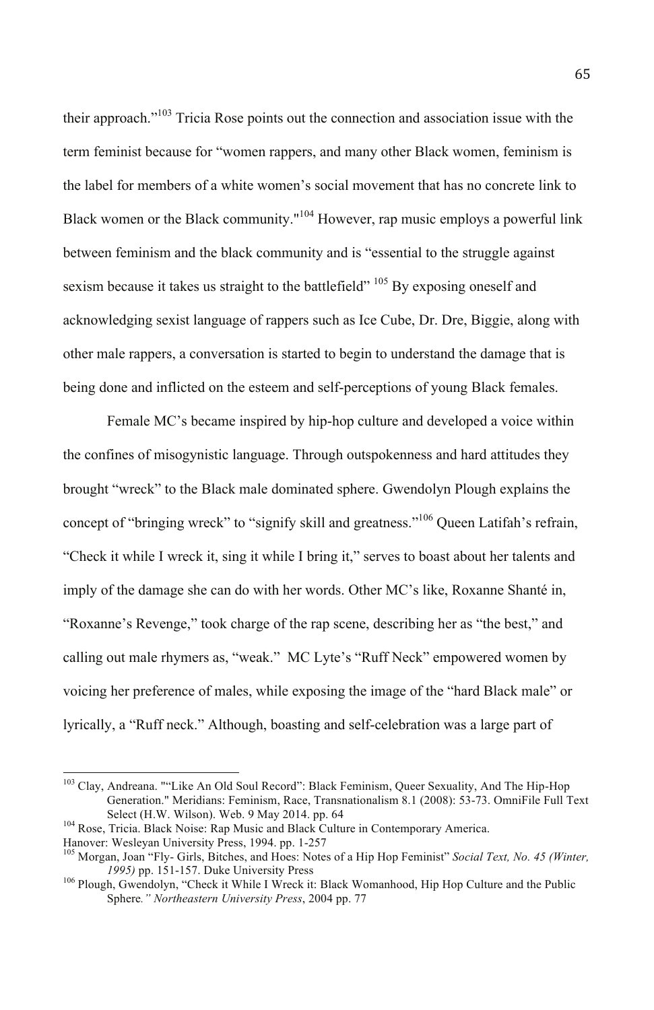their approach.<sup>"103</sup> Tricia Rose points out the connection and association issue with the term feminist because for "women rappers, and many other Black women, feminism is the label for members of a white women's social movement that has no concrete link to Black women or the Black community."<sup>104</sup> However, rap music employs a powerful link between feminism and the black community and is "essential to the struggle against sexism because it takes us straight to the battlefield" <sup>105</sup> By exposing oneself and acknowledging sexist language of rappers such as Ice Cube, Dr. Dre, Biggie, along with other male rappers, a conversation is started to begin to understand the damage that is being done and inflicted on the esteem and self-perceptions of young Black females.

 Female MC's became inspired by hip-hop culture and developed a voice within the confines of misogynistic language. Through outspokenness and hard attitudes they brought "wreck" to the Black male dominated sphere. Gwendolyn Plough explains the concept of "bringing wreck" to "signify skill and greatness."<sup>106</sup> Queen Latifah's refrain, "Check it while I wreck it, sing it while I bring it," serves to boast about her talents and imply of the damage she can do with her words. Other MC's like, Roxanne Shanté in, "Roxanne's Revenge," took charge of the rap scene, describing her as "the best," and calling out male rhymers as, "weak." MC Lyte's "Ruff Neck" empowered women by voicing her preference of males, while exposing the image of the "hard Black male" or lyrically, a "Ruff neck." Although, boasting and self-celebration was a large part of

<sup>!!!!!!!!!!!!!!!!!!!!!!!!!!!!!!!!!!!!!!!!!!!!!!!!!!!!!!!!</sup> <sup>103</sup> Clay, Andreana. ""Like An Old Soul Record": Black Feminism, Queer Sexuality, And The Hip-Hop Generation." Meridians: Feminism, Race, Transnationalism 8.1 (2008): 53-73. OmniFile Full Text Select (H.W. Wilson). Web. 9 May 2014. pp. 64

<sup>104</sup> Rose, Tricia. Black Noise: Rap Music and Black Culture in Contemporary America.

Hanover: Wesleyan University Press, 1994. pp. 1-257

<sup>105</sup> Morgan, Joan "Fly- Girls, Bitches, and Hoes: Notes of a Hip Hop Feminist" *Social Text, No. 45 (Winter, 1995)* pp. 151-157. Duke University Press

<sup>106</sup> Plough, Gwendolyn, "Check it While I Wreck it: Black Womanhood, Hip Hop Culture and the Public Sphere*." Northeastern University Press*, 2004 pp. 77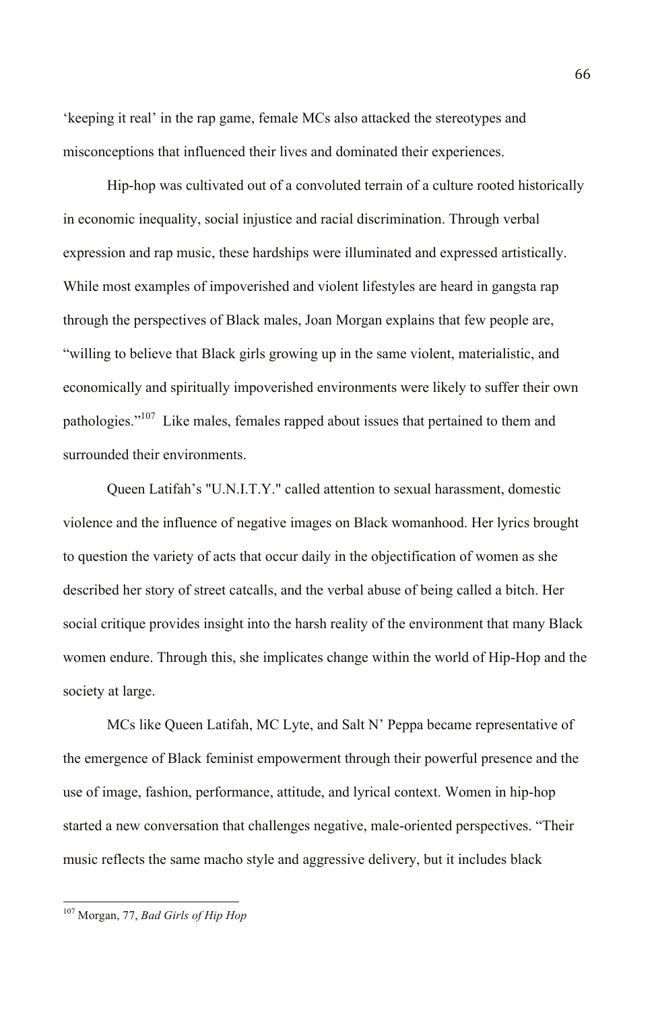'keeping it real' in the rap game, female MCs also attacked the stereotypes and misconceptions that influenced their lives and dominated their experiences.

 Hip-hop was cultivated out of a convoluted terrain of a culture rooted historically in economic inequality, social injustice and racial discrimination. Through verbal expression and rap music, these hardships were illuminated and expressed artistically. While most examples of impoverished and violent lifestyles are heard in gangsta rap through the perspectives of Black males, Joan Morgan explains that few people are, "willing to believe that Black girls growing up in the same violent, materialistic, and economically and spiritually impoverished environments were likely to suffer their own pathologies."<sup>107</sup> Like males, females rapped about issues that pertained to them and surrounded their environments.

 Queen Latifah's "U.N.I.T.Y." called attention to sexual harassment, domestic violence and the influence of negative images on Black womanhood. Her lyrics brought to question the variety of acts that occur daily in the objectification of women as she described her story of street catcalls, and the verbal abuse of being called a bitch. Her social critique provides insight into the harsh reality of the environment that many Black women endure. Through this, she implicates change within the world of Hip-Hop and the society at large.

MCs like Queen Latifah, MC Lyte, and Salt N' Peppa became representative of the emergence of Black feminist empowerment through their powerful presence and the use of image, fashion, performance, attitude, and lyrical context. Women in hip-hop started a new conversation that challenges negative, male-oriented perspectives. "Their music reflects the same macho style and aggressive delivery, but it includes black

<sup>66</sup> 

<sup>!!!!!!!!!!!!!!!!!!!!!!!!!!!!!!!!!!!!!!!!!!!!!!!!!!!!!!!!</sup> <sup>107</sup> Morgan, 77, *Bad Girls of Hip Hop*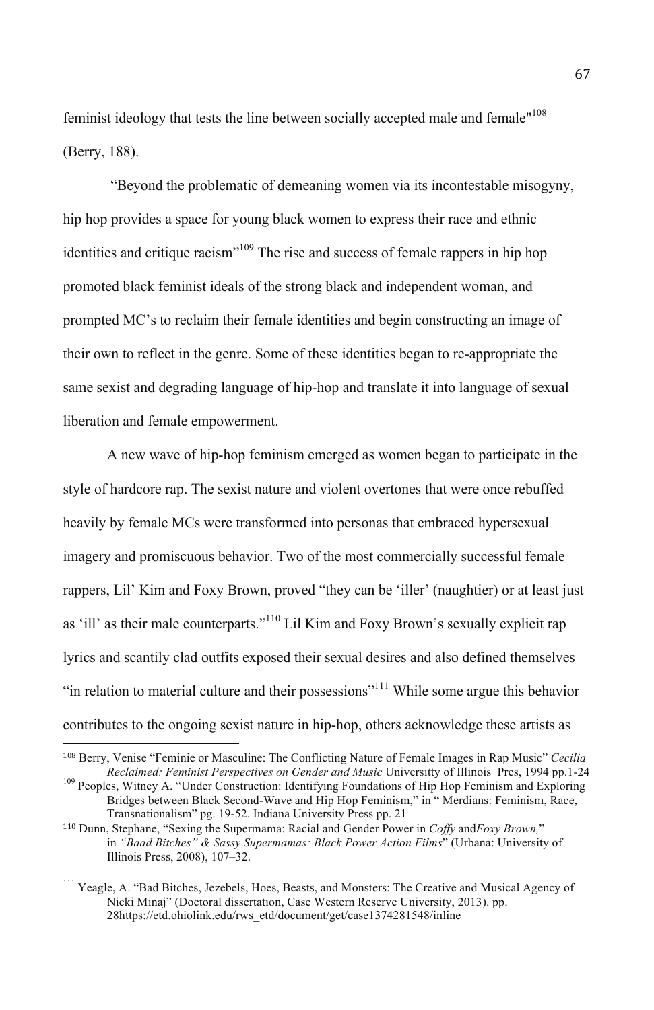feminist ideology that tests the line between socially accepted male and female"<sup>108</sup> (Berry, 188).

 "Beyond the problematic of demeaning women via its incontestable misogyny, hip hop provides a space for young black women to express their race and ethnic identities and critique racism<sup>3109</sup> The rise and success of female rappers in hip hop promoted black feminist ideals of the strong black and independent woman, and prompted MC's to reclaim their female identities and begin constructing an image of their own to reflect in the genre. Some of these identities began to re-appropriate the same sexist and degrading language of hip-hop and translate it into language of sexual liberation and female empowerment.

A new wave of hip-hop feminism emerged as women began to participate in the style of hardcore rap. The sexist nature and violent overtones that were once rebuffed heavily by female MCs were transformed into personas that embraced hypersexual imagery and promiscuous behavior. Two of the most commercially successful female rappers, Lil' Kim and Foxy Brown, proved "they can be 'iller' (naughtier) or at least just as 'ill' as their male counterparts."<sup>110</sup> Lil Kim and Foxy Brown's sexually explicit rap lyrics and scantily clad outfits exposed their sexual desires and also defined themselves "in relation to material culture and their possessions"<sup>111</sup> While some argue this behavior contributes to the ongoing sexist nature in hip-hop, others acknowledge these artists as

<sup>&</sup>lt;sup>108</sup> Berry, Venise "Feminie or Masculine: The Conflicting Nature of Female Images in Rap Music" *Cecilia Reclaimed: Feminist Perspectives on Gender and Music* Universitty of Illinois Pres, 1994 pp.1-24

<sup>&</sup>lt;sup>109</sup> Peoples, Witney A. "Under Construction: Identifying Foundations of Hip Hop Feminism and Exploring Bridges between Black Second-Wave and Hip Hop Feminism," in " Merdians: Feminism, Race, Transnationalism" pg. 19-52. Indiana University Press pp. 21

<sup>&</sup>lt;sup>110</sup> Dunn, Stephane, "Sexing the Supermama: Racial and Gender Power in *Coffy* and *Foxy Brown*," in *"Baad Bitches" & Sassy Supermamas: Black Power Action Films*" (Urbana: University of Illinois Press, 2008), 107–32.

<sup>&</sup>lt;sup>111</sup> Yeagle, A. "Bad Bitches, Jezebels, Hoes, Beasts, and Monsters: The Creative and Musical Agency of Nicki Minaj" (Doctoral dissertation, Case Western Reserve University, 2013). pp. 28https://etd.ohiolink.edu/rws\_etd/document/get/case1374281548/inline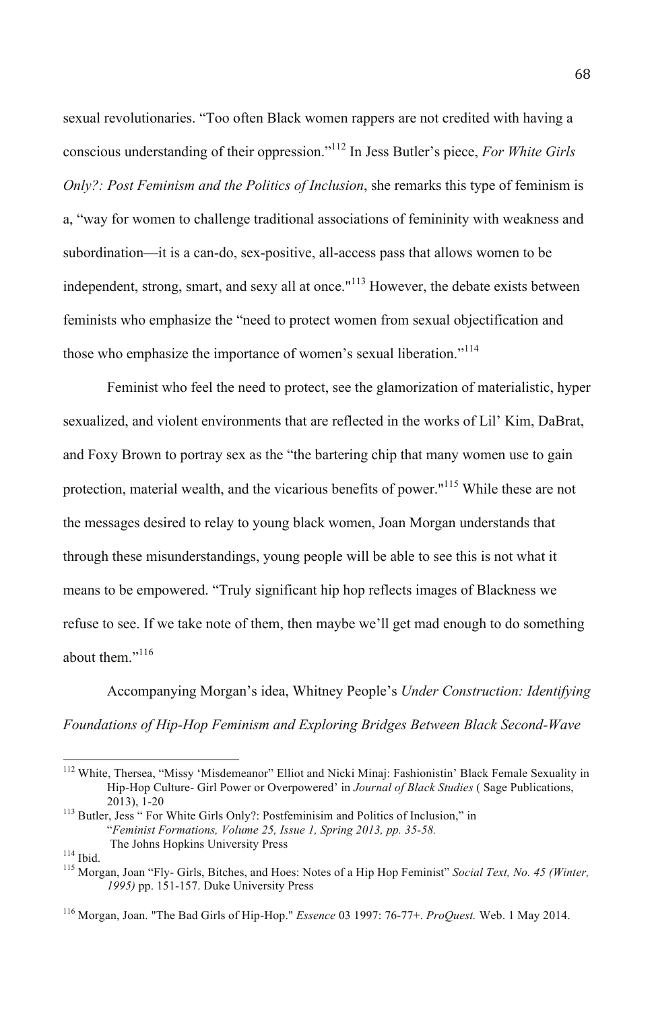sexual revolutionaries. "Too often Black women rappers are not credited with having a conscious understanding of their oppression."<sup>112</sup> In Jess Butler's piece, *For White Girls Only?: Post Feminism and the Politics of Inclusion*, she remarks this type of feminism is a, "way for women to challenge traditional associations of femininity with weakness and subordination—it is a can-do, sex-positive, all-access pass that allows women to be independent, strong, smart, and sexy all at once."<sup>113</sup> However, the debate exists between feminists who emphasize the "need to protect women from sexual objectification and those who emphasize the importance of women's sexual liberation."<sup>114</sup>

Feminist who feel the need to protect, see the glamorization of materialistic, hyper sexualized, and violent environments that are reflected in the works of Lil' Kim, DaBrat, and Foxy Brown to portray sex as the "the bartering chip that many women use to gain protection, material wealth, and the vicarious benefits of power."<sup>115</sup> While these are not the messages desired to relay to young black women, Joan Morgan understands that through these misunderstandings, young people will be able to see this is not what it means to be empowered. "Truly significant hip hop reflects images of Blackness we refuse to see. If we take note of them, then maybe we'll get mad enough to do something about them."<sup>116</sup>

Accompanying Morgan's idea, Whitney People's *Under Construction: Identifying Foundations of Hip-Hop Feminism and Exploring Bridges Between Black Second-Wave* 

<sup>&</sup>lt;sup>112</sup> White, Thersea, "Missy 'Misdemeanor" Elliot and Nicki Minaj: Fashionistin' Black Female Sexuality in Hip-Hop Culture- Girl Power or Overpowered' in *Journal of Black Studies* ( Sage Publications, 2013), 1-20

<sup>&</sup>lt;sup>113</sup> Butler. Jess " For White Girls Only?: Postfeminisim and Politics of Inclusion," in "*Feminist Formations, Volume 25, Issue 1, Spring 2013, pp. 35-58.* 

The Johns Hopkins University Press

 $114$  Ibid.

<sup>115</sup> Morgan, Joan "Fly- Girls, Bitches, and Hoes: Notes of a Hip Hop Feminist" *Social Text, No. 45 (Winter, 1995)* pp. 151-157. Duke University Press

<sup>116</sup> Morgan, Joan. "The Bad Girls of Hip-Hop." *Essence* 03 1997: 76-77+. *ProQuest.* Web. 1 May 2014.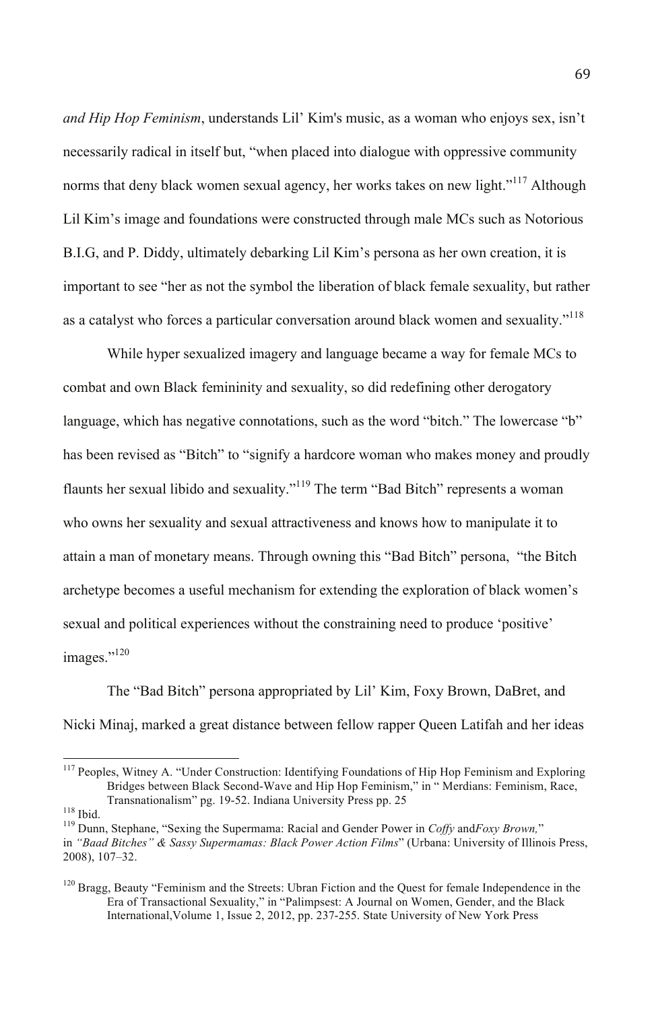*and Hip Hop Feminism*, understands Lil' Kim's music, as a woman who enjoys sex, isn't necessarily radical in itself but, "when placed into dialogue with oppressive community norms that deny black women sexual agency, her works takes on new light."<sup>117</sup> Although Lil Kim's image and foundations were constructed through male MCs such as Notorious B.I.G, and P. Diddy, ultimately debarking Lil Kim's persona as her own creation, it is important to see "her as not the symbol the liberation of black female sexuality, but rather as a catalyst who forces a particular conversation around black women and sexuality."<sup>118</sup>

 While hyper sexualized imagery and language became a way for female MCs to combat and own Black femininity and sexuality, so did redefining other derogatory language, which has negative connotations, such as the word "bitch." The lowercase "b" has been revised as "Bitch" to "signify a hardcore woman who makes money and proudly flaunts her sexual libido and sexuality."<sup>119</sup> The term "Bad Bitch" represents a woman who owns her sexuality and sexual attractiveness and knows how to manipulate it to attain a man of monetary means. Through owning this "Bad Bitch" persona, "the Bitch archetype becomes a useful mechanism for extending the exploration of black women's sexual and political experiences without the constraining need to produce 'positive' images."<sup>120</sup>

 The "Bad Bitch" persona appropriated by Lil' Kim, Foxy Brown, DaBret, and Nicki Minaj, marked a great distance between fellow rapper Queen Latifah and her ideas

<sup>&</sup>lt;sup>117</sup> Peoples, Witney A. "Under Construction: Identifying Foundations of Hip Hop Feminism and Exploring Bridges between Black Second-Wave and Hip Hop Feminism," in " Merdians: Feminism, Race, Transnationalism" pg. 19-52. Indiana University Press pp. 25

<sup>118</sup> Ibid.

<sup>119</sup> Dunn, Stephane, "Sexing the Supermama: Racial and Gender Power in *Coffy* and*Foxy Brown,*" in *"Baad Bitches" & Sassy Supermamas: Black Power Action Films*" (Urbana: University of Illinois Press, 2008), 107–32.

<sup>&</sup>lt;sup>120</sup> Bragg, Beauty "Feminism and the Streets: Ubran Fiction and the Quest for female Independence in the Era of Transactional Sexuality," in "Palimpsest: A Journal on Women, Gender, and the Black International,Volume 1, Issue 2, 2012, pp. 237-255. State University of New York Press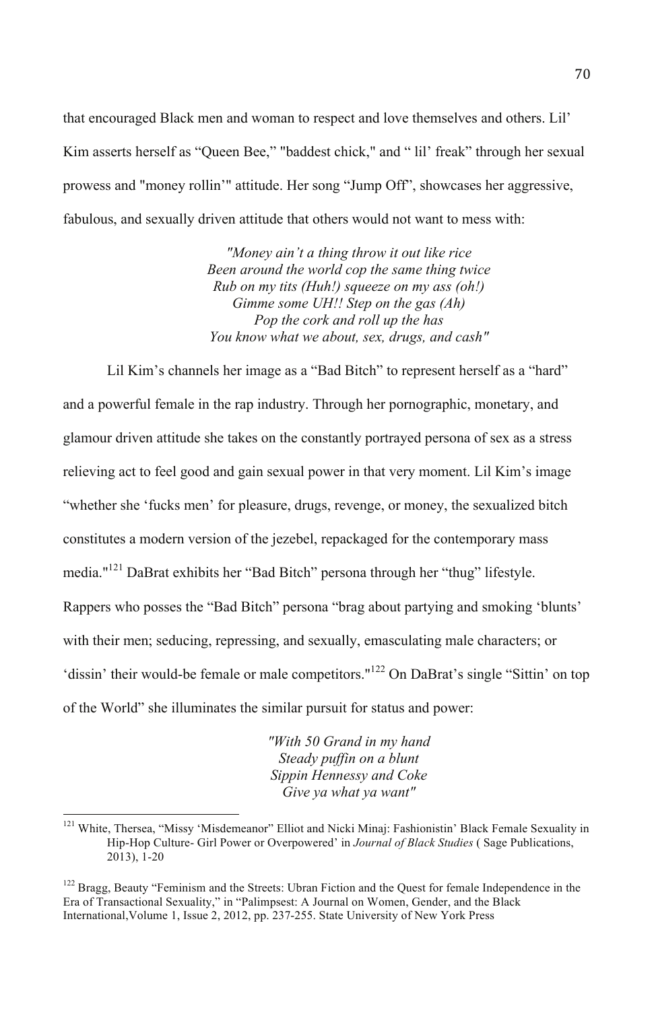that encouraged Black men and woman to respect and love themselves and others. Lil' Kim asserts herself as "Queen Bee," "baddest chick," and " lil' freak" through her sexual prowess and "money rollin'" attitude. Her song "Jump Off", showcases her aggressive, fabulous, and sexually driven attitude that others would not want to mess with:

> *"Money ain't a thing throw it out like rice Been around the world cop the same thing twice Rub on my tits (Huh!) squeeze on my ass (oh!) Gimme some UH!! Step on the gas (Ah) Pop the cork and roll up the has You know what we about, sex, drugs, and cash"*

 Lil Kim's channels her image as a "Bad Bitch" to represent herself as a "hard" and a powerful female in the rap industry. Through her pornographic, monetary, and glamour driven attitude she takes on the constantly portrayed persona of sex as a stress relieving act to feel good and gain sexual power in that very moment. Lil Kim's image "whether she 'fucks men' for pleasure, drugs, revenge, or money, the sexualized bitch constitutes a modern version of the jezebel, repackaged for the contemporary mass media."<sup>121</sup> DaBrat exhibits her "Bad Bitch" persona through her "thug" lifestyle. Rappers who posses the "Bad Bitch" persona "brag about partying and smoking 'blunts' with their men; seducing, repressing, and sexually, emasculating male characters; or 'dissin' their would-be female or male competitors."<sup>122</sup> On DaBrat's single "Sittin' on top of the World" she illuminates the similar pursuit for status and power:

> *"With 50 Grand in my hand Steady puffin on a blunt Sippin Hennessy and Coke Give ya what ya want"*

<sup>&</sup>lt;sup>121</sup> White, Thersea, "Missy 'Misdemeanor" Elliot and Nicki Minaj: Fashionistin' Black Female Sexuality in Hip-Hop Culture- Girl Power or Overpowered' in *Journal of Black Studies* ( Sage Publications,  $2013$ ), 1-20

<sup>&</sup>lt;sup>122</sup> Bragg, Beauty "Feminism and the Streets: Ubran Fiction and the Quest for female Independence in the Era of Transactional Sexuality," in "Palimpsest: A Journal on Women, Gender, and the Black International,Volume 1, Issue 2, 2012, pp. 237-255. State University of New York Press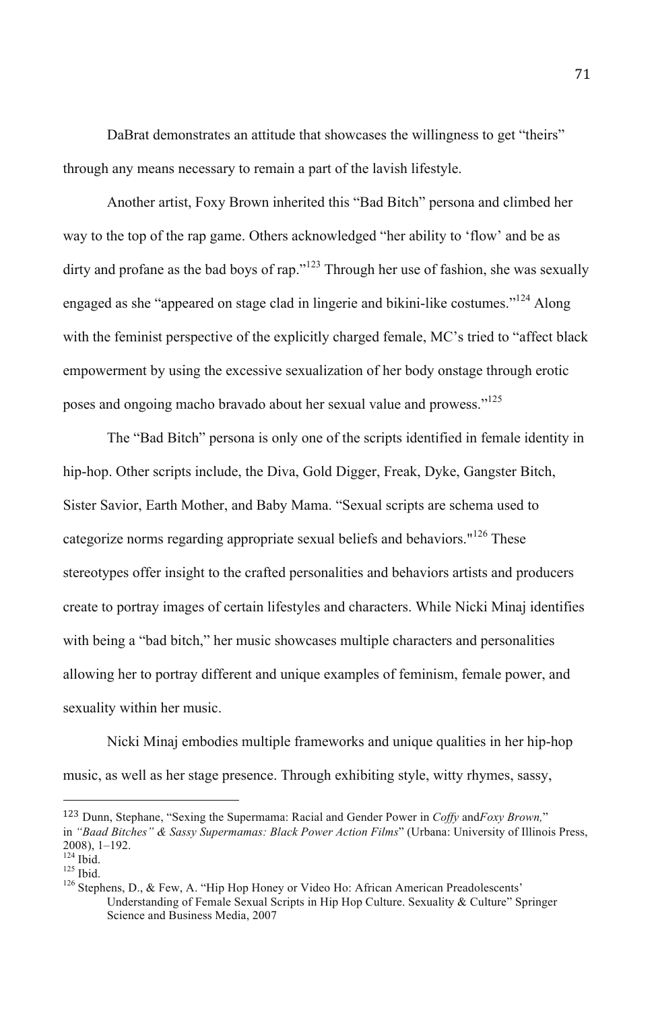DaBrat demonstrates an attitude that showcases the willingness to get "theirs" through any means necessary to remain a part of the lavish lifestyle.

 Another artist, Foxy Brown inherited this "Bad Bitch" persona and climbed her way to the top of the rap game. Others acknowledged "her ability to 'flow' and be as dirty and profane as the bad boys of rap."<sup>123</sup> Through her use of fashion, she was sexually engaged as she "appeared on stage clad in lingerie and bikini-like costumes."<sup>124</sup> Along with the feminist perspective of the explicitly charged female, MC's tried to "affect black empowerment by using the excessive sexualization of her body onstage through erotic poses and ongoing macho bravado about her sexual value and prowess."<sup>125</sup>

 The "Bad Bitch" persona is only one of the scripts identified in female identity in hip-hop. Other scripts include, the Diva, Gold Digger, Freak, Dyke, Gangster Bitch, Sister Savior, Earth Mother, and Baby Mama. "Sexual scripts are schema used to categorize norms regarding appropriate sexual beliefs and behaviors."<sup>126</sup> These stereotypes offer insight to the crafted personalities and behaviors artists and producers create to portray images of certain lifestyles and characters. While Nicki Minaj identifies with being a "bad bitch," her music showcases multiple characters and personalities allowing her to portray different and unique examples of feminism, female power, and sexuality within her music.

 Nicki Minaj embodies multiple frameworks and unique qualities in her hip-hop music, as well as her stage presence. Through exhibiting style, witty rhymes, sassy,

<sup>&</sup>lt;sup>123</sup> Dunn, Stephane, "Sexing the Supermama: Racial and Gender Power in *Coffy* and *Foxy Brown*,"

in *"Baad Bitches" & Sassy Supermamas: Black Power Action Films*" (Urbana: University of Illinois Press, 2008), 1–192.  $124$  Ibid.

 $125$  Ibid.

<sup>&</sup>lt;sup>126</sup> Stephens, D., & Few, A. "Hip Hop Honey or Video Ho: African American Preadolescents' Understanding of Female Sexual Scripts in Hip Hop Culture. Sexuality & Culture" Springer Science and Business Media, 2007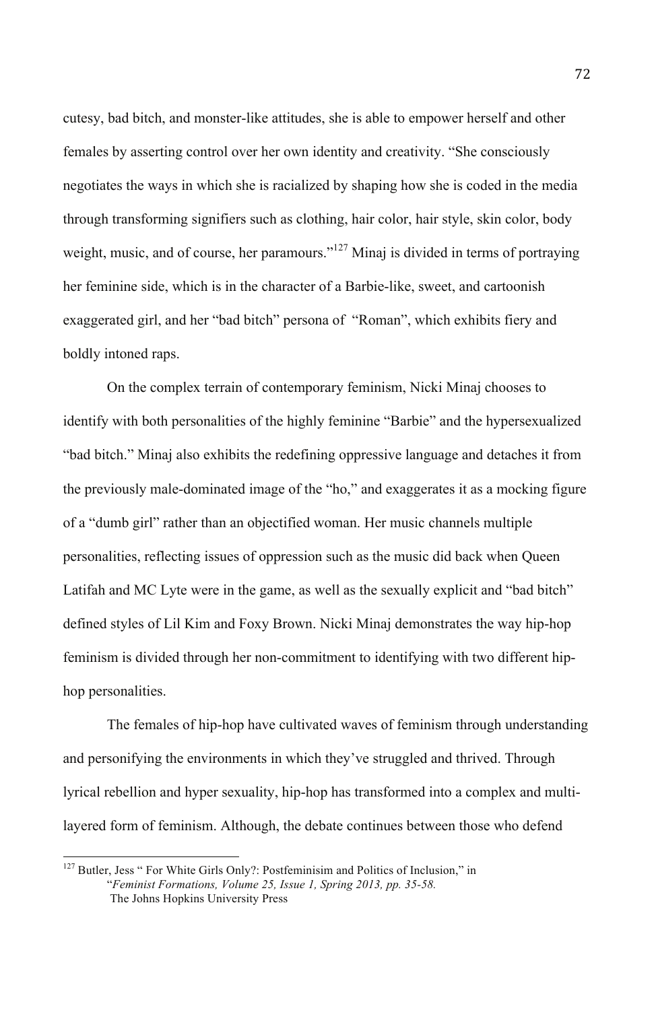cutesy, bad bitch, and monster-like attitudes, she is able to empower herself and other females by asserting control over her own identity and creativity. "She consciously negotiates the ways in which she is racialized by shaping how she is coded in the media through transforming signifiers such as clothing, hair color, hair style, skin color, body weight, music, and of course, her paramours."<sup>127</sup> Minaj is divided in terms of portraying her feminine side, which is in the character of a Barbie-like, sweet, and cartoonish exaggerated girl, and her "bad bitch" persona of "Roman", which exhibits fiery and boldly intoned raps.

On the complex terrain of contemporary feminism, Nicki Minaj chooses to identify with both personalities of the highly feminine "Barbie" and the hypersexualized "bad bitch." Minaj also exhibits the redefining oppressive language and detaches it from the previously male-dominated image of the "ho," and exaggerates it as a mocking figure of a "dumb girl" rather than an objectified woman. Her music channels multiple personalities, reflecting issues of oppression such as the music did back when Queen Latifah and MC Lyte were in the game, as well as the sexually explicit and "bad bitch" defined styles of Lil Kim and Foxy Brown. Nicki Minaj demonstrates the way hip-hop feminism is divided through her non-commitment to identifying with two different hiphop personalities.

The females of hip-hop have cultivated waves of feminism through understanding and personifying the environments in which they've struggled and thrived. Through lyrical rebellion and hyper sexuality, hip-hop has transformed into a complex and multilayered form of feminism. Although, the debate continues between those who defend

<sup>&</sup>lt;sup>127</sup> Butler, Jess " For White Girls Only?: Postfeminisim and Politics of Inclusion," in "*Feminist Formations, Volume 25, Issue 1, Spring 2013, pp. 35-58.*  The Johns Hopkins University Press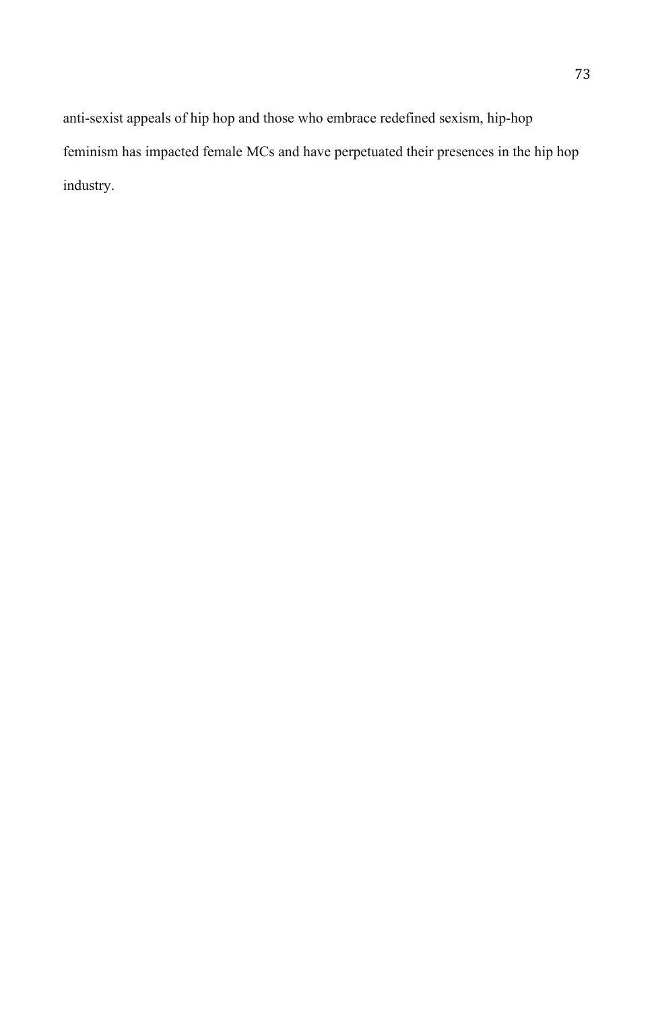anti-sexist appeals of hip hop and those who embrace redefined sexism, hip-hop feminism has impacted female MCs and have perpetuated their presences in the hip hop industry.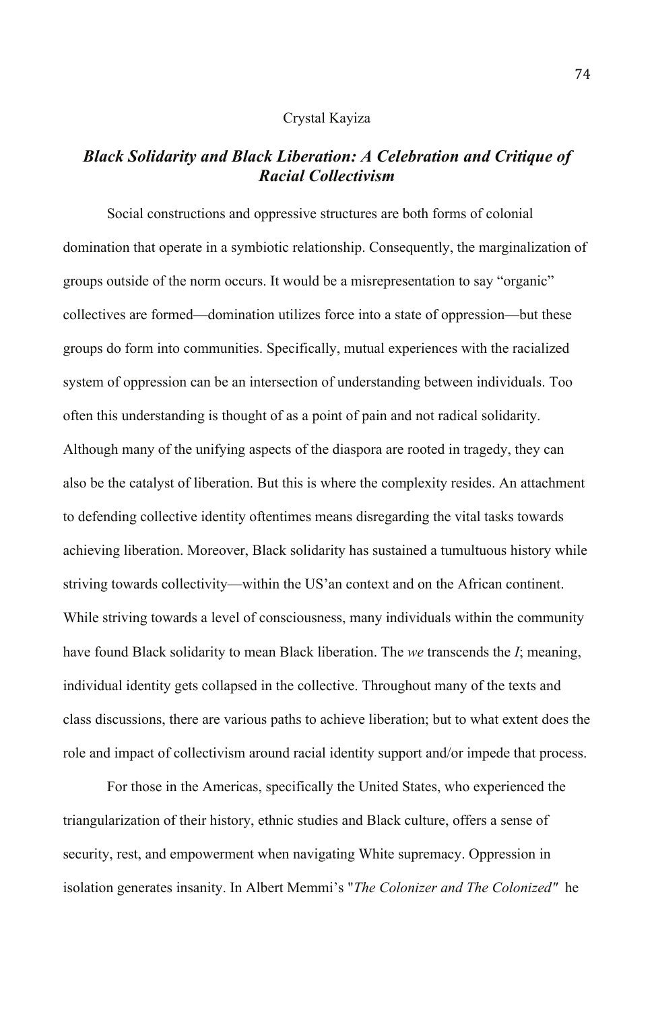## Crystal Kayiza

## *Black Solidarity and Black Liberation: A Celebration and Critique of Racial Collectivism*

 Social constructions and oppressive structures are both forms of colonial domination that operate in a symbiotic relationship. Consequently, the marginalization of groups outside of the norm occurs. It would be a misrepresentation to say "organic" collectives are formed—domination utilizes force into a state of oppression—but these groups do form into communities. Specifically, mutual experiences with the racialized system of oppression can be an intersection of understanding between individuals. Too often this understanding is thought of as a point of pain and not radical solidarity. Although many of the unifying aspects of the diaspora are rooted in tragedy, they can also be the catalyst of liberation. But this is where the complexity resides. An attachment to defending collective identity oftentimes means disregarding the vital tasks towards achieving liberation. Moreover, Black solidarity has sustained a tumultuous history while striving towards collectivity—within the US'an context and on the African continent. While striving towards a level of consciousness, many individuals within the community have found Black solidarity to mean Black liberation. The *we* transcends the *I*; meaning, individual identity gets collapsed in the collective. Throughout many of the texts and class discussions, there are various paths to achieve liberation; but to what extent does the role and impact of collectivism around racial identity support and/or impede that process.

 For those in the Americas, specifically the United States, who experienced the triangularization of their history, ethnic studies and Black culture, offers a sense of security, rest, and empowerment when navigating White supremacy. Oppression in isolation generates insanity. In Albert Memmi's "*The Colonizer and The Colonized"* he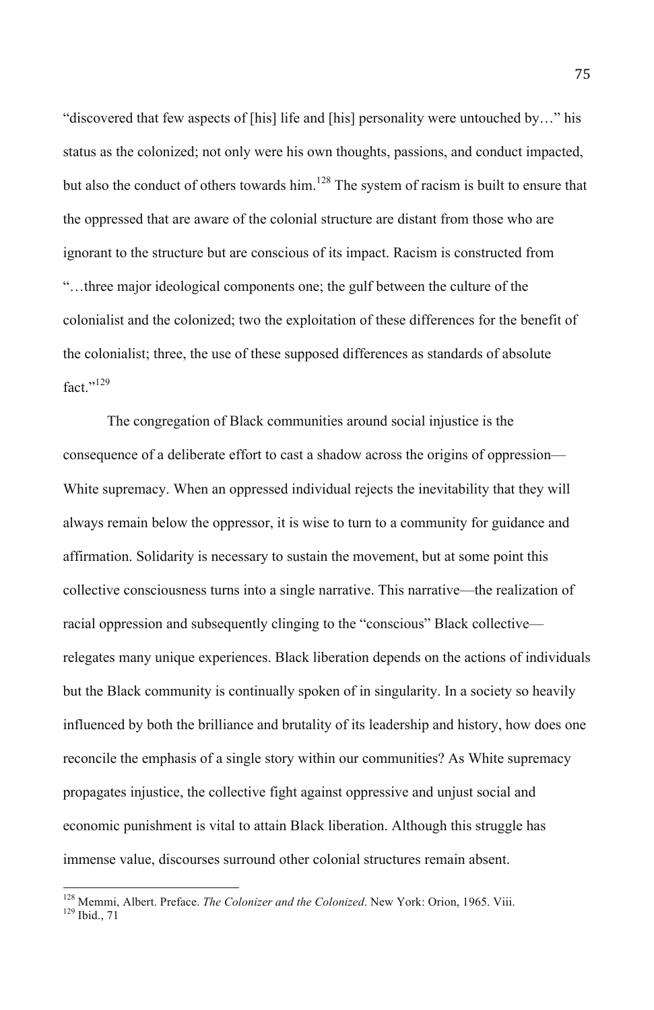"discovered that few aspects of [his] life and [his] personality were untouched by…" his status as the colonized; not only were his own thoughts, passions, and conduct impacted, but also the conduct of others towards him.<sup>128</sup> The system of racism is built to ensure that the oppressed that are aware of the colonial structure are distant from those who are ignorant to the structure but are conscious of its impact. Racism is constructed from "…three major ideological components one; the gulf between the culture of the colonialist and the colonized; two the exploitation of these differences for the benefit of the colonialist; three, the use of these supposed differences as standards of absolute fact." $^{129}$ 

 The congregation of Black communities around social injustice is the consequence of a deliberate effort to cast a shadow across the origins of oppression— White supremacy. When an oppressed individual rejects the inevitability that they will always remain below the oppressor, it is wise to turn to a community for guidance and affirmation. Solidarity is necessary to sustain the movement, but at some point this collective consciousness turns into a single narrative. This narrative—the realization of racial oppression and subsequently clinging to the "conscious" Black collective relegates many unique experiences. Black liberation depends on the actions of individuals but the Black community is continually spoken of in singularity. In a society so heavily influenced by both the brilliance and brutality of its leadership and history, how does one reconcile the emphasis of a single story within our communities? As White supremacy propagates injustice, the collective fight against oppressive and unjust social and economic punishment is vital to attain Black liberation. Although this struggle has immense value, discourses surround other colonial structures remain absent.

<sup>128</sup> Memmi, Albert. Preface. *The Colonizer and the Colonized*. New York: Orion, 1965. Viii. <sup>129</sup> Ibid., 71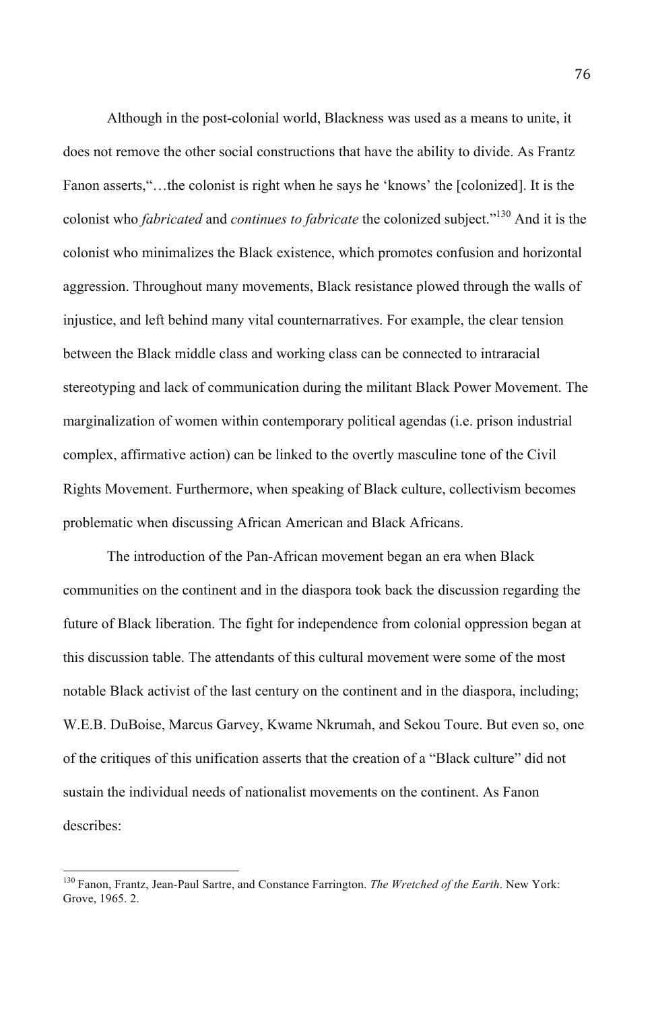Although in the post-colonial world, Blackness was used as a means to unite, it does not remove the other social constructions that have the ability to divide. As Frantz Fanon asserts,"...the colonist is right when he says he 'knows' the [colonized]. It is the colonist who *fabricated* and *continues to fabricate* the colonized subject."<sup>130</sup> And it is the colonist who minimalizes the Black existence, which promotes confusion and horizontal aggression. Throughout many movements, Black resistance plowed through the walls of injustice, and left behind many vital counternarratives. For example, the clear tension between the Black middle class and working class can be connected to intraracial stereotyping and lack of communication during the militant Black Power Movement. The marginalization of women within contemporary political agendas (i.e. prison industrial complex, affirmative action) can be linked to the overtly masculine tone of the Civil Rights Movement. Furthermore, when speaking of Black culture, collectivism becomes problematic when discussing African American and Black Africans.

The introduction of the Pan-African movement began an era when Black communities on the continent and in the diaspora took back the discussion regarding the future of Black liberation. The fight for independence from colonial oppression began at this discussion table. The attendants of this cultural movement were some of the most notable Black activist of the last century on the continent and in the diaspora, including; W.E.B. DuBoise, Marcus Garvey, Kwame Nkrumah, and Sekou Toure. But even so, one of the critiques of this unification asserts that the creation of a "Black culture" did not sustain the individual needs of nationalist movements on the continent. As Fanon describes:

<sup>130</sup> Fanon, Frantz, Jean-Paul Sartre, and Constance Farrington. *The Wretched of the Earth*. New York: Grove, 1965. 2.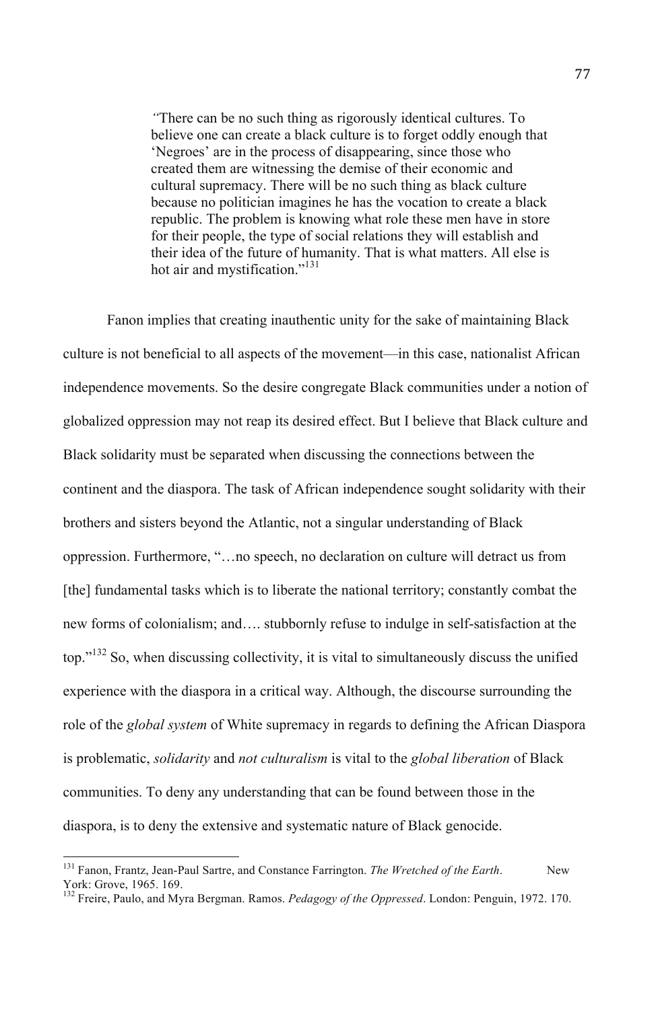*"*There can be no such thing as rigorously identical cultures. To believe one can create a black culture is to forget oddly enough that 'Negroes' are in the process of disappearing, since those who created them are witnessing the demise of their economic and cultural supremacy. There will be no such thing as black culture because no politician imagines he has the vocation to create a black republic. The problem is knowing what role these men have in store for their people, the type of social relations they will establish and their idea of the future of humanity. That is what matters. All else is hot air and mystification."<sup>131</sup>

 Fanon implies that creating inauthentic unity for the sake of maintaining Black culture is not beneficial to all aspects of the movement—in this case, nationalist African independence movements. So the desire congregate Black communities under a notion of globalized oppression may not reap its desired effect. But I believe that Black culture and Black solidarity must be separated when discussing the connections between the continent and the diaspora. The task of African independence sought solidarity with their brothers and sisters beyond the Atlantic, not a singular understanding of Black oppression. Furthermore, "…no speech, no declaration on culture will detract us from [the] fundamental tasks which is to liberate the national territory; constantly combat the new forms of colonialism; and…. stubbornly refuse to indulge in self-satisfaction at the top."<sup>132</sup> So, when discussing collectivity, it is vital to simultaneously discuss the unified experience with the diaspora in a critical way. Although, the discourse surrounding the role of the *global system* of White supremacy in regards to defining the African Diaspora is problematic, *solidarity* and *not culturalism* is vital to the *global liberation* of Black communities. To deny any understanding that can be found between those in the diaspora, is to deny the extensive and systematic nature of Black genocide.

<sup>131</sup> Fanon, Frantz, Jean-Paul Sartre, and Constance Farrington. *The Wretched of the Earth*. New York: Grove, 1965. 169.

<sup>132</sup> Freire, Paulo, and Myra Bergman. Ramos. *Pedagogy of the Oppressed*. London: Penguin, 1972. 170.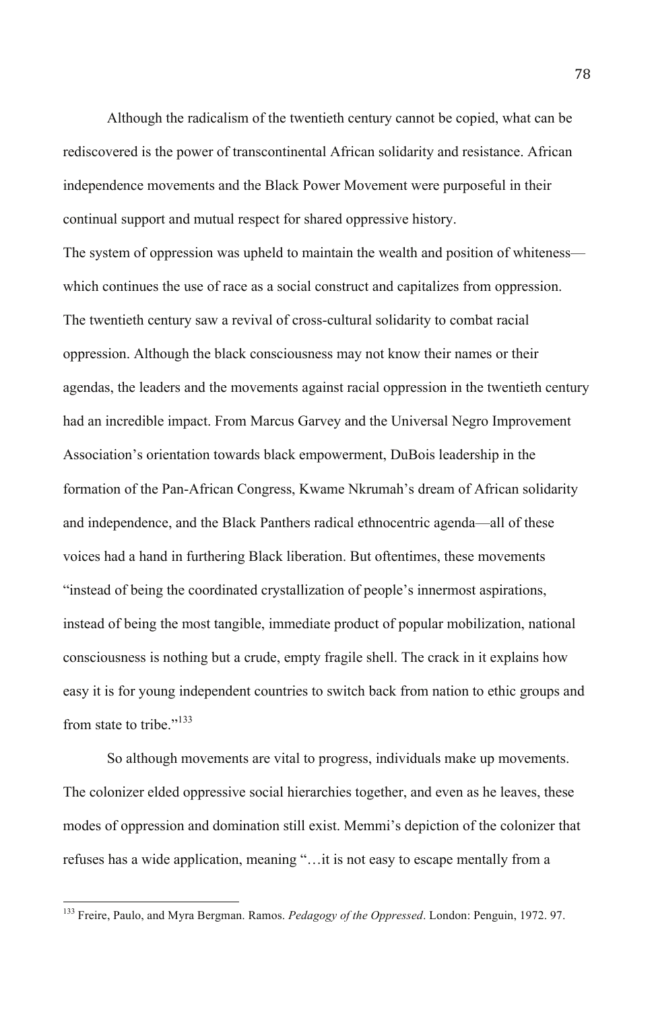Although the radicalism of the twentieth century cannot be copied, what can be rediscovered is the power of transcontinental African solidarity and resistance. African independence movements and the Black Power Movement were purposeful in their continual support and mutual respect for shared oppressive history.

The system of oppression was upheld to maintain the wealth and position of whiteness which continues the use of race as a social construct and capitalizes from oppression. The twentieth century saw a revival of cross-cultural solidarity to combat racial oppression. Although the black consciousness may not know their names or their agendas, the leaders and the movements against racial oppression in the twentieth century had an incredible impact. From Marcus Garvey and the Universal Negro Improvement Association's orientation towards black empowerment, DuBois leadership in the formation of the Pan-African Congress, Kwame Nkrumah's dream of African solidarity and independence, and the Black Panthers radical ethnocentric agenda—all of these voices had a hand in furthering Black liberation. But oftentimes, these movements "instead of being the coordinated crystallization of people's innermost aspirations, instead of being the most tangible, immediate product of popular mobilization, national consciousness is nothing but a crude, empty fragile shell. The crack in it explains how easy it is for young independent countries to switch back from nation to ethic groups and from state to tribe."<sup>133</sup>

 So although movements are vital to progress, individuals make up movements. The colonizer elded oppressive social hierarchies together, and even as he leaves, these modes of oppression and domination still exist. Memmi's depiction of the colonizer that refuses has a wide application, meaning "…it is not easy to escape mentally from a

<sup>133</sup> Freire, Paulo, and Myra Bergman. Ramos. *Pedagogy of the Oppressed*. London: Penguin, 1972. 97.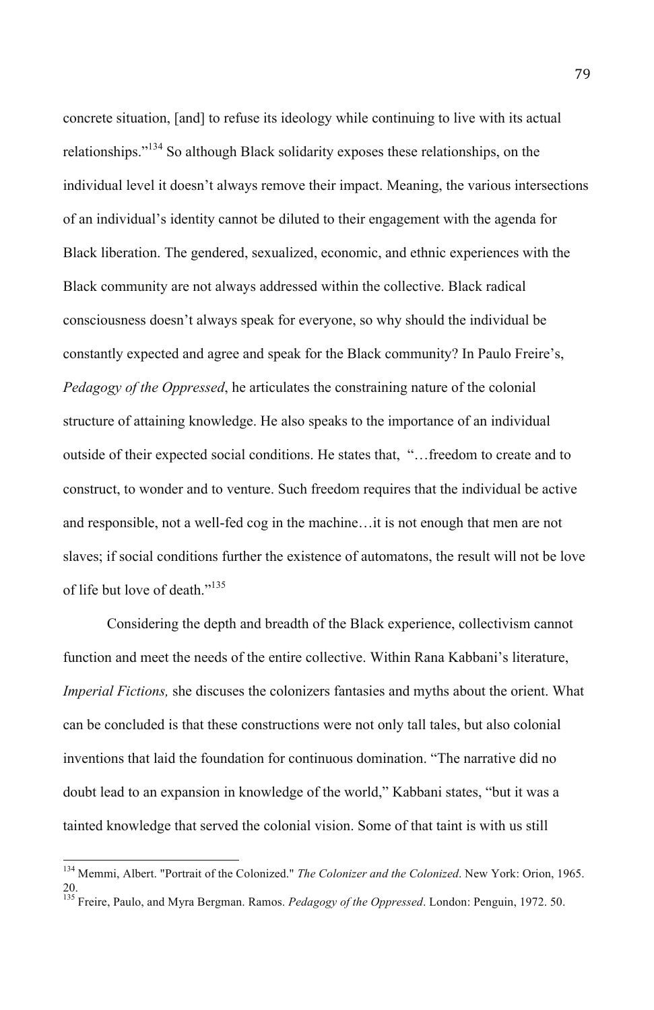concrete situation, [and] to refuse its ideology while continuing to live with its actual relationships."<sup>134</sup> So although Black solidarity exposes these relationships, on the individual level it doesn't always remove their impact. Meaning, the various intersections of an individual's identity cannot be diluted to their engagement with the agenda for Black liberation. The gendered, sexualized, economic, and ethnic experiences with the Black community are not always addressed within the collective. Black radical consciousness doesn't always speak for everyone, so why should the individual be constantly expected and agree and speak for the Black community? In Paulo Freire's, *Pedagogy of the Oppressed*, he articulates the constraining nature of the colonial structure of attaining knowledge. He also speaks to the importance of an individual outside of their expected social conditions. He states that, "…freedom to create and to construct, to wonder and to venture. Such freedom requires that the individual be active and responsible, not a well-fed cog in the machine…it is not enough that men are not slaves; if social conditions further the existence of automatons, the result will not be love of life but love of death."<sup>135</sup>

 Considering the depth and breadth of the Black experience, collectivism cannot function and meet the needs of the entire collective. Within Rana Kabbani's literature, *Imperial Fictions,* she discuses the colonizers fantasies and myths about the orient. What can be concluded is that these constructions were not only tall tales, but also colonial inventions that laid the foundation for continuous domination. "The narrative did no doubt lead to an expansion in knowledge of the world," Kabbani states, "but it was a tainted knowledge that served the colonial vision. Some of that taint is with us still

<sup>134</sup> Memmi, Albert. "Portrait of the Colonized." *The Colonizer and the Colonized*. New York: Orion, 1965. 20. <sup>135</sup> Freire, Paulo, and Myra Bergman. Ramos. *Pedagogy of the Oppressed*. London: Penguin, 1972. 50.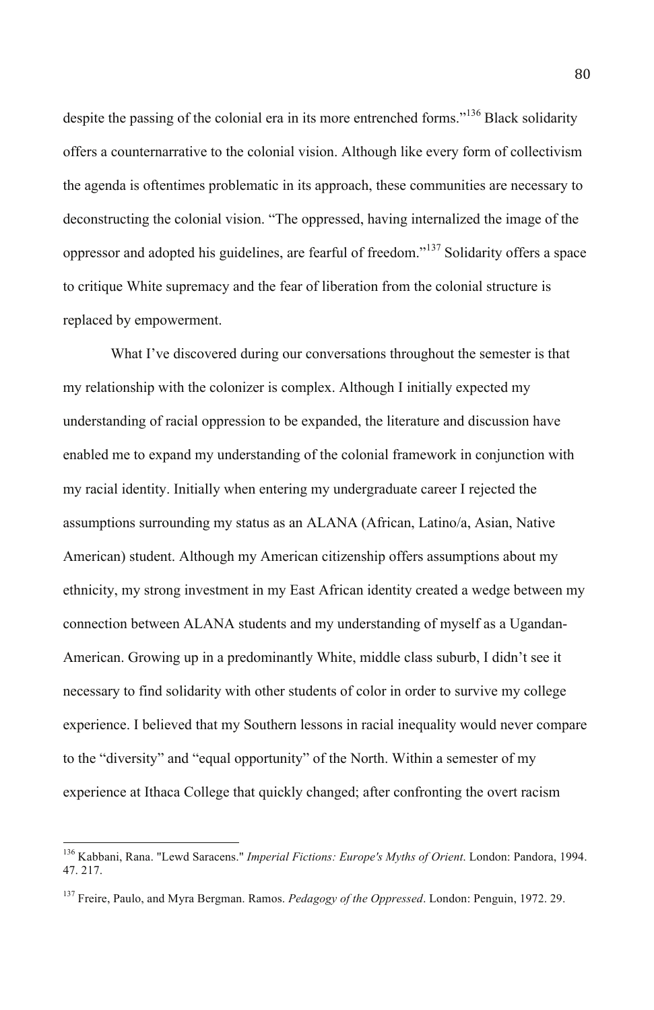despite the passing of the colonial era in its more entrenched forms."<sup>136</sup> Black solidarity offers a counternarrative to the colonial vision. Although like every form of collectivism the agenda is oftentimes problematic in its approach, these communities are necessary to deconstructing the colonial vision. "The oppressed, having internalized the image of the oppressor and adopted his guidelines, are fearful of freedom."<sup>137</sup> Solidarity offers a space to critique White supremacy and the fear of liberation from the colonial structure is replaced by empowerment.

 What I've discovered during our conversations throughout the semester is that my relationship with the colonizer is complex. Although I initially expected my understanding of racial oppression to be expanded, the literature and discussion have enabled me to expand my understanding of the colonial framework in conjunction with my racial identity. Initially when entering my undergraduate career I rejected the assumptions surrounding my status as an ALANA (African, Latino/a, Asian, Native American) student. Although my American citizenship offers assumptions about my ethnicity, my strong investment in my East African identity created a wedge between my connection between ALANA students and my understanding of myself as a Ugandan-American. Growing up in a predominantly White, middle class suburb, I didn't see it necessary to find solidarity with other students of color in order to survive my college experience. I believed that my Southern lessons in racial inequality would never compare to the "diversity" and "equal opportunity" of the North. Within a semester of my experience at Ithaca College that quickly changed; after confronting the overt racism

<sup>136</sup> Kabbani, Rana. "Lewd Saracens." *Imperial Fictions: Europe's Myths of Orient*. London: Pandora, 1994. 47. 217.

<sup>137</sup> Freire, Paulo, and Myra Bergman. Ramos. *Pedagogy of the Oppressed*. London: Penguin, 1972. 29.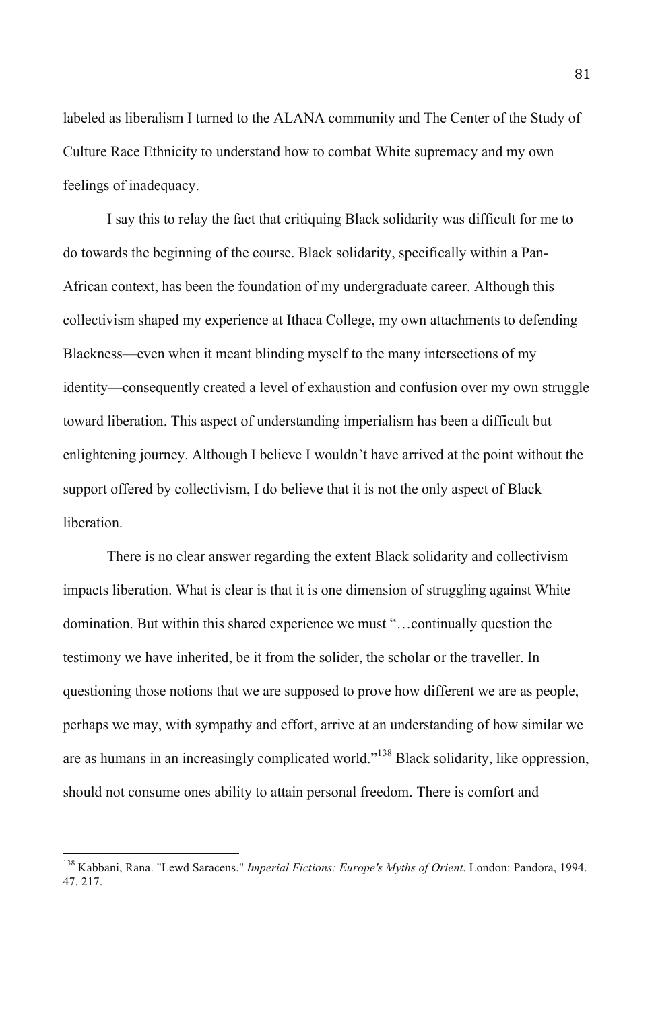labeled as liberalism I turned to the ALANA community and The Center of the Study of Culture Race Ethnicity to understand how to combat White supremacy and my own feelings of inadequacy.

 I say this to relay the fact that critiquing Black solidarity was difficult for me to do towards the beginning of the course. Black solidarity, specifically within a Pan-African context, has been the foundation of my undergraduate career. Although this collectivism shaped my experience at Ithaca College, my own attachments to defending Blackness—even when it meant blinding myself to the many intersections of my identity—consequently created a level of exhaustion and confusion over my own struggle toward liberation. This aspect of understanding imperialism has been a difficult but enlightening journey. Although I believe I wouldn't have arrived at the point without the support offered by collectivism, I do believe that it is not the only aspect of Black **liberation** 

 There is no clear answer regarding the extent Black solidarity and collectivism impacts liberation. What is clear is that it is one dimension of struggling against White domination. But within this shared experience we must "…continually question the testimony we have inherited, be it from the solider, the scholar or the traveller. In questioning those notions that we are supposed to prove how different we are as people, perhaps we may, with sympathy and effort, arrive at an understanding of how similar we are as humans in an increasingly complicated world."<sup>138</sup> Black solidarity, like oppression, should not consume ones ability to attain personal freedom. There is comfort and

<sup>138</sup> Kabbani, Rana. "Lewd Saracens." *Imperial Fictions: Europe's Myths of Orient*. London: Pandora, 1994. 47. 217.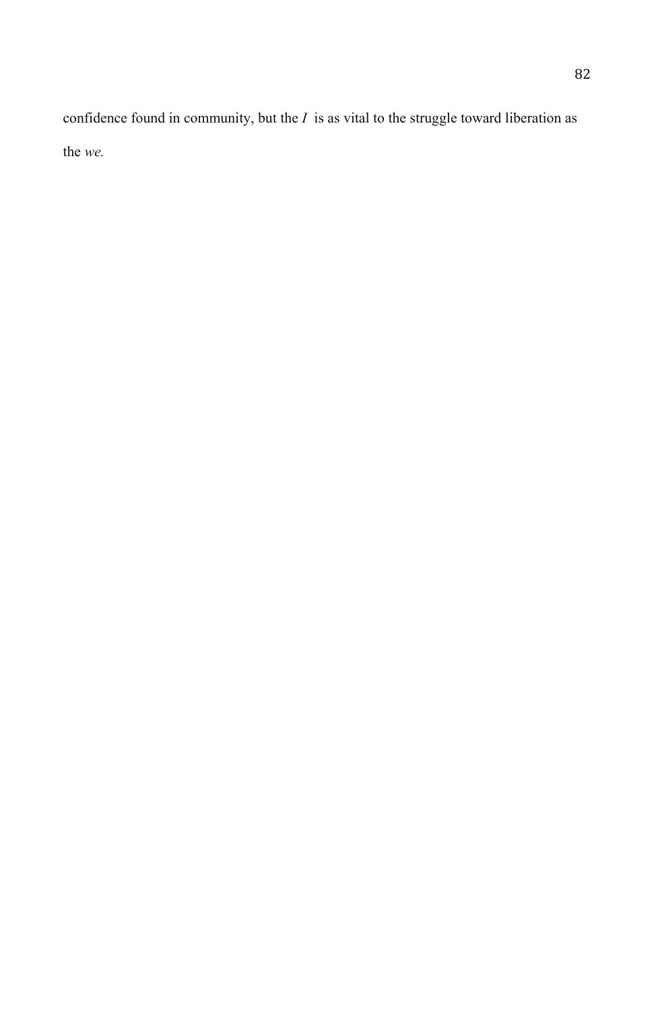confidence found in community, but the *I* is as vital to the struggle toward liberation as the *we.*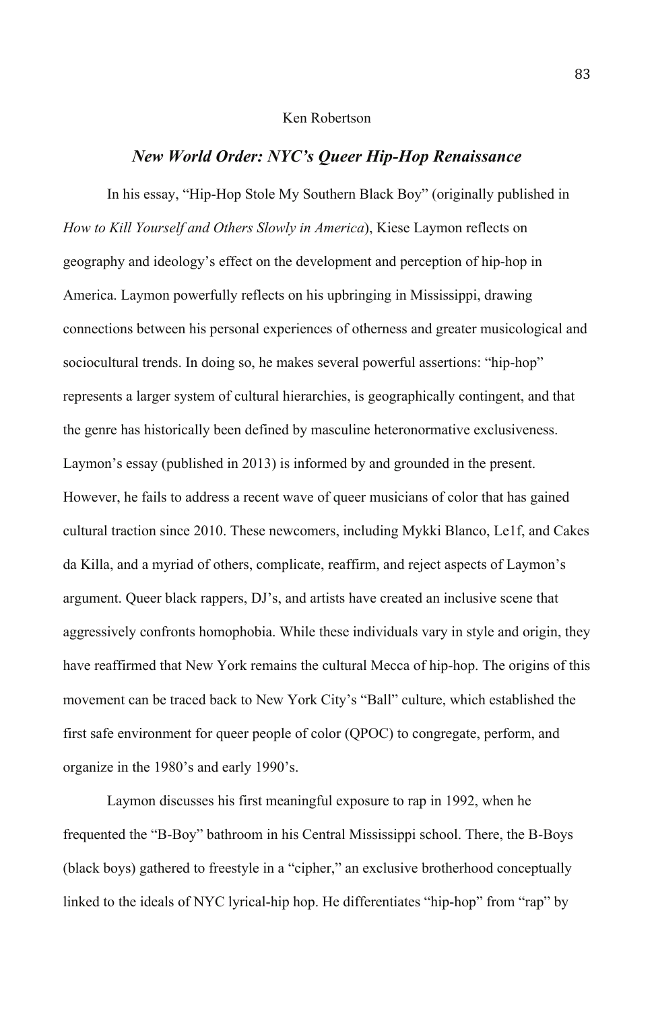## Ken Robertson

## *New World Order: NYC's Queer Hip-Hop Renaissance*

In his essay, "Hip-Hop Stole My Southern Black Boy" (originally published in *How to Kill Yourself and Others Slowly in America*), Kiese Laymon reflects on geography and ideology's effect on the development and perception of hip-hop in America. Laymon powerfully reflects on his upbringing in Mississippi, drawing connections between his personal experiences of otherness and greater musicological and sociocultural trends. In doing so, he makes several powerful assertions: "hip-hop" represents a larger system of cultural hierarchies, is geographically contingent, and that the genre has historically been defined by masculine heteronormative exclusiveness. Laymon's essay (published in 2013) is informed by and grounded in the present. However, he fails to address a recent wave of queer musicians of color that has gained cultural traction since 2010. These newcomers, including Mykki Blanco, Le1f, and Cakes da Killa, and a myriad of others, complicate, reaffirm, and reject aspects of Laymon's argument. Queer black rappers, DJ's, and artists have created an inclusive scene that aggressively confronts homophobia. While these individuals vary in style and origin, they have reaffirmed that New York remains the cultural Mecca of hip-hop. The origins of this movement can be traced back to New York City's "Ball" culture, which established the first safe environment for queer people of color (QPOC) to congregate, perform, and organize in the 1980's and early 1990's.

Laymon discusses his first meaningful exposure to rap in 1992, when he frequented the "B-Boy" bathroom in his Central Mississippi school. There, the B-Boys (black boys) gathered to freestyle in a "cipher," an exclusive brotherhood conceptually linked to the ideals of NYC lyrical-hip hop. He differentiates "hip-hop" from "rap" by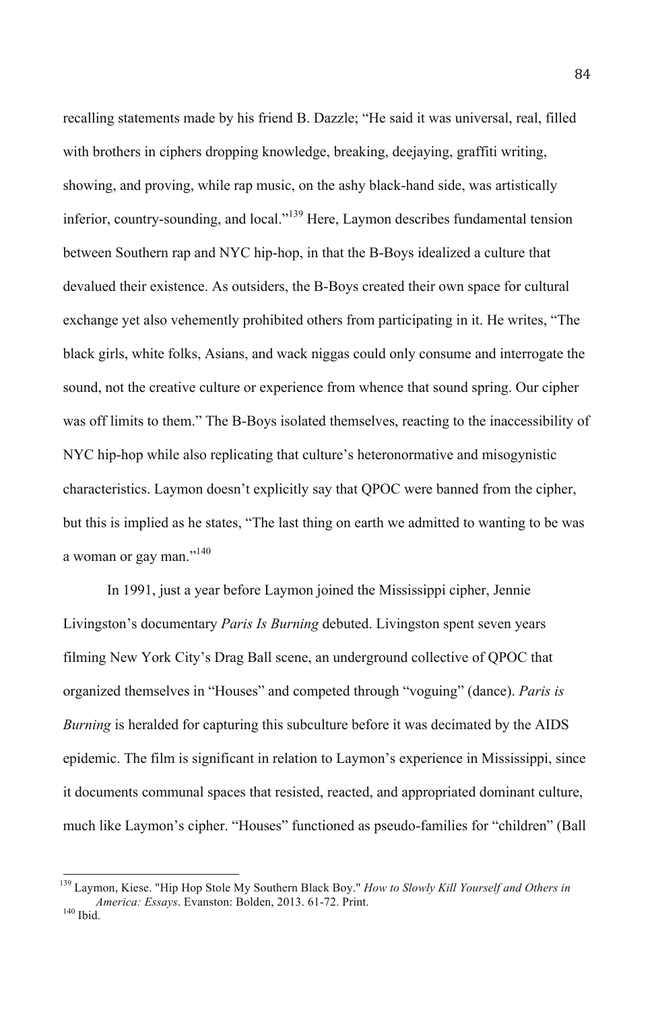recalling statements made by his friend B. Dazzle; "He said it was universal, real, filled with brothers in ciphers dropping knowledge, breaking, deejaying, graffiti writing, showing, and proving, while rap music, on the ashy black-hand side, was artistically inferior, country-sounding, and local."<sup>139</sup> Here, Laymon describes fundamental tension between Southern rap and NYC hip-hop, in that the B-Boys idealized a culture that devalued their existence. As outsiders, the B-Boys created their own space for cultural exchange yet also vehemently prohibited others from participating in it. He writes, "The black girls, white folks, Asians, and wack niggas could only consume and interrogate the sound, not the creative culture or experience from whence that sound spring. Our cipher was off limits to them." The B-Boys isolated themselves, reacting to the inaccessibility of NYC hip-hop while also replicating that culture's heteronormative and misogynistic characteristics. Laymon doesn't explicitly say that QPOC were banned from the cipher, but this is implied as he states, "The last thing on earth we admitted to wanting to be was a woman or gay man."<sup>140</sup>

In 1991, just a year before Laymon joined the Mississippi cipher, Jennie Livingston's documentary *Paris Is Burning* debuted. Livingston spent seven years filming New York City's Drag Ball scene, an underground collective of QPOC that organized themselves in "Houses" and competed through "voguing" (dance). *Paris is Burning* is heralded for capturing this subculture before it was decimated by the AIDS epidemic. The film is significant in relation to Laymon's experience in Mississippi, since it documents communal spaces that resisted, reacted, and appropriated dominant culture, much like Laymon's cipher. "Houses" functioned as pseudo-families for "children" (Ball

<sup>139</sup> Laymon, Kiese. "Hip Hop Stole My Southern Black Boy." *How to Slowly Kill Yourself and Others in America: Essays*. Evanston: Bolden, 2013. 61-72. Print.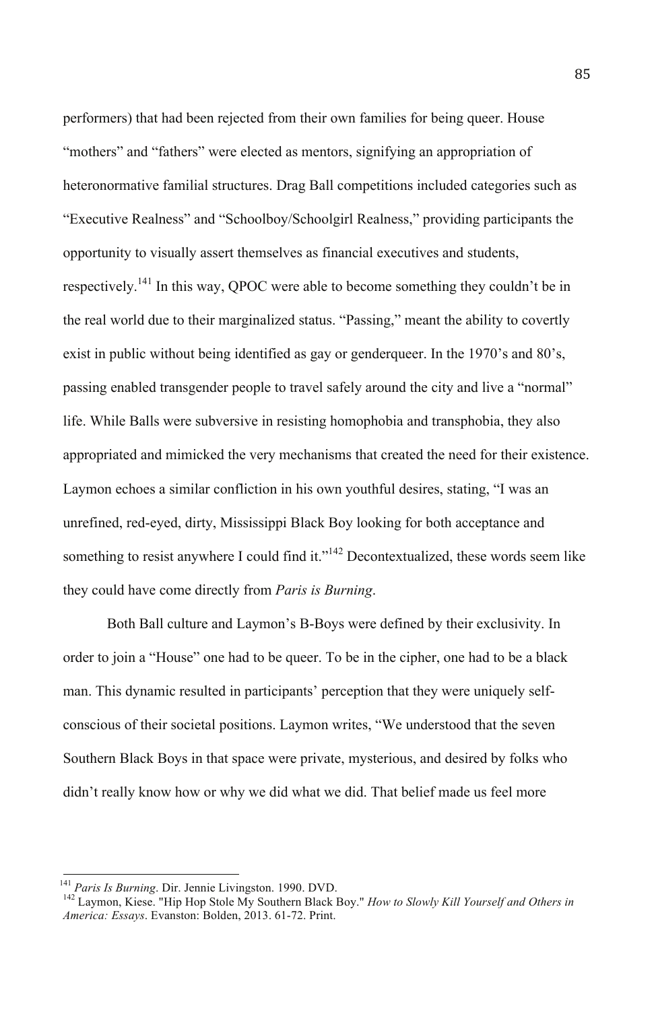performers) that had been rejected from their own families for being queer. House "mothers" and "fathers" were elected as mentors, signifying an appropriation of heteronormative familial structures. Drag Ball competitions included categories such as "Executive Realness" and "Schoolboy/Schoolgirl Realness," providing participants the opportunity to visually assert themselves as financial executives and students, respectively.<sup>141</sup> In this way, OPOC were able to become something they couldn't be in the real world due to their marginalized status. "Passing," meant the ability to covertly exist in public without being identified as gay or genderqueer. In the 1970's and 80's, passing enabled transgender people to travel safely around the city and live a "normal" life. While Balls were subversive in resisting homophobia and transphobia, they also appropriated and mimicked the very mechanisms that created the need for their existence. Laymon echoes a similar confliction in his own youthful desires, stating, "I was an unrefined, red-eyed, dirty, Mississippi Black Boy looking for both acceptance and something to resist anywhere I could find it." $142$  Decontextualized, these words seem like they could have come directly from *Paris is Burning*.

Both Ball culture and Laymon's B-Boys were defined by their exclusivity. In order to join a "House" one had to be queer. To be in the cipher, one had to be a black man. This dynamic resulted in participants' perception that they were uniquely selfconscious of their societal positions. Laymon writes, "We understood that the seven Southern Black Boys in that space were private, mysterious, and desired by folks who didn't really know how or why we did what we did. That belief made us feel more

<sup>141</sup> *Paris Is Burning*. Dir. Jennie Livingston. 1990. DVD.

<sup>142</sup> Laymon, Kiese. "Hip Hop Stole My Southern Black Boy." *How to Slowly Kill Yourself and Others in America: Essays*. Evanston: Bolden, 2013. 61-72. Print.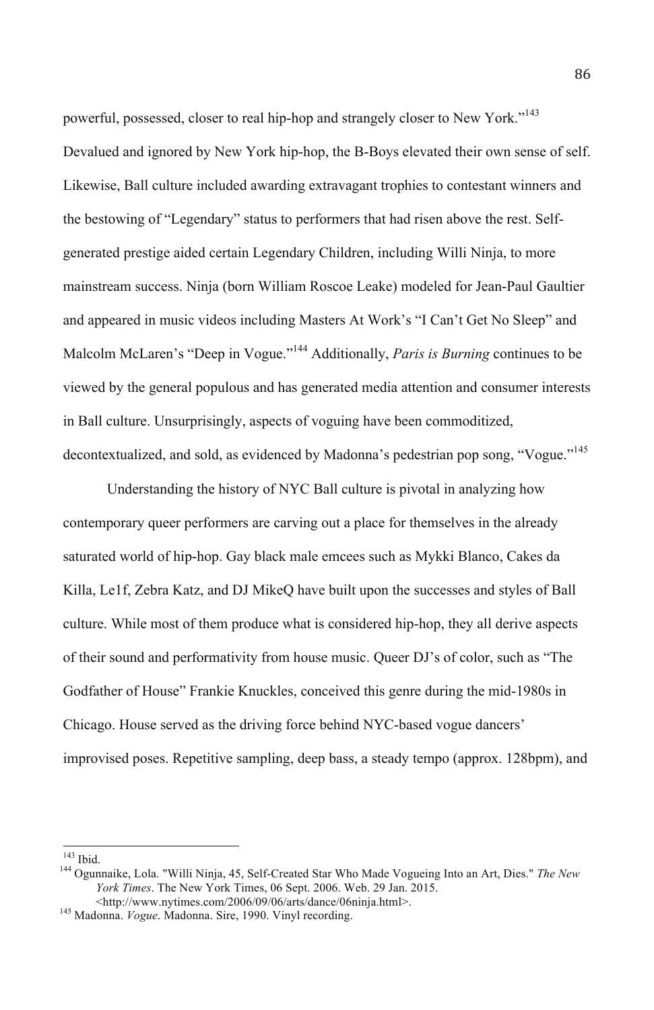powerful, possessed, closer to real hip-hop and strangely closer to New York."<sup>143</sup> Devalued and ignored by New York hip-hop, the B-Boys elevated their own sense of self. Likewise, Ball culture included awarding extravagant trophies to contestant winners and the bestowing of "Legendary" status to performers that had risen above the rest. Selfgenerated prestige aided certain Legendary Children, including Willi Ninja, to more mainstream success. Ninja (born William Roscoe Leake) modeled for Jean-Paul Gaultier and appeared in music videos including Masters At Work's "I Can't Get No Sleep" and Malcolm McLaren's "Deep in Vogue."<sup>144</sup> Additionally, *Paris is Burning* continues to be viewed by the general populous and has generated media attention and consumer interests in Ball culture. Unsurprisingly, aspects of voguing have been commoditized, decontextualized, and sold, as evidenced by Madonna's pedestrian pop song, "Vogue."<sup>145</sup>

Understanding the history of NYC Ball culture is pivotal in analyzing how contemporary queer performers are carving out a place for themselves in the already saturated world of hip-hop. Gay black male emcees such as Mykki Blanco, Cakes da Killa, Le1f, Zebra Katz, and DJ MikeQ have built upon the successes and styles of Ball culture. While most of them produce what is considered hip-hop, they all derive aspects of their sound and performativity from house music. Queer DJ's of color, such as "The Godfather of House" Frankie Knuckles, conceived this genre during the mid-1980s in Chicago. House served as the driving force behind NYC-based vogue dancers' improvised poses. Repetitive sampling, deep bass, a steady tempo (approx. 128bpm), and

<sup>!!!!!!!!!!!!!!!!!!!!!!!!!!!!!!!!!!!!!!!!!!!!!!!!!!!!!!!!</sup> <sup>143</sup> Ibid.

<sup>144</sup> Ogunnaike, Lola. "Willi Ninja, 45, Self-Created Star Who Made Vogueing Into an Art, Dies." *The New York Times*. The New York Times, 06 Sept. 2006. Web. 29 Jan. 2015.

<sup>&</sup>lt;http://www.nytimes.com/2006/09/06/arts/dance/06ninja.html>.

<sup>145</sup> Madonna. *Vogue*. Madonna. Sire, 1990. Vinyl recording.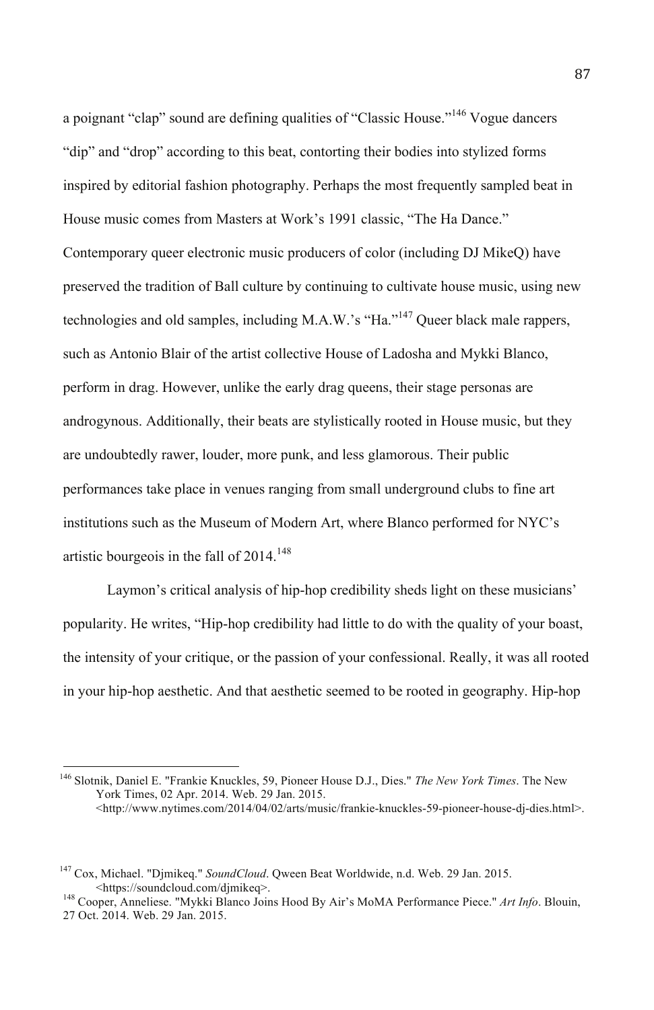a poignant "clap" sound are defining qualities of "Classic House."<sup>146</sup> Vogue dancers "dip" and "drop" according to this beat, contorting their bodies into stylized forms inspired by editorial fashion photography. Perhaps the most frequently sampled beat in House music comes from Masters at Work's 1991 classic, "The Ha Dance." Contemporary queer electronic music producers of color (including DJ MikeQ) have preserved the tradition of Ball culture by continuing to cultivate house music, using new technologies and old samples, including M.A.W.'s "Ha."<sup>147</sup> Queer black male rappers, such as Antonio Blair of the artist collective House of Ladosha and Mykki Blanco, perform in drag. However, unlike the early drag queens, their stage personas are androgynous. Additionally, their beats are stylistically rooted in House music, but they are undoubtedly rawer, louder, more punk, and less glamorous. Their public performances take place in venues ranging from small underground clubs to fine art institutions such as the Museum of Modern Art, where Blanco performed for NYC's artistic bourgeois in the fall of 2014.<sup>148</sup>

Laymon's critical analysis of hip-hop credibility sheds light on these musicians' popularity. He writes, "Hip-hop credibility had little to do with the quality of your boast, the intensity of your critique, or the passion of your confessional. Really, it was all rooted in your hip-hop aesthetic. And that aesthetic seemed to be rooted in geography. Hip-hop

<sup>146</sup> Slotnik, Daniel E. "Frankie Knuckles, 59, Pioneer House D.J., Dies." *The New York Times*. The New York Times, 02 Apr. 2014. Web. 29 Jan. 2015.  $\leq$ http://www.nytimes.com/2014/04/02/arts/music/frankie-knuckles-59-pioneer-house-di-dies.html $\geq$ .

<sup>147</sup> Cox, Michael. "Djmikeq." *SoundCloud*. Qween Beat Worldwide, n.d. Web. 29 Jan. 2015. <https://soundcloud.com/djmikeq>.

<sup>148</sup> Cooper, Anneliese. "Mykki Blanco Joins Hood By Air's MoMA Performance Piece." *Art Info*. Blouin, 27 Oct. 2014. Web. 29 Jan. 2015.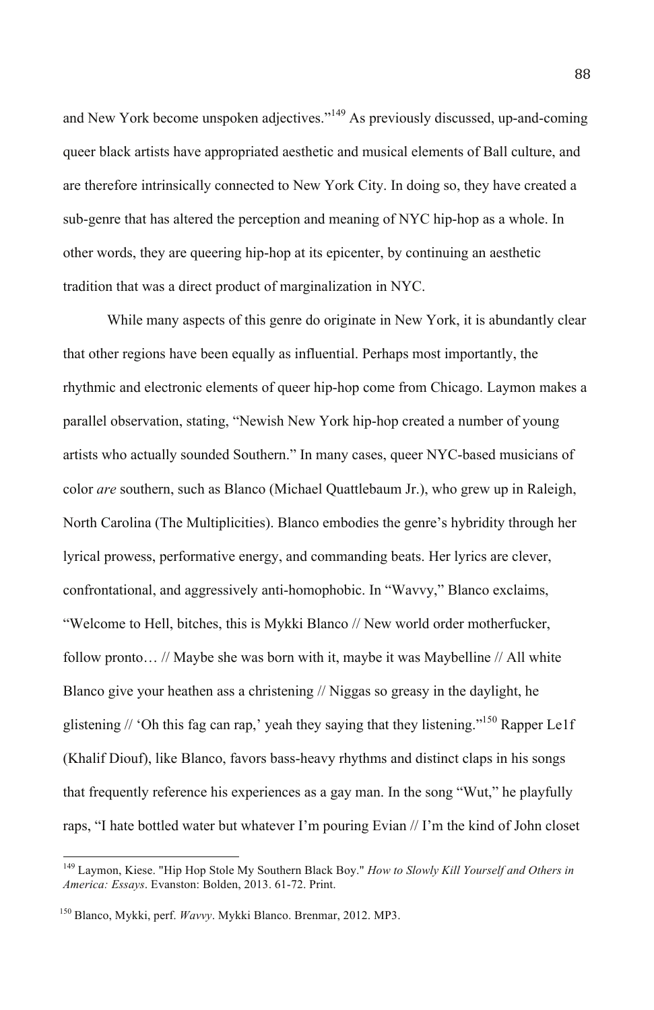and New York become unspoken adjectives."<sup>149</sup> As previously discussed, up-and-coming queer black artists have appropriated aesthetic and musical elements of Ball culture, and are therefore intrinsically connected to New York City. In doing so, they have created a sub-genre that has altered the perception and meaning of NYC hip-hop as a whole. In other words, they are queering hip-hop at its epicenter, by continuing an aesthetic tradition that was a direct product of marginalization in NYC.

While many aspects of this genre do originate in New York, it is abundantly clear that other regions have been equally as influential. Perhaps most importantly, the rhythmic and electronic elements of queer hip-hop come from Chicago. Laymon makes a parallel observation, stating, "Newish New York hip-hop created a number of young artists who actually sounded Southern." In many cases, queer NYC-based musicians of color *are* southern, such as Blanco (Michael Quattlebaum Jr.), who grew up in Raleigh, North Carolina (The Multiplicities). Blanco embodies the genre's hybridity through her lyrical prowess, performative energy, and commanding beats. Her lyrics are clever, confrontational, and aggressively anti-homophobic. In "Wavvy," Blanco exclaims, "Welcome to Hell, bitches, this is Mykki Blanco // New world order motherfucker, follow pronto… // Maybe she was born with it, maybe it was Maybelline // All white Blanco give your heathen ass a christening // Niggas so greasy in the daylight, he glistening // 'Oh this fag can rap,' yeah they saying that they listening."<sup>150</sup> Rapper Le1f (Khalif Diouf), like Blanco, favors bass-heavy rhythms and distinct claps in his songs that frequently reference his experiences as a gay man. In the song "Wut," he playfully raps, "I hate bottled water but whatever I'm pouring Evian // I'm the kind of John closet

<sup>149</sup> Laymon, Kiese. "Hip Hop Stole My Southern Black Boy." *How to Slowly Kill Yourself and Others in America: Essays*. Evanston: Bolden, 2013. 61-72. Print.

<sup>150</sup> Blanco, Mykki, perf. *Wavvy*. Mykki Blanco. Brenmar, 2012. MP3.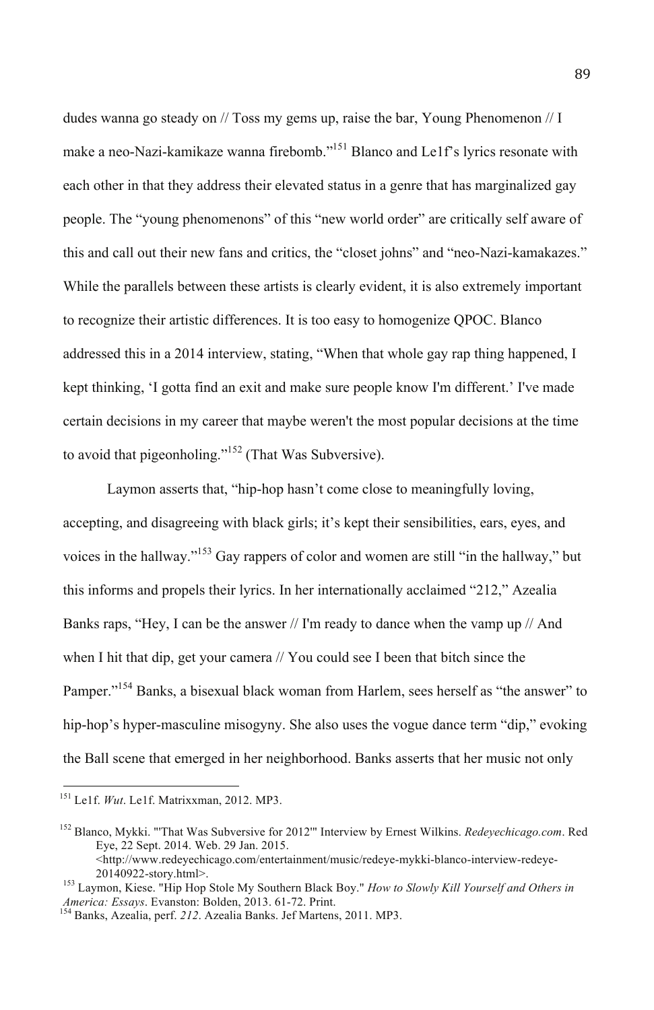dudes wanna go steady on // Toss my gems up, raise the bar, Young Phenomenon // I make a neo-Nazi-kamikaze wanna firebomb."<sup>151</sup> Blanco and Le1f's lyrics resonate with each other in that they address their elevated status in a genre that has marginalized gay people. The "young phenomenons" of this "new world order" are critically self aware of this and call out their new fans and critics, the "closet johns" and "neo-Nazi-kamakazes." While the parallels between these artists is clearly evident, it is also extremely important to recognize their artistic differences. It is too easy to homogenize QPOC. Blanco addressed this in a 2014 interview, stating, "When that whole gay rap thing happened, I kept thinking, 'I gotta find an exit and make sure people know I'm different.' I've made certain decisions in my career that maybe weren't the most popular decisions at the time to avoid that pigeonholing."<sup>152</sup> (That Was Subversive).

Laymon asserts that, "hip-hop hasn't come close to meaningfully loving, accepting, and disagreeing with black girls; it's kept their sensibilities, ears, eyes, and voices in the hallway."<sup>153</sup> Gay rappers of color and women are still "in the hallway," but this informs and propels their lyrics. In her internationally acclaimed "212," Azealia Banks raps, "Hey, I can be the answer  $//$  I'm ready to dance when the vamp up  $//$  And when I hit that dip, get your camera // You could see I been that bitch since the Pamper."<sup>154</sup> Banks, a bisexual black woman from Harlem, sees herself as "the answer" to hip-hop's hyper-masculine misogyny. She also uses the vogue dance term "dip," evoking the Ball scene that emerged in her neighborhood. Banks asserts that her music not only

<sup>151</sup> Le1f. *Wut*. Le1f. Matrixxman, 2012. MP3.

<sup>152</sup> Blanco, Mykki. "'That Was Subversive for 2012'" Interview by Ernest Wilkins. *Redeyechicago.com*. Red Eye, 22 Sept. 2014. Web. 29 Jan. 2015. <http://www.redeyechicago.com/entertainment/music/redeye-mykki-blanco-interview-redeye-20140922-story.html>.

<sup>153</sup> Laymon, Kiese. "Hip Hop Stole My Southern Black Boy." *How to Slowly Kill Yourself and Others in America: Essays*. Evanston: Bolden, 2013. 61-72. Print.

<sup>154</sup> Banks, Azealia, perf. *212*. Azealia Banks. Jef Martens, 2011. MP3.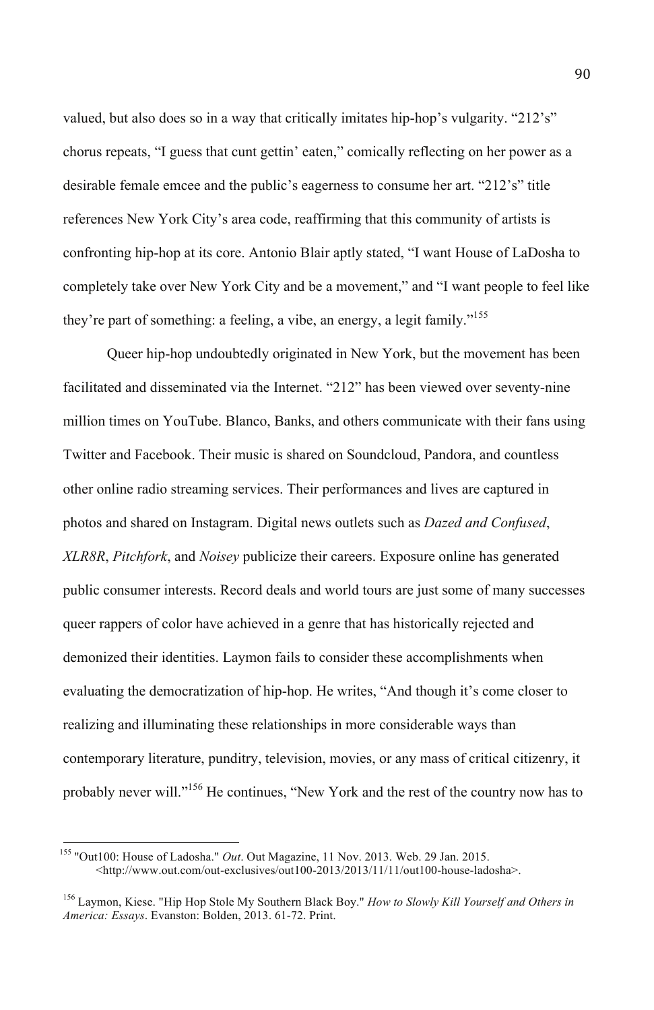valued, but also does so in a way that critically imitates hip-hop's vulgarity. "212's" chorus repeats, "I guess that cunt gettin' eaten," comically reflecting on her power as a desirable female emcee and the public's eagerness to consume her art. "212's" title references New York City's area code, reaffirming that this community of artists is confronting hip-hop at its core. Antonio Blair aptly stated, "I want House of LaDosha to completely take over New York City and be a movement," and "I want people to feel like they're part of something: a feeling, a vibe, an energy, a legit family."<sup>155</sup>

Queer hip-hop undoubtedly originated in New York, but the movement has been facilitated and disseminated via the Internet. "212" has been viewed over seventy-nine million times on YouTube. Blanco, Banks, and others communicate with their fans using Twitter and Facebook. Their music is shared on Soundcloud, Pandora, and countless other online radio streaming services. Their performances and lives are captured in photos and shared on Instagram. Digital news outlets such as *Dazed and Confused*, *XLR8R*, *Pitchfork*, and *Noisey* publicize their careers. Exposure online has generated public consumer interests. Record deals and world tours are just some of many successes queer rappers of color have achieved in a genre that has historically rejected and demonized their identities. Laymon fails to consider these accomplishments when evaluating the democratization of hip-hop. He writes, "And though it's come closer to realizing and illuminating these relationships in more considerable ways than contemporary literature, punditry, television, movies, or any mass of critical citizenry, it probably never will."<sup>156</sup> He continues, "New York and the rest of the country now has to

<sup>155</sup> "Out100: House of Ladosha." *Out*. Out Magazine, 11 Nov. 2013. Web. 29 Jan. 2015. <http://www.out.com/out-exclusives/out100-2013/2013/11/11/out100-house-ladosha>.

<sup>156</sup> Laymon, Kiese. "Hip Hop Stole My Southern Black Boy." *How to Slowly Kill Yourself and Others in America: Essays*. Evanston: Bolden, 2013. 61-72. Print.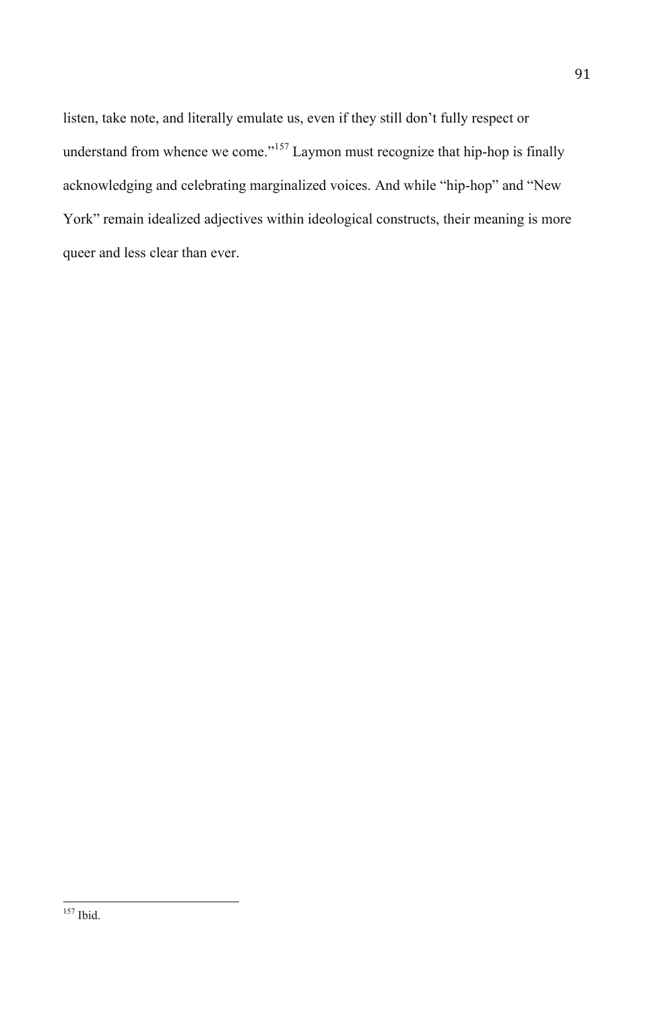listen, take note, and literally emulate us, even if they still don't fully respect or understand from whence we come."<sup>157</sup> Laymon must recognize that hip-hop is finally acknowledging and celebrating marginalized voices. And while "hip-hop" and "New York" remain idealized adjectives within ideological constructs, their meaning is more queer and less clear than ever.

<sup>157</sup> Ibid.